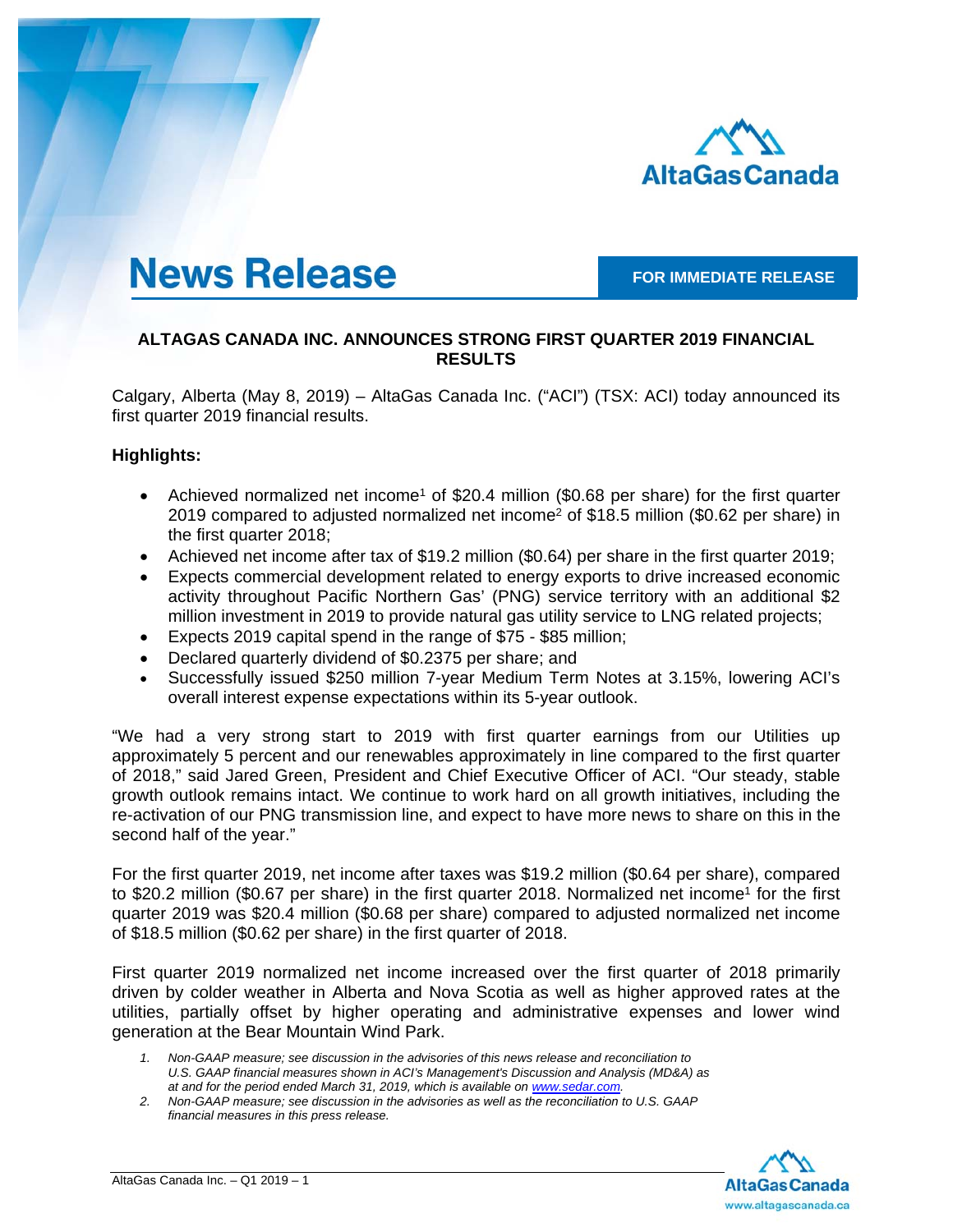

# **News Release**

### **FOR IMMEDIATE RELEASE**

# **ALTAGAS CANADA INC. ANNOUNCES STRONG FIRST QUARTER 2019 FINANCIAL RESULTS**

Calgary, Alberta (May 8, 2019) – AltaGas Canada Inc. ("ACI") (TSX: ACI) today announced its first quarter 2019 financial results.

### **Highlights:**

- Achieved normalized net income<sup>1</sup> of \$20.4 million (\$0.68 per share) for the first quarter 2019 compared to adjusted normalized net income<sup>2</sup> of \$18.5 million (\$0.62 per share) in the first quarter 2018;
- Achieved net income after tax of \$19.2 million (\$0.64) per share in the first quarter 2019;
- Expects commercial development related to energy exports to drive increased economic activity throughout Pacific Northern Gas' (PNG) service territory with an additional \$2 million investment in 2019 to provide natural gas utility service to LNG related projects;
- Expects 2019 capital spend in the range of \$75 \$85 million;
- Declared quarterly dividend of \$0.2375 per share; and
- Successfully issued \$250 million 7-year Medium Term Notes at 3.15%, lowering ACI's overall interest expense expectations within its 5-year outlook.

"We had a very strong start to 2019 with first quarter earnings from our Utilities up approximately 5 percent and our renewables approximately in line compared to the first quarter of 2018," said Jared Green, President and Chief Executive Officer of ACI. "Our steady, stable growth outlook remains intact. We continue to work hard on all growth initiatives, including the re-activation of our PNG transmission line, and expect to have more news to share on this in the second half of the year."

For the first quarter 2019, net income after taxes was \$19.2 million (\$0.64 per share), compared to \$20.2 million (\$0.67 per share) in the first quarter 2018. Normalized net income<sup>1</sup> for the first quarter 2019 was \$20.4 million (\$0.68 per share) compared to adjusted normalized net income of \$18.5 million (\$0.62 per share) in the first quarter of 2018.

First quarter 2019 normalized net income increased over the first quarter of 2018 primarily driven by colder weather in Alberta and Nova Scotia as well as higher approved rates at the utilities, partially offset by higher operating and administrative expenses and lower wind generation at the Bear Mountain Wind Park.

*1. Non-GAAP measure; see discussion in the advisories of this news release and reconciliation to U.S. GAAP financial measures shown in ACI's Management's Discussion and Analysis (MD&A) as at and for the period ended March 31, 2019, which is available on www.sedar.com.* 

*<sup>2.</sup> Non-GAAP measure; see discussion in the advisories as well as the reconciliation to U.S. GAAP financial measures in this press release.* 

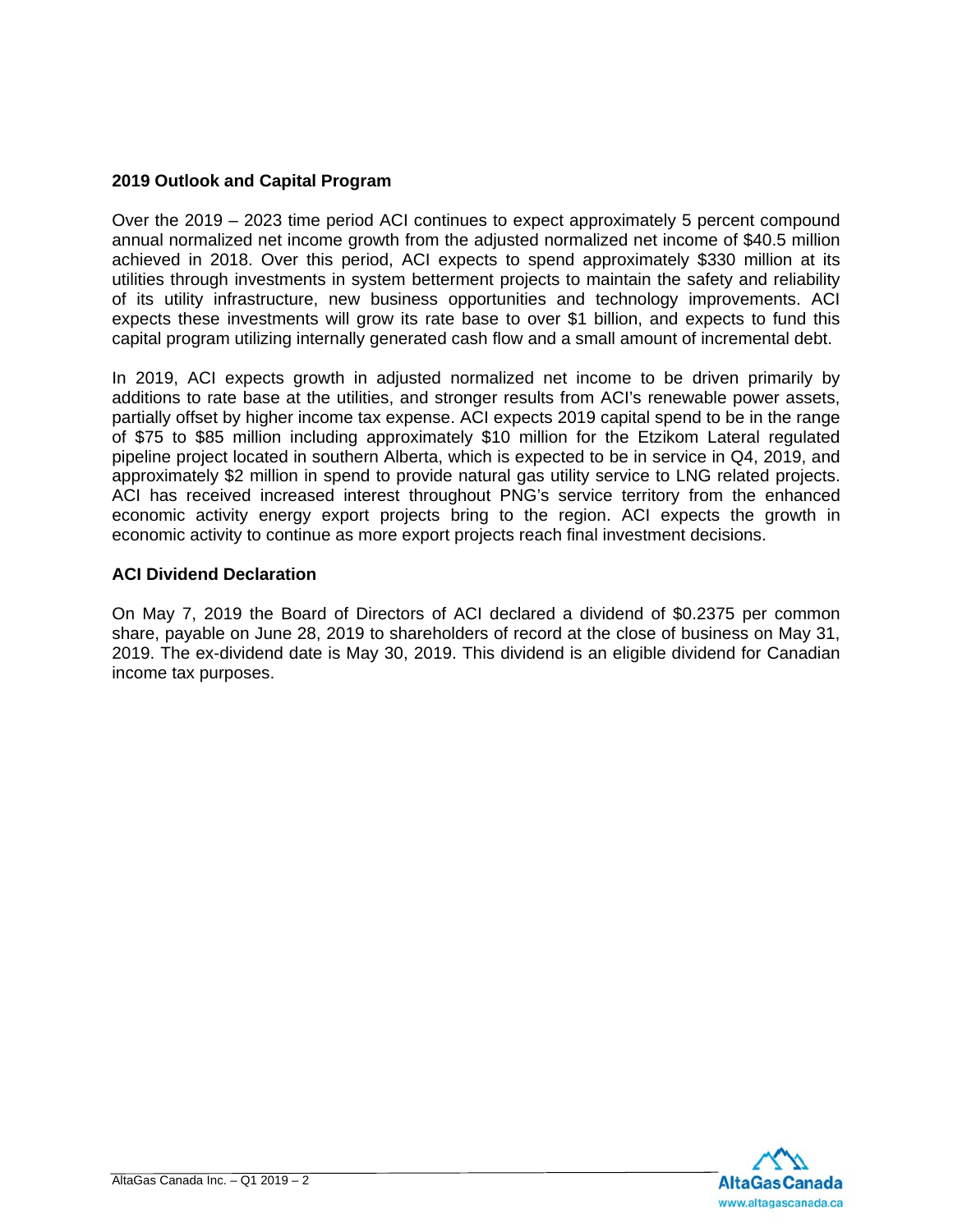# **2019 Outlook and Capital Program**

Over the 2019 – 2023 time period ACI continues to expect approximately 5 percent compound annual normalized net income growth from the adjusted normalized net income of \$40.5 million achieved in 2018. Over this period, ACI expects to spend approximately \$330 million at its utilities through investments in system betterment projects to maintain the safety and reliability of its utility infrastructure, new business opportunities and technology improvements. ACI expects these investments will grow its rate base to over \$1 billion, and expects to fund this capital program utilizing internally generated cash flow and a small amount of incremental debt.

In 2019, ACI expects growth in adjusted normalized net income to be driven primarily by additions to rate base at the utilities, and stronger results from ACI's renewable power assets, partially offset by higher income tax expense. ACI expects 2019 capital spend to be in the range of \$75 to \$85 million including approximately \$10 million for the Etzikom Lateral regulated pipeline project located in southern Alberta, which is expected to be in service in Q4, 2019, and approximately \$2 million in spend to provide natural gas utility service to LNG related projects. ACI has received increased interest throughout PNG's service territory from the enhanced economic activity energy export projects bring to the region. ACI expects the growth in economic activity to continue as more export projects reach final investment decisions.

### **ACI Dividend Declaration**

On May 7, 2019 the Board of Directors of ACI declared a dividend of \$0.2375 per common share, payable on June 28, 2019 to shareholders of record at the close of business on May 31, 2019. The ex-dividend date is May 30, 2019. This dividend is an eligible dividend for Canadian income tax purposes.

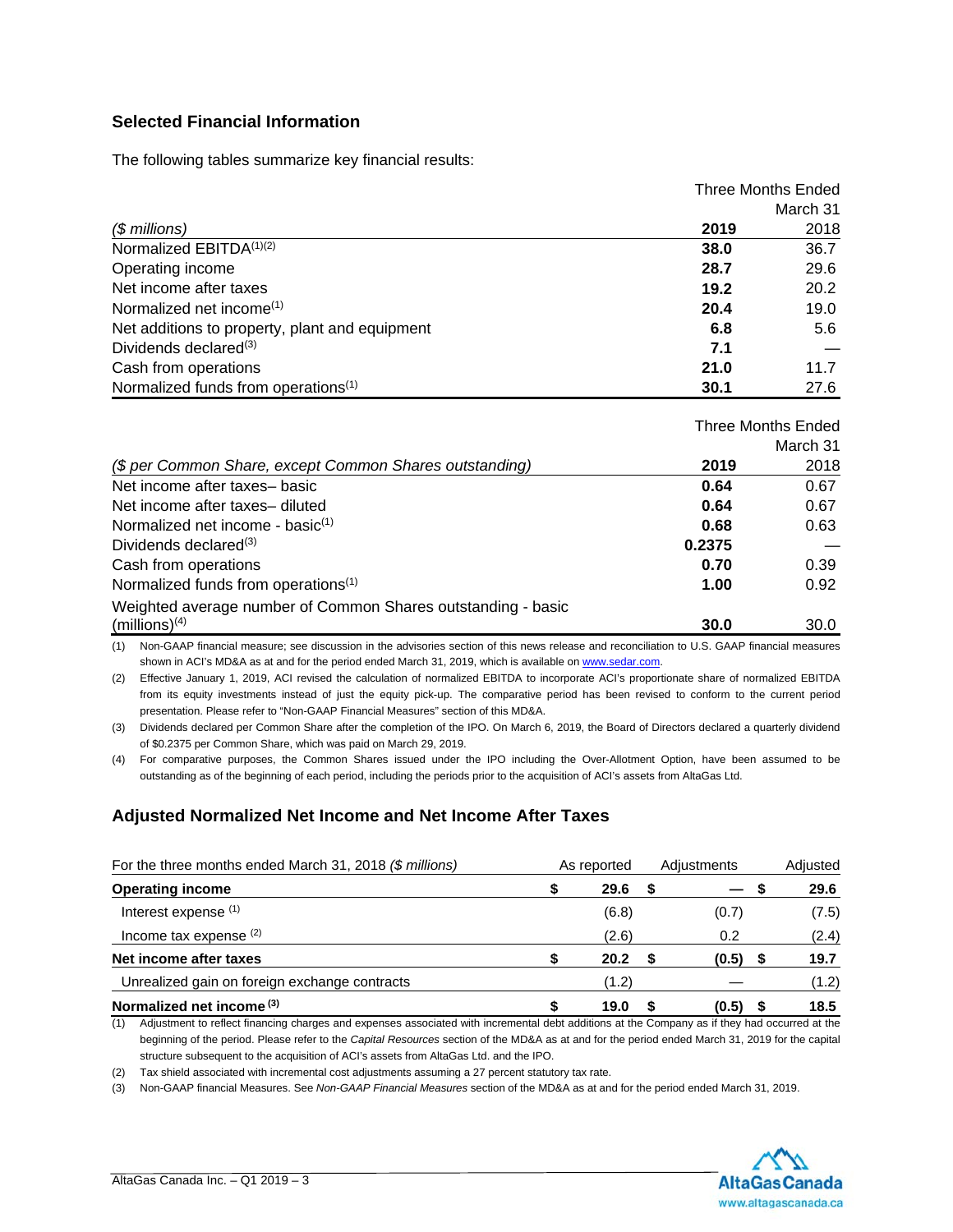### **Selected Financial Information**

The following tables summarize key financial results:

|                                                 | <b>Three Months Ended</b> |          |
|-------------------------------------------------|---------------------------|----------|
|                                                 |                           | March 31 |
| $$$ millions)                                   | 2019                      | 2018     |
| Normalized EBITDA(1)(2)                         | 38.0                      | 36.7     |
| Operating income                                | 28.7                      | 29.6     |
| Net income after taxes                          | 19.2                      | 20.2     |
| Normalized net income <sup>(1)</sup>            | 20.4                      | 19.0     |
| Net additions to property, plant and equipment  | 6.8                       | 5.6      |
| Dividends declared $(3)$                        | 7.1                       |          |
| Cash from operations                            | 21.0                      | 11.7     |
| Normalized funds from operations <sup>(1)</sup> | 30.1                      | 27.6     |

|                                                              | Three Months Ended |          |
|--------------------------------------------------------------|--------------------|----------|
|                                                              |                    | March 31 |
| (\$ per Common Share, except Common Shares outstanding)      | 2019               | 2018     |
| Net income after taxes-basic                                 | 0.64               | 0.67     |
| Net income after taxes- diluted                              | 0.64               | 0.67     |
| Normalized net income - basi $c^{(1)}$                       | 0.68               | 0.63     |
| Dividends declared <sup>(3)</sup>                            | 0.2375             |          |
| Cash from operations                                         | 0.70               | 0.39     |
| Normalized funds from operations <sup>(1)</sup>              | 1.00               | 0.92     |
| Weighted average number of Common Shares outstanding - basic |                    |          |
| $(millions)^{(4)}$                                           | 30.0               | 30.0     |

(1) Non-GAAP financial measure; see discussion in the advisories section of this news release and reconciliation to U.S. GAAP financial measures shown in ACI's MD&A as at and for the period ended March 31, 2019, which is available on www.sedar.com.

(2) Effective January 1, 2019, ACI revised the calculation of normalized EBITDA to incorporate ACI's proportionate share of normalized EBITDA from its equity investments instead of just the equity pick-up. The comparative period has been revised to conform to the current period presentation. Please refer to "Non-GAAP Financial Measures" section of this MD&A.

(3) Dividends declared per Common Share after the completion of the IPO. On March 6, 2019, the Board of Directors declared a quarterly dividend of \$0.2375 per Common Share, which was paid on March 29, 2019.

(4) For comparative purposes, the Common Shares issued under the IPO including the Over-Allotment Option, have been assumed to be outstanding as of the beginning of each period, including the periods prior to the acquisition of ACI's assets from AltaGas Ltd.

# **Adjusted Normalized Net Income and Net Income After Taxes**

| For the three months ended March 31, 2018 (\$ millions)                                                                                              | As reported | Adiustments |   | Adjusted |
|------------------------------------------------------------------------------------------------------------------------------------------------------|-------------|-------------|---|----------|
| <b>Operating income</b>                                                                                                                              | 29.6        |             | S | 29.6     |
| Interest expense (1)                                                                                                                                 | (6.8)       | (0.7)       |   | (7.5)    |
| Income tax expense $(2)$                                                                                                                             | (2.6)       | 0.2         |   | (2.4)    |
| Net income after taxes                                                                                                                               | 20.2        | (0.5)       |   | 19.7     |
| Unrealized gain on foreign exchange contracts                                                                                                        | (1.2)       |             |   | (1.2)    |
| Normalized net income $(3)$                                                                                                                          | 19.0        | (0.5)       |   | 18.5     |
| Adjustment to reflect financing charges and expenses associated with incremental debt additions at the Company as if they had occurred at the<br>(1) |             |             |   |          |

beginning of the period. Please refer to the *Capital Resources* section of the MD&A as at and for the period ended March 31, 2019 for the capital structure subsequent to the acquisition of ACI's assets from AltaGas Ltd. and the IPO.

(2) Tax shield associated with incremental cost adjustments assuming a 27 percent statutory tax rate.

(3) Non-GAAP financial Measures. See *Non-GAAP Financial Measures* section of the MD&A as at and for the period ended March 31, 2019.

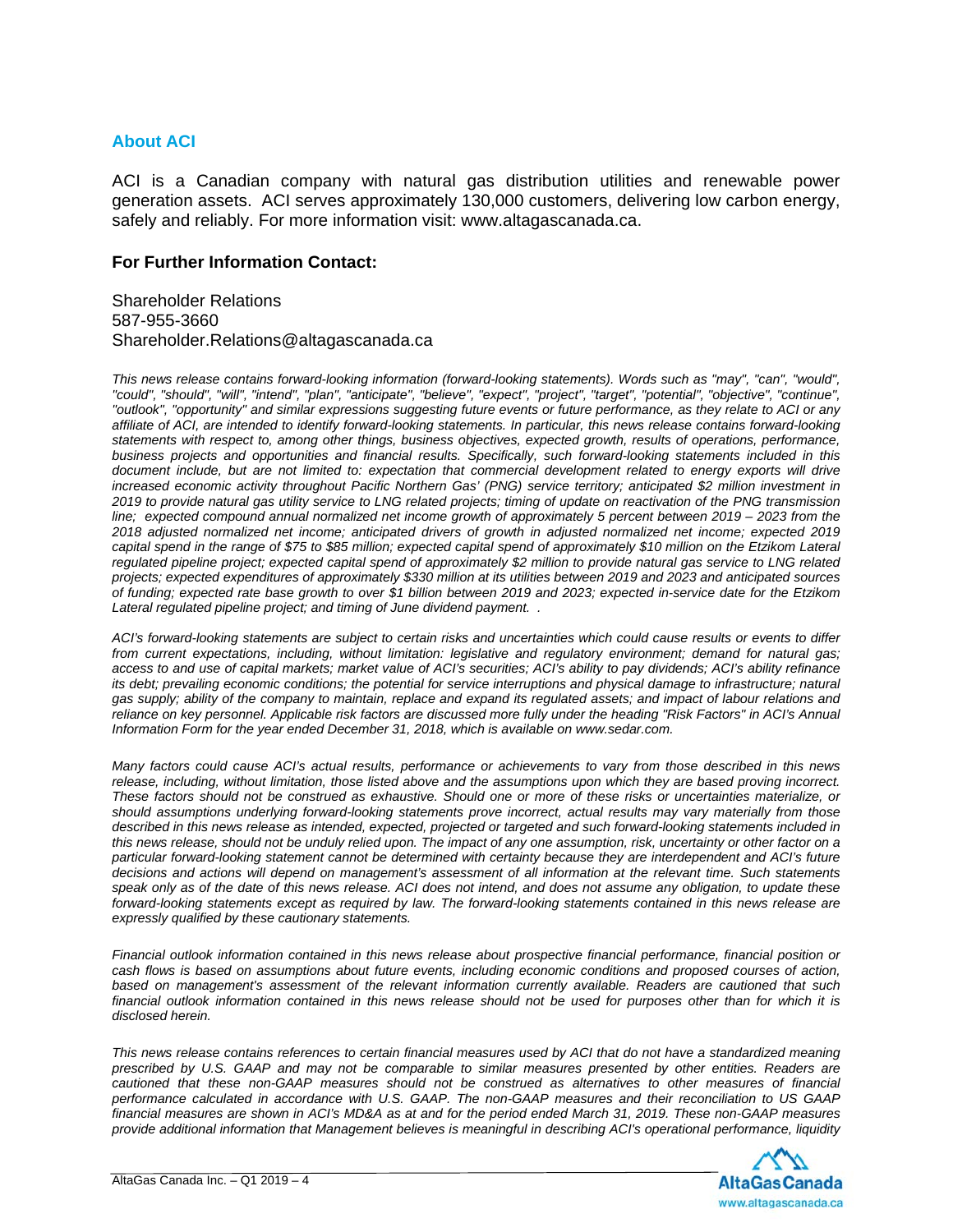### **About ACI**

ACI is a Canadian company with natural gas distribution utilities and renewable power generation assets. ACI serves approximately 130,000 customers, delivering low carbon energy, safely and reliably. For more information visit: www.altagascanada.ca.

#### **For Further Information Contact:**

Shareholder Relations 587-955-3660 Shareholder.Relations@altagascanada.ca

*This news release contains forward-looking information (forward-looking statements). Words such as "may", "can", "would", "could", "should", "will", "intend", "plan", "anticipate", "believe", "expect", "project", "target", "potential", "objective", "continue", "outlook", "opportunity" and similar expressions suggesting future events or future performance, as they relate to ACI or any affiliate of ACI, are intended to identify forward-looking statements. In particular, this news release contains forward-looking statements with respect to, among other things, business objectives, expected growth, results of operations, performance, business projects and opportunities and financial results. Specifically, such forward-looking statements included in this document include, but are not limited to: expectation that commercial development related to energy exports will drive increased economic activity throughout Pacific Northern Gas' (PNG) service territory; anticipated \$2 million investment in 2019 to provide natural gas utility service to LNG related projects; timing of update on reactivation of the PNG transmission*  line; expected compound annual normalized net income growth of approximately 5 percent between 2019 – 2023 from the *2018 adjusted normalized net income; anticipated drivers of growth in adjusted normalized net income; expected 2019 capital spend in the range of \$75 to \$85 million; expected capital spend of approximately \$10 million on the Etzikom Lateral regulated pipeline project; expected capital spend of approximately \$2 million to provide natural gas service to LNG related projects; expected expenditures of approximately \$330 million at its utilities between 2019 and 2023 and anticipated sources of funding; expected rate base growth to over \$1 billion between 2019 and 2023; expected in-service date for the Etzikom Lateral regulated pipeline project; and timing of June dividend payment. .* 

*ACI's forward-looking statements are subject to certain risks and uncertainties which could cause results or events to differ from current expectations, including, without limitation: legislative and regulatory environment; demand for natural gas; access to and use of capital markets; market value of ACI's securities; ACI's ability to pay dividends; ACI's ability refinance its debt; prevailing economic conditions; the potential for service interruptions and physical damage to infrastructure; natural gas supply; ability of the company to maintain, replace and expand its regulated assets; and impact of labour relations and reliance on key personnel. Applicable risk factors are discussed more fully under the heading "Risk Factors" in ACI's Annual Information Form for the year ended December 31, 2018, which is available on www.sedar.com.* 

*Many factors could cause ACI's actual results, performance or achievements to vary from those described in this news release, including, without limitation, those listed above and the assumptions upon which they are based proving incorrect. These factors should not be construed as exhaustive. Should one or more of these risks or uncertainties materialize, or should assumptions underlying forward-looking statements prove incorrect, actual results may vary materially from those described in this news release as intended, expected, projected or targeted and such forward-looking statements included in this news release, should not be unduly relied upon. The impact of any one assumption, risk, uncertainty or other factor on a particular forward-looking statement cannot be determined with certainty because they are interdependent and ACI's future decisions and actions will depend on management's assessment of all information at the relevant time. Such statements speak only as of the date of this news release. ACI does not intend, and does not assume any obligation, to update these forward-looking statements except as required by law. The forward-looking statements contained in this news release are expressly qualified by these cautionary statements.* 

*Financial outlook information contained in this news release about prospective financial performance, financial position or cash flows is based on assumptions about future events, including economic conditions and proposed courses of action, based on management's assessment of the relevant information currently available. Readers are cautioned that such financial outlook information contained in this news release should not be used for purposes other than for which it is disclosed herein.* 

*This news release contains references to certain financial measures used by ACI that do not have a standardized meaning prescribed by U.S. GAAP and may not be comparable to similar measures presented by other entities. Readers are cautioned that these non-GAAP measures should not be construed as alternatives to other measures of financial performance calculated in accordance with U.S. GAAP. The non-GAAP measures and their reconciliation to US GAAP financial measures are shown in ACI's MD&A as at and for the period ended March 31, 2019. These non-GAAP measures provide additional information that Management believes is meaningful in describing ACI's operational performance, liquidity* 

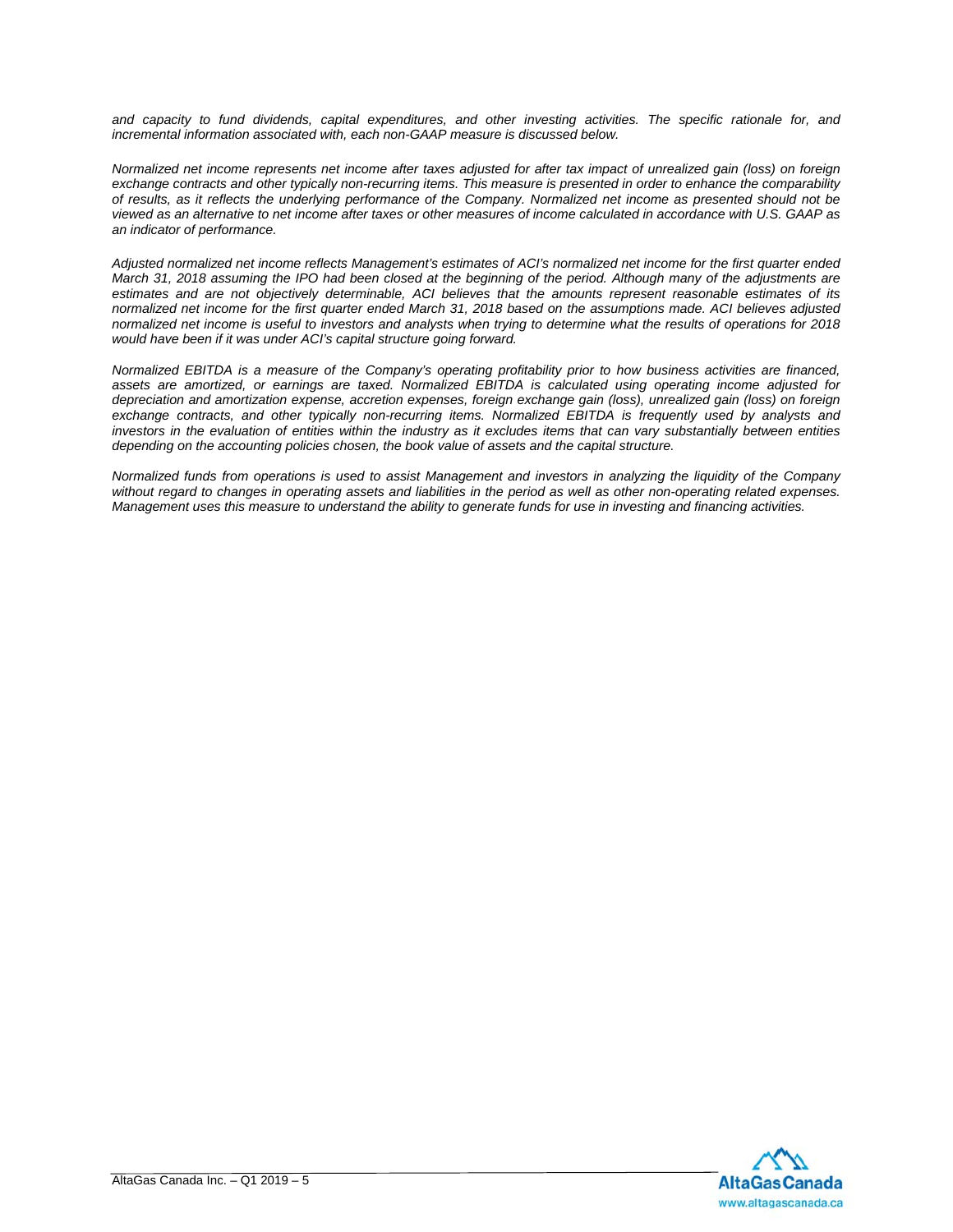*and capacity to fund dividends, capital expenditures, and other investing activities. The specific rationale for, and incremental information associated with, each non-GAAP measure is discussed below.* 

*Normalized net income represents net income after taxes adjusted for after tax impact of unrealized gain (loss) on foreign exchange contracts and other typically non-recurring items. This measure is presented in order to enhance the comparability of results, as it reflects the underlying performance of the Company. Normalized net income as presented should not be viewed as an alternative to net income after taxes or other measures of income calculated in accordance with U.S. GAAP as an indicator of performance.* 

*Adjusted normalized net income reflects Management's estimates of ACI's normalized net income for the first quarter ended March 31, 2018 assuming the IPO had been closed at the beginning of the period. Although many of the adjustments are estimates and are not objectively determinable, ACI believes that the amounts represent reasonable estimates of its normalized net income for the first quarter ended March 31, 2018 based on the assumptions made. ACI believes adjusted normalized net income is useful to investors and analysts when trying to determine what the results of operations for 2018 would have been if it was under ACI's capital structure going forward.* 

*Normalized EBITDA is a measure of the Company's operating profitability prior to how business activities are financed, assets are amortized, or earnings are taxed. Normalized EBITDA is calculated using operating income adjusted for depreciation and amortization expense, accretion expenses, foreign exchange gain (loss), unrealized gain (loss) on foreign exchange contracts, and other typically non-recurring items. Normalized EBITDA is frequently used by analysts and investors in the evaluation of entities within the industry as it excludes items that can vary substantially between entities depending on the accounting policies chosen, the book value of assets and the capital structure.* 

*Normalized funds from operations is used to assist Management and investors in analyzing the liquidity of the Company without regard to changes in operating assets and liabilities in the period as well as other non-operating related expenses. Management uses this measure to understand the ability to generate funds for use in investing and financing activities.* 

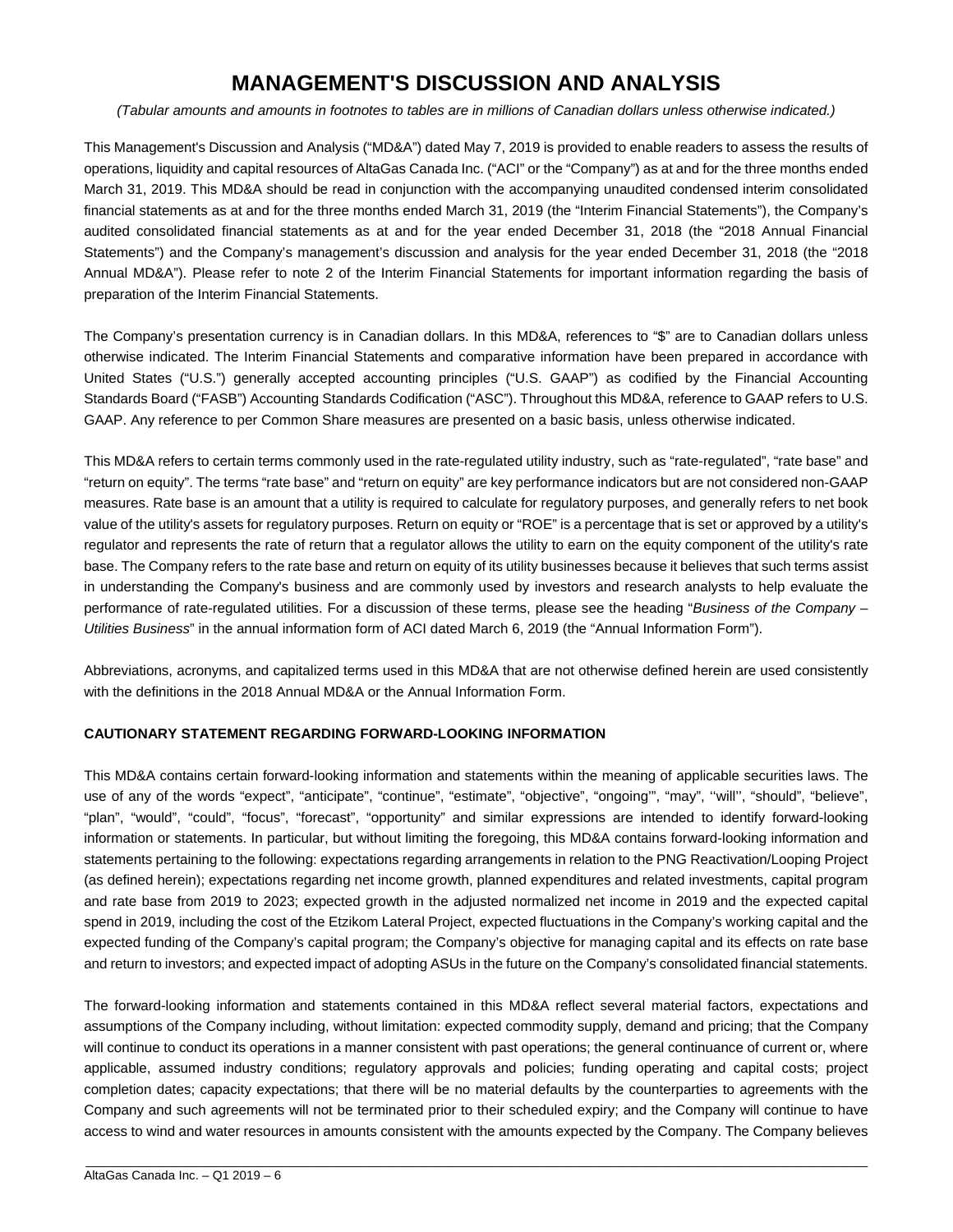# **MANAGEMENT'S DISCUSSION AND ANALYSIS**

*(Tabular amounts and amounts in footnotes to tables are in millions of Canadian dollars unless otherwise indicated.)* 

This Management's Discussion and Analysis ("MD&A") dated May 7, 2019 is provided to enable readers to assess the results of operations, liquidity and capital resources of AltaGas Canada Inc. ("ACI" or the "Company") as at and for the three months ended March 31, 2019. This MD&A should be read in conjunction with the accompanying unaudited condensed interim consolidated financial statements as at and for the three months ended March 31, 2019 (the "Interim Financial Statements"), the Company's audited consolidated financial statements as at and for the year ended December 31, 2018 (the "2018 Annual Financial Statements") and the Company's management's discussion and analysis for the year ended December 31, 2018 (the "2018 Annual MD&A"). Please refer to note 2 of the Interim Financial Statements for important information regarding the basis of preparation of the Interim Financial Statements.

The Company's presentation currency is in Canadian dollars. In this MD&A, references to "\$" are to Canadian dollars unless otherwise indicated. The Interim Financial Statements and comparative information have been prepared in accordance with United States ("U.S.") generally accepted accounting principles ("U.S. GAAP") as codified by the Financial Accounting Standards Board ("FASB") Accounting Standards Codification ("ASC"). Throughout this MD&A, reference to GAAP refers to U.S. GAAP. Any reference to per Common Share measures are presented on a basic basis, unless otherwise indicated.

This MD&A refers to certain terms commonly used in the rate-regulated utility industry, such as "rate-regulated", "rate base" and "return on equity". The terms "rate base" and "return on equity" are key performance indicators but are not considered non-GAAP measures. Rate base is an amount that a utility is required to calculate for regulatory purposes, and generally refers to net book value of the utility's assets for regulatory purposes. Return on equity or "ROE" is a percentage that is set or approved by a utility's regulator and represents the rate of return that a regulator allows the utility to earn on the equity component of the utility's rate base. The Company refers to the rate base and return on equity of its utility businesses because it believes that such terms assist in understanding the Company's business and are commonly used by investors and research analysts to help evaluate the performance of rate-regulated utilities. For a discussion of these terms, please see the heading "*Business of the Company – Utilities Business*" in the annual information form of ACI dated March 6, 2019 (the "Annual Information Form").

Abbreviations, acronyms, and capitalized terms used in this MD&A that are not otherwise defined herein are used consistently with the definitions in the 2018 Annual MD&A or the Annual Information Form.

#### **CAUTIONARY STATEMENT REGARDING FORWARD-LOOKING INFORMATION**

This MD&A contains certain forward-looking information and statements within the meaning of applicable securities laws. The use of any of the words "expect", "anticipate", "continue", "estimate", "objective", "ongoing'", "may", ''will'', "should", "believe", "plan", "would", "could", "focus", "forecast", "opportunity" and similar expressions are intended to identify forward-looking information or statements. In particular, but without limiting the foregoing, this MD&A contains forward-looking information and statements pertaining to the following: expectations regarding arrangements in relation to the PNG Reactivation/Looping Project (as defined herein); expectations regarding net income growth, planned expenditures and related investments, capital program and rate base from 2019 to 2023; expected growth in the adjusted normalized net income in 2019 and the expected capital spend in 2019, including the cost of the Etzikom Lateral Project, expected fluctuations in the Company's working capital and the expected funding of the Company's capital program; the Company's objective for managing capital and its effects on rate base and return to investors; and expected impact of adopting ASUs in the future on the Company's consolidated financial statements.

The forward-looking information and statements contained in this MD&A reflect several material factors, expectations and assumptions of the Company including, without limitation: expected commodity supply, demand and pricing; that the Company will continue to conduct its operations in a manner consistent with past operations; the general continuance of current or, where applicable, assumed industry conditions; regulatory approvals and policies; funding operating and capital costs; project completion dates; capacity expectations; that there will be no material defaults by the counterparties to agreements with the Company and such agreements will not be terminated prior to their scheduled expiry; and the Company will continue to have access to wind and water resources in amounts consistent with the amounts expected by the Company. The Company believes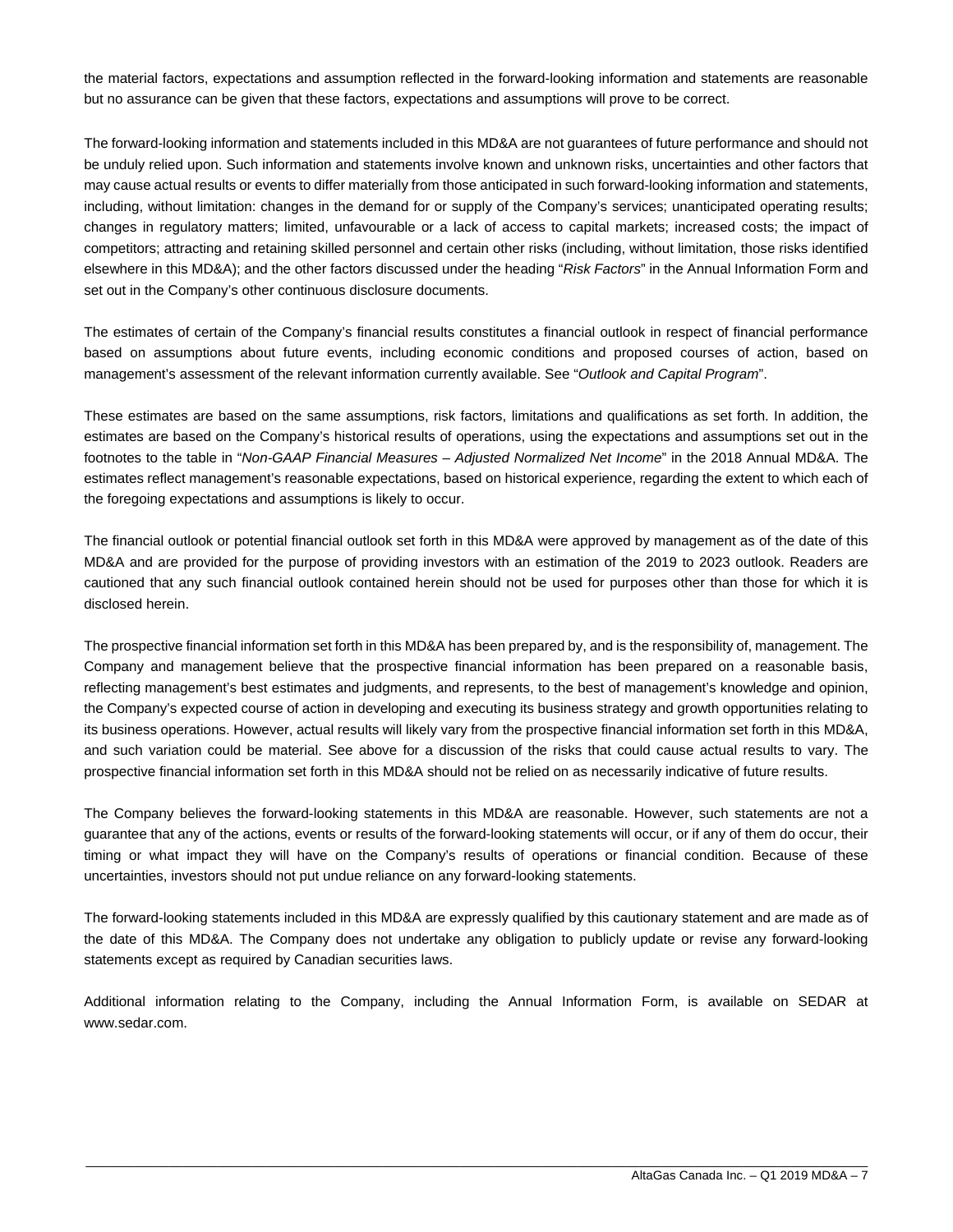the material factors, expectations and assumption reflected in the forward-looking information and statements are reasonable but no assurance can be given that these factors, expectations and assumptions will prove to be correct.

The forward-looking information and statements included in this MD&A are not guarantees of future performance and should not be unduly relied upon. Such information and statements involve known and unknown risks, uncertainties and other factors that may cause actual results or events to differ materially from those anticipated in such forward-looking information and statements, including, without limitation: changes in the demand for or supply of the Company's services; unanticipated operating results; changes in regulatory matters; limited, unfavourable or a lack of access to capital markets; increased costs; the impact of competitors; attracting and retaining skilled personnel and certain other risks (including, without limitation, those risks identified elsewhere in this MD&A); and the other factors discussed under the heading "*Risk Factors*" in the Annual Information Form and set out in the Company's other continuous disclosure documents.

The estimates of certain of the Company's financial results constitutes a financial outlook in respect of financial performance based on assumptions about future events, including economic conditions and proposed courses of action, based on management's assessment of the relevant information currently available. See "*Outlook and Capital Program*".

These estimates are based on the same assumptions, risk factors, limitations and qualifications as set forth. In addition, the estimates are based on the Company's historical results of operations, using the expectations and assumptions set out in the footnotes to the table in "*Non-GAAP Financial Measures – Adjusted Normalized Net Income*" in the 2018 Annual MD&A. The estimates reflect management's reasonable expectations, based on historical experience, regarding the extent to which each of the foregoing expectations and assumptions is likely to occur.

The financial outlook or potential financial outlook set forth in this MD&A were approved by management as of the date of this MD&A and are provided for the purpose of providing investors with an estimation of the 2019 to 2023 outlook. Readers are cautioned that any such financial outlook contained herein should not be used for purposes other than those for which it is disclosed herein.

The prospective financial information set forth in this MD&A has been prepared by, and is the responsibility of, management. The Company and management believe that the prospective financial information has been prepared on a reasonable basis, reflecting management's best estimates and judgments, and represents, to the best of management's knowledge and opinion, the Company's expected course of action in developing and executing its business strategy and growth opportunities relating to its business operations. However, actual results will likely vary from the prospective financial information set forth in this MD&A, and such variation could be material. See above for a discussion of the risks that could cause actual results to vary. The prospective financial information set forth in this MD&A should not be relied on as necessarily indicative of future results.

The Company believes the forward-looking statements in this MD&A are reasonable. However, such statements are not a guarantee that any of the actions, events or results of the forward-looking statements will occur, or if any of them do occur, their timing or what impact they will have on the Company's results of operations or financial condition. Because of these uncertainties, investors should not put undue reliance on any forward-looking statements.

The forward-looking statements included in this MD&A are expressly qualified by this cautionary statement and are made as of the date of this MD&A. The Company does not undertake any obligation to publicly update or revise any forward-looking statements except as required by Canadian securities laws.

Additional information relating to the Company, including the Annual Information Form, is available on SEDAR at www.sedar.com.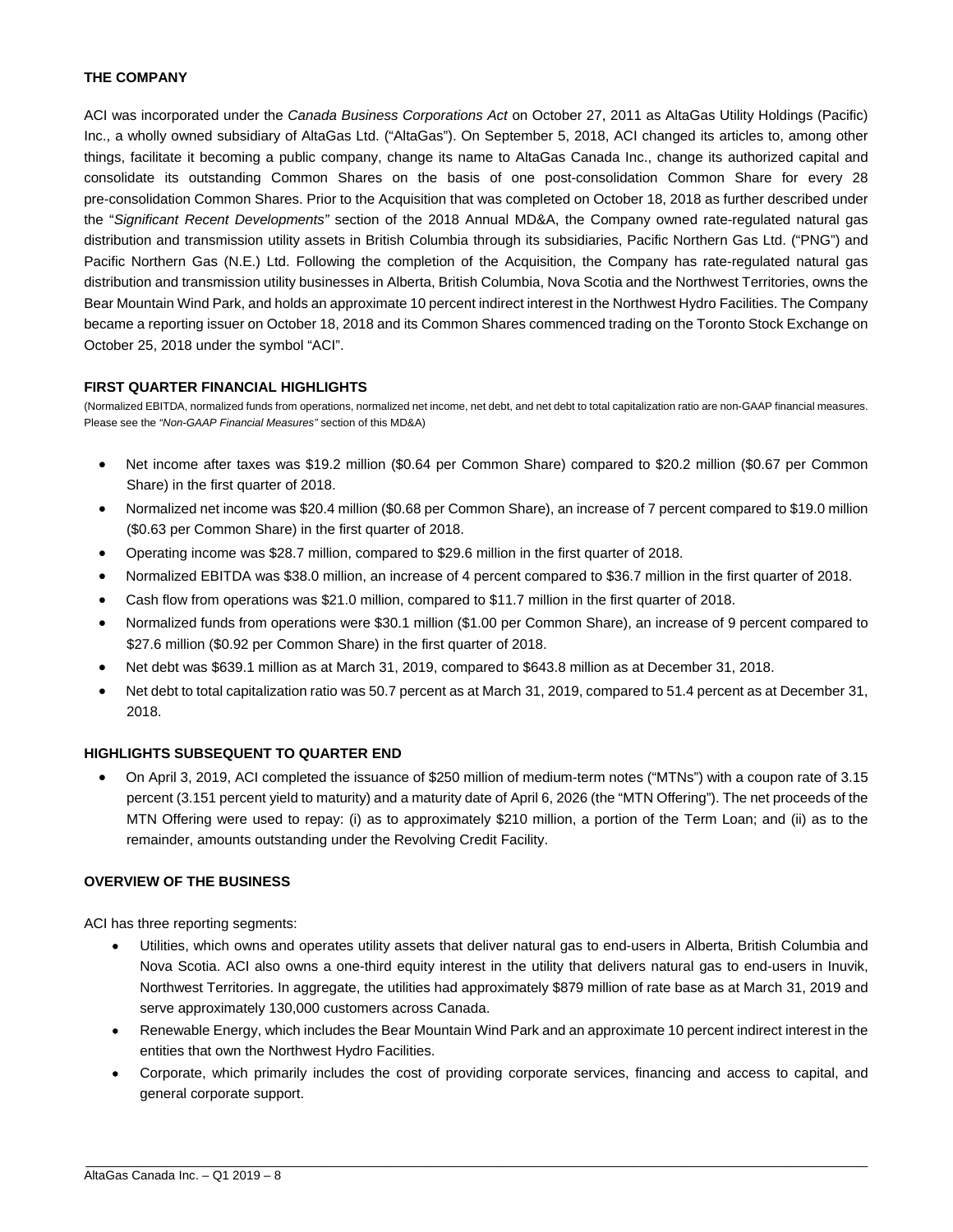#### **THE COMPANY**

ACI was incorporated under the *Canada Business Corporations Act* on October 27, 2011 as AltaGas Utility Holdings (Pacific) Inc., a wholly owned subsidiary of AltaGas Ltd. ("AltaGas"). On September 5, 2018, ACI changed its articles to, among other things, facilitate it becoming a public company, change its name to AltaGas Canada Inc., change its authorized capital and consolidate its outstanding Common Shares on the basis of one post-consolidation Common Share for every 28 pre-consolidation Common Shares. Prior to the Acquisition that was completed on October 18, 2018 as further described under the "*Significant Recent Developments"* section of the 2018 Annual MD&A, the Company owned rate-regulated natural gas distribution and transmission utility assets in British Columbia through its subsidiaries, Pacific Northern Gas Ltd. ("PNG") and Pacific Northern Gas (N.E.) Ltd. Following the completion of the Acquisition, the Company has rate-regulated natural gas distribution and transmission utility businesses in Alberta, British Columbia, Nova Scotia and the Northwest Territories, owns the Bear Mountain Wind Park, and holds an approximate 10 percent indirect interest in the Northwest Hydro Facilities. The Company became a reporting issuer on October 18, 2018 and its Common Shares commenced trading on the Toronto Stock Exchange on October 25, 2018 under the symbol "ACI".

#### **FIRST QUARTER FINANCIAL HIGHLIGHTS**

(Normalized EBITDA, normalized funds from operations, normalized net income, net debt, and net debt to total capitalization ratio are non-GAAP financial measures. Please see the *"Non-GAAP Financial Measures"* section of this MD&A)

- Net income after taxes was \$19.2 million (\$0.64 per Common Share) compared to \$20.2 million (\$0.67 per Common Share) in the first quarter of 2018.
- Normalized net income was \$20.4 million (\$0.68 per Common Share), an increase of 7 percent compared to \$19.0 million (\$0.63 per Common Share) in the first quarter of 2018.
- Operating income was \$28.7 million, compared to \$29.6 million in the first quarter of 2018.
- Normalized EBITDA was \$38.0 million, an increase of 4 percent compared to \$36.7 million in the first quarter of 2018.
- Cash flow from operations was \$21.0 million, compared to \$11.7 million in the first quarter of 2018.
- Normalized funds from operations were \$30.1 million (\$1.00 per Common Share), an increase of 9 percent compared to \$27.6 million (\$0.92 per Common Share) in the first quarter of 2018.
- Net debt was \$639.1 million as at March 31, 2019, compared to \$643.8 million as at December 31, 2018.
- Net debt to total capitalization ratio was 50.7 percent as at March 31, 2019, compared to 51.4 percent as at December 31, 2018.

#### **HIGHLIGHTS SUBSEQUENT TO QUARTER END**

 On April 3, 2019, ACI completed the issuance of \$250 million of medium-term notes ("MTNs") with a coupon rate of 3.15 percent (3.151 percent yield to maturity) and a maturity date of April 6, 2026 (the "MTN Offering"). The net proceeds of the MTN Offering were used to repay: (i) as to approximately \$210 million, a portion of the Term Loan; and (ii) as to the remainder, amounts outstanding under the Revolving Credit Facility.

#### **OVERVIEW OF THE BUSINESS**

ACI has three reporting segments:

- Utilities, which owns and operates utility assets that deliver natural gas to end-users in Alberta, British Columbia and Nova Scotia. ACI also owns a one-third equity interest in the utility that delivers natural gas to end-users in Inuvik, Northwest Territories. In aggregate, the utilities had approximately \$879 million of rate base as at March 31, 2019 and serve approximately 130,000 customers across Canada.
- Renewable Energy, which includes the Bear Mountain Wind Park and an approximate 10 percent indirect interest in the entities that own the Northwest Hydro Facilities.
- Corporate, which primarily includes the cost of providing corporate services, financing and access to capital, and general corporate support.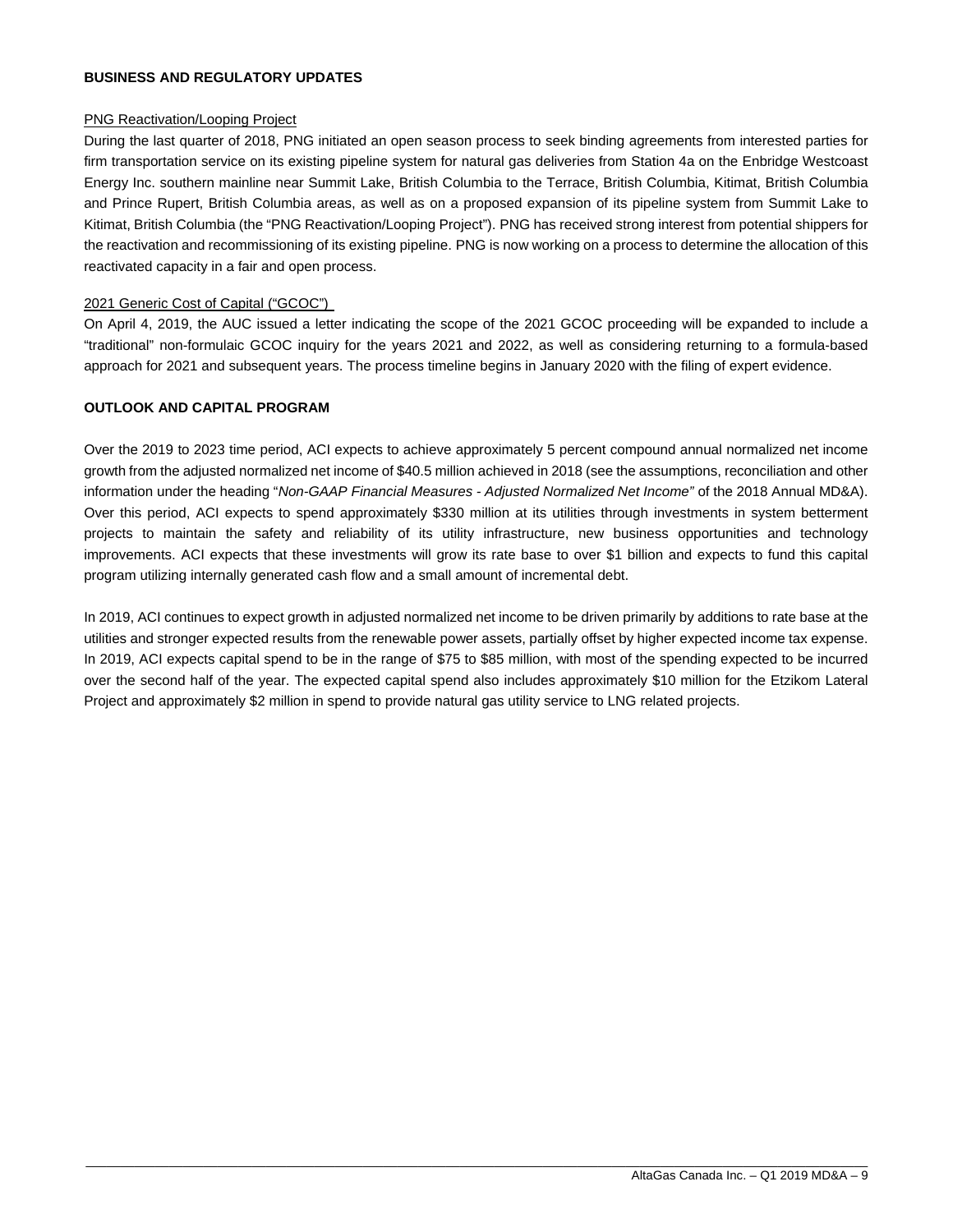#### **BUSINESS AND REGULATORY UPDATES**

#### PNG Reactivation/Looping Project

During the last quarter of 2018, PNG initiated an open season process to seek binding agreements from interested parties for firm transportation service on its existing pipeline system for natural gas deliveries from Station 4a on the Enbridge Westcoast Energy Inc. southern mainline near Summit Lake, British Columbia to the Terrace, British Columbia, Kitimat, British Columbia and Prince Rupert, British Columbia areas, as well as on a proposed expansion of its pipeline system from Summit Lake to Kitimat, British Columbia (the "PNG Reactivation/Looping Project"). PNG has received strong interest from potential shippers for the reactivation and recommissioning of its existing pipeline. PNG is now working on a process to determine the allocation of this reactivated capacity in a fair and open process.

#### 2021 Generic Cost of Capital ("GCOC")

On April 4, 2019, the AUC issued a letter indicating the scope of the 2021 GCOC proceeding will be expanded to include a "traditional" non-formulaic GCOC inquiry for the years 2021 and 2022, as well as considering returning to a formula-based approach for 2021 and subsequent years. The process timeline begins in January 2020 with the filing of expert evidence.

#### **OUTLOOK AND CAPITAL PROGRAM**

Over the 2019 to 2023 time period, ACI expects to achieve approximately 5 percent compound annual normalized net income growth from the adjusted normalized net income of \$40.5 million achieved in 2018 (see the assumptions, reconciliation and other information under the heading "*Non-GAAP Financial Measures - Adjusted Normalized Net Income"* of the 2018 Annual MD&A). Over this period, ACI expects to spend approximately \$330 million at its utilities through investments in system betterment projects to maintain the safety and reliability of its utility infrastructure, new business opportunities and technology improvements. ACI expects that these investments will grow its rate base to over \$1 billion and expects to fund this capital program utilizing internally generated cash flow and a small amount of incremental debt.

In 2019, ACI continues to expect growth in adjusted normalized net income to be driven primarily by additions to rate base at the utilities and stronger expected results from the renewable power assets, partially offset by higher expected income tax expense. In 2019, ACI expects capital spend to be in the range of \$75 to \$85 million, with most of the spending expected to be incurred over the second half of the year. The expected capital spend also includes approximately \$10 million for the Etzikom Lateral Project and approximately \$2 million in spend to provide natural gas utility service to LNG related projects.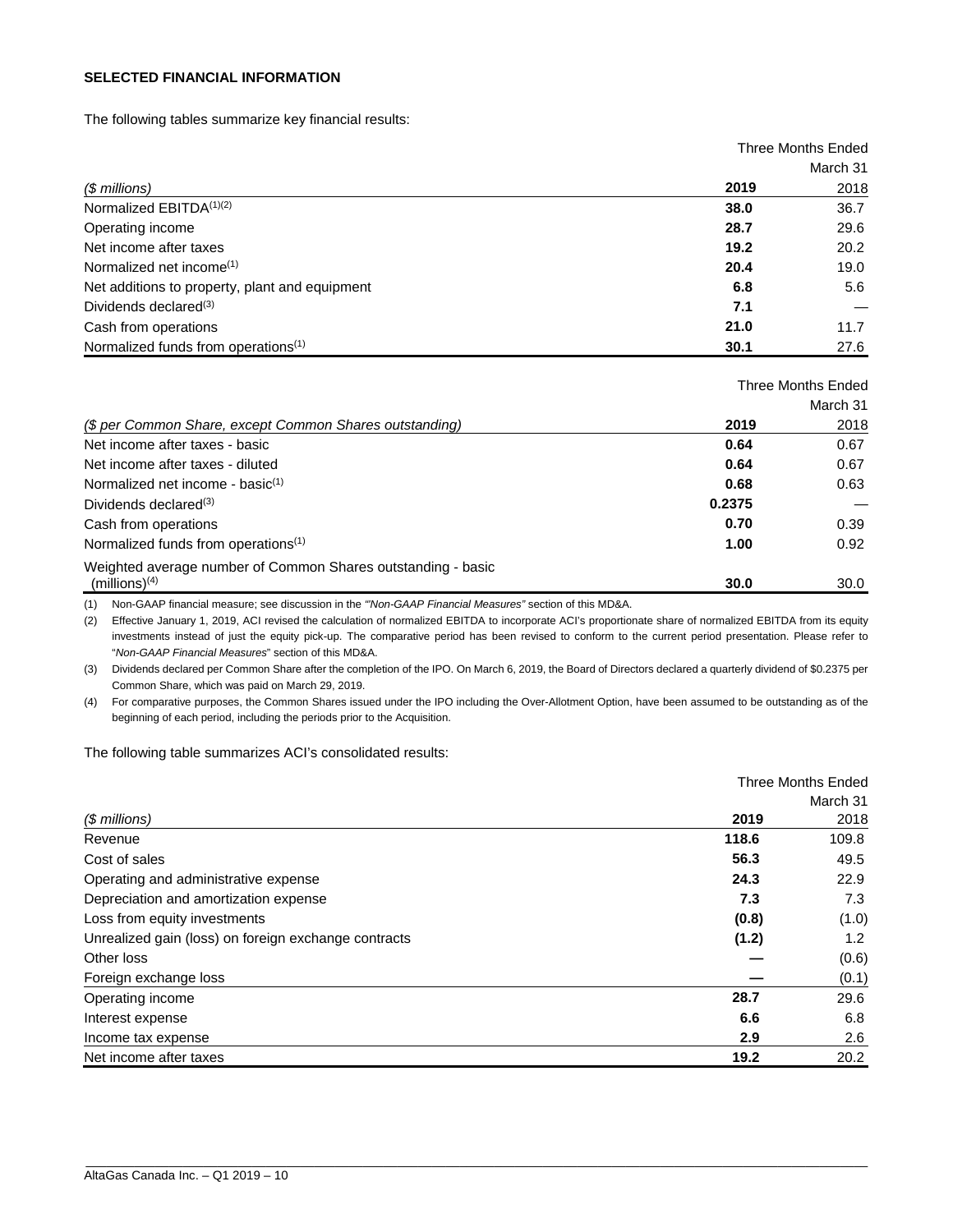#### **SELECTED FINANCIAL INFORMATION**

The following tables summarize key financial results:

|                                                 |      | Three Months Ended |
|-------------------------------------------------|------|--------------------|
|                                                 |      | March 31           |
| $$$ millions)                                   | 2019 | 2018               |
| Normalized $EBITDA(1)(2)$                       | 38.0 | 36.7               |
| Operating income                                | 28.7 | 29.6               |
| Net income after taxes                          | 19.2 | 20.2               |
| Normalized net income $(1)$                     | 20.4 | 19.0               |
| Net additions to property, plant and equipment  | 6.8  | 5.6                |
| Dividends declared $(3)$                        | 7.1  |                    |
| Cash from operations                            | 21.0 | 11.7               |
| Normalized funds from operations <sup>(1)</sup> | 30.1 | 27.6               |

|                                                              |        | Three Months Ended |
|--------------------------------------------------------------|--------|--------------------|
|                                                              |        | March 31           |
| (\$ per Common Share, except Common Shares outstanding)      | 2019   | 2018               |
| Net income after taxes - basic                               | 0.64   | 0.67               |
| Net income after taxes - diluted                             | 0.64   | 0.67               |
| Normalized net income - basic <sup>(1)</sup>                 | 0.68   | 0.63               |
| Dividends declared <sup>(3)</sup>                            | 0.2375 |                    |
| Cash from operations                                         | 0.70   | 0.39               |
| Normalized funds from operations <sup>(1)</sup>              | 1.00   | 0.92               |
| Weighted average number of Common Shares outstanding - basic |        |                    |
| (millions) <sup>(4)</sup>                                    | 30.0   | 30.0               |

(1) Non-GAAP financial measure; see discussion in the *"'Non-GAAP Financial Measures"* section of this MD&A.

(2) Effective January 1, 2019, ACI revised the calculation of normalized EBITDA to incorporate ACI's proportionate share of normalized EBITDA from its equity investments instead of just the equity pick-up. The comparative period has been revised to conform to the current period presentation. Please refer to "*Non-GAAP Financial Measures*" section of this MD&A.

(3) Dividends declared per Common Share after the completion of the IPO. On March 6, 2019, the Board of Directors declared a quarterly dividend of \$0.2375 per Common Share, which was paid on March 29, 2019.

(4) For comparative purposes, the Common Shares issued under the IPO including the Over-Allotment Option, have been assumed to be outstanding as of the beginning of each period, including the periods prior to the Acquisition.

The following table summarizes ACI's consolidated results:

|                                                      |       | Three Months Ended |
|------------------------------------------------------|-------|--------------------|
|                                                      |       | March 31           |
| $$$ millions)                                        | 2019  | 2018               |
| Revenue                                              | 118.6 | 109.8              |
| Cost of sales                                        | 56.3  | 49.5               |
| Operating and administrative expense                 | 24.3  | 22.9               |
| Depreciation and amortization expense                | 7.3   | 7.3                |
| Loss from equity investments                         | (0.8) | (1.0)              |
| Unrealized gain (loss) on foreign exchange contracts | (1.2) | $1.2^{\circ}$      |
| Other loss                                           |       | (0.6)              |
| Foreign exchange loss                                |       | (0.1)              |
| Operating income                                     | 28.7  | 29.6               |
| Interest expense                                     | 6.6   | 6.8                |
| Income tax expense                                   | 2.9   | 2.6                |
| Net income after taxes                               | 19.2  | 20.2               |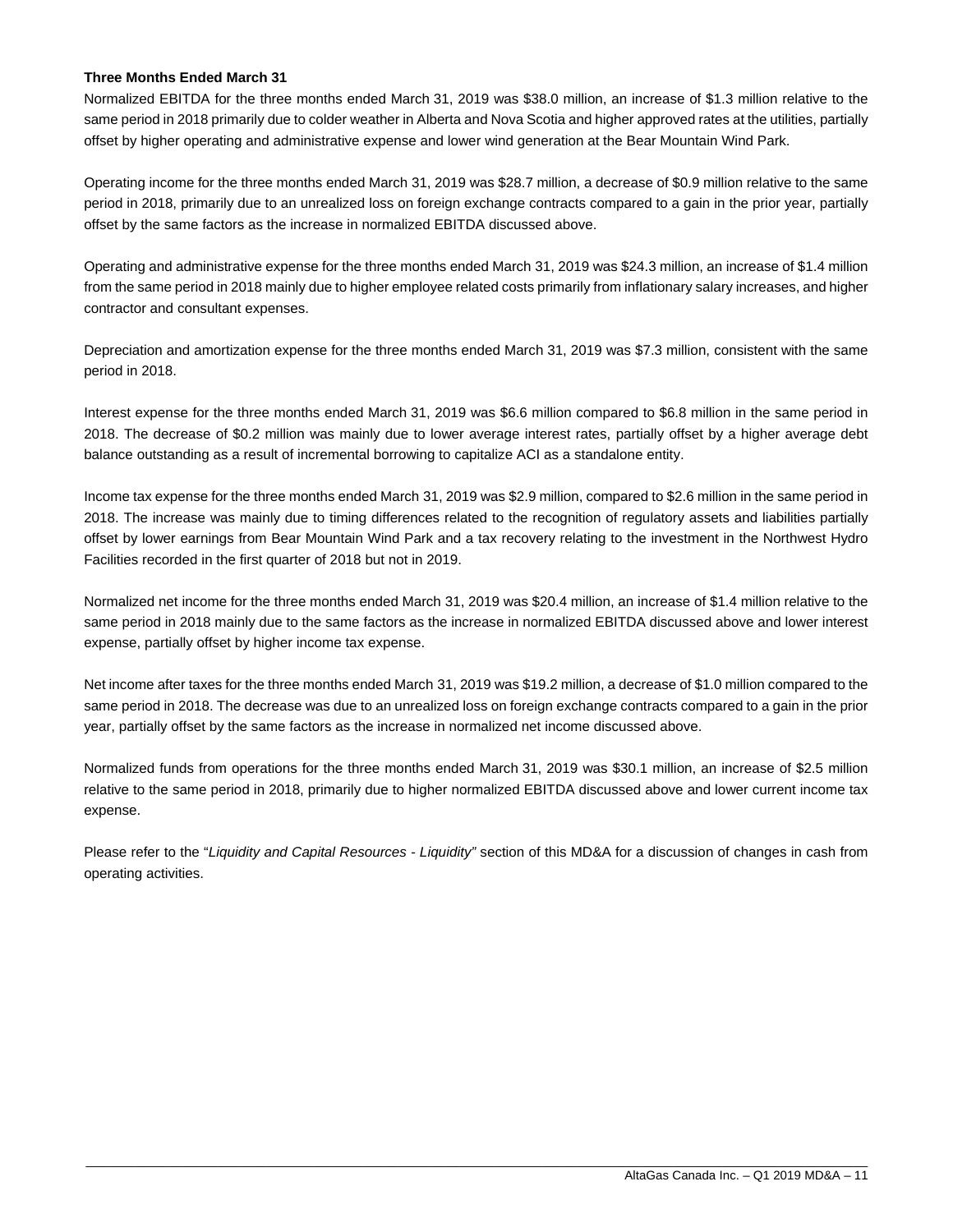#### **Three Months Ended March 31**

Normalized EBITDA for the three months ended March 31, 2019 was \$38.0 million, an increase of \$1.3 million relative to the same period in 2018 primarily due to colder weather in Alberta and Nova Scotia and higher approved rates at the utilities, partially offset by higher operating and administrative expense and lower wind generation at the Bear Mountain Wind Park.

Operating income for the three months ended March 31, 2019 was \$28.7 million, a decrease of \$0.9 million relative to the same period in 2018, primarily due to an unrealized loss on foreign exchange contracts compared to a gain in the prior year, partially offset by the same factors as the increase in normalized EBITDA discussed above.

Operating and administrative expense for the three months ended March 31, 2019 was \$24.3 million, an increase of \$1.4 million from the same period in 2018 mainly due to higher employee related costs primarily from inflationary salary increases, and higher contractor and consultant expenses.

Depreciation and amortization expense for the three months ended March 31, 2019 was \$7.3 million, consistent with the same period in 2018.

Interest expense for the three months ended March 31, 2019 was \$6.6 million compared to \$6.8 million in the same period in 2018. The decrease of \$0.2 million was mainly due to lower average interest rates, partially offset by a higher average debt balance outstanding as a result of incremental borrowing to capitalize ACI as a standalone entity.

Income tax expense for the three months ended March 31, 2019 was \$2.9 million, compared to \$2.6 million in the same period in 2018. The increase was mainly due to timing differences related to the recognition of regulatory assets and liabilities partially offset by lower earnings from Bear Mountain Wind Park and a tax recovery relating to the investment in the Northwest Hydro Facilities recorded in the first quarter of 2018 but not in 2019.

Normalized net income for the three months ended March 31, 2019 was \$20.4 million, an increase of \$1.4 million relative to the same period in 2018 mainly due to the same factors as the increase in normalized EBITDA discussed above and lower interest expense, partially offset by higher income tax expense.

Net income after taxes for the three months ended March 31, 2019 was \$19.2 million, a decrease of \$1.0 million compared to the same period in 2018. The decrease was due to an unrealized loss on foreign exchange contracts compared to a gain in the prior year, partially offset by the same factors as the increase in normalized net income discussed above.

Normalized funds from operations for the three months ended March 31, 2019 was \$30.1 million, an increase of \$2.5 million relative to the same period in 2018, primarily due to higher normalized EBITDA discussed above and lower current income tax expense.

Please refer to the "*Liquidity and Capital Resources - Liquidity"* section of this MD&A for a discussion of changes in cash from operating activities.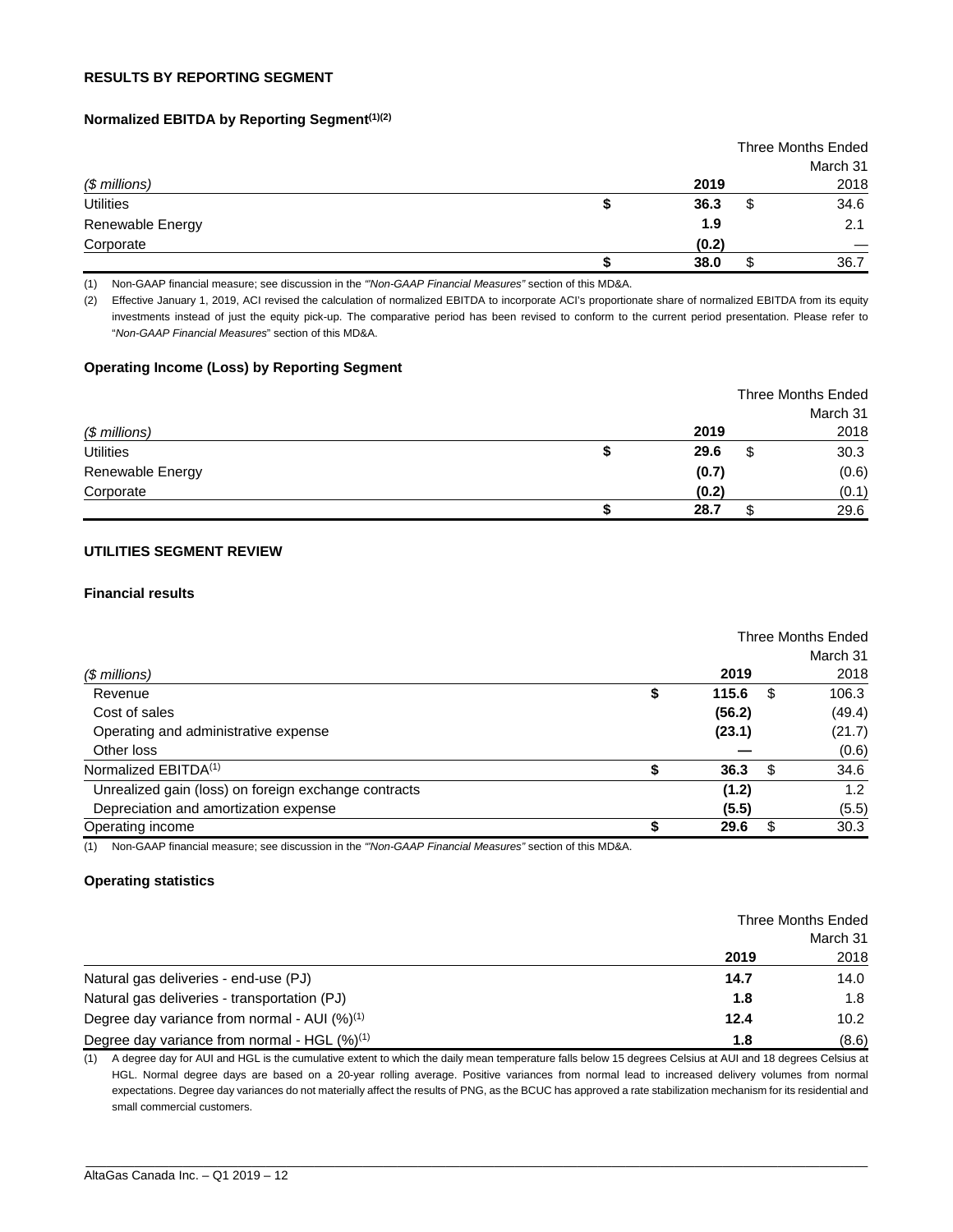#### **RESULTS BY REPORTING SEGMENT**

#### **Normalized EBITDA by Reporting Segment(1)(2)**

|                  |       | <b>Three Months Ended</b> |
|------------------|-------|---------------------------|
|                  |       | March 31                  |
| (\$ millions)    | 2019  | 2018                      |
| <b>Utilities</b> | 36.3  | \$<br>34.6                |
| Renewable Energy | 1.9   | 2.1                       |
| Corporate        | (0.2) |                           |
|                  | 38.0  | 36.7                      |

(1) Non-GAAP financial measure; see discussion in the *"'Non-GAAP Financial Measures"* section of this MD&A.

(2) Effective January 1, 2019, ACI revised the calculation of normalized EBITDA to incorporate ACI's proportionate share of normalized EBITDA from its equity investments instead of just the equity pick-up. The comparative period has been revised to conform to the current period presentation. Please refer to "*Non-GAAP Financial Measures*" section of this MD&A.

#### **Operating Income (Loss) by Reporting Segment**

|                  |       |   | Three Months Ended |
|------------------|-------|---|--------------------|
|                  |       |   | March 31           |
| $$$ millions)    | 2019  |   | 2018               |
| <b>Utilities</b> | 29.6  | S | 30.3               |
| Renewable Energy | (0.7) |   | (0.6)              |
| Corporate        | (0.2) |   | (0.1)              |
|                  | 28.7  |   | 29.6               |

# **UTILITIES SEGMENT REVIEW**

#### **Financial results**

|                                                      |    |        |      | Three Months Ended |
|------------------------------------------------------|----|--------|------|--------------------|
|                                                      |    |        |      | March 31           |
| (\$ millions)                                        |    | 2019   |      | 2018               |
| Revenue                                              | \$ | 115.6  | S    | 106.3              |
| Cost of sales                                        |    | (56.2) |      | (49.4)             |
| Operating and administrative expense                 |    | (23.1) |      | (21.7)             |
| Other loss                                           |    |        |      | (0.6)              |
| Normalized EBITDA <sup>(1)</sup>                     |    | 36.3   | - \$ | 34.6               |
| Unrealized gain (loss) on foreign exchange contracts |    | (1.2)  |      | 1.2                |
| Depreciation and amortization expense                |    | (5.5)  |      | (5.5)              |
| Operating income                                     | S  | 29.6   |      | 30.3               |

(1) Non-GAAP financial measure; see discussion in the *"'Non-GAAP Financial Measures"* section of this MD&A.

#### **Operating statistics**

|                                                    | Three Months Ended |       |
|----------------------------------------------------|--------------------|-------|
|                                                    | March 31           |       |
|                                                    | 2019               | 2018  |
| Natural gas deliveries - end-use (PJ)              | 14.7               | 14.0  |
| Natural gas deliveries - transportation (PJ)       | 1.8                | 1.8   |
| Degree day variance from normal - AUI $(%)^{(1)}$  | 12.4               | 10.2  |
| Degree day variance from normal - HGL $(\%)^{(1)}$ | 1.8                | (8.6) |

(1) A degree day for AUI and HGL is the cumulative extent to which the daily mean temperature falls below 15 degrees Celsius at AUI and 18 degrees Celsius at HGL. Normal degree days are based on a 20-year rolling average. Positive variances from normal lead to increased delivery volumes from normal expectations. Degree day variances do not materially affect the results of PNG, as the BCUC has approved a rate stabilization mechanism for its residential and small commercial customers.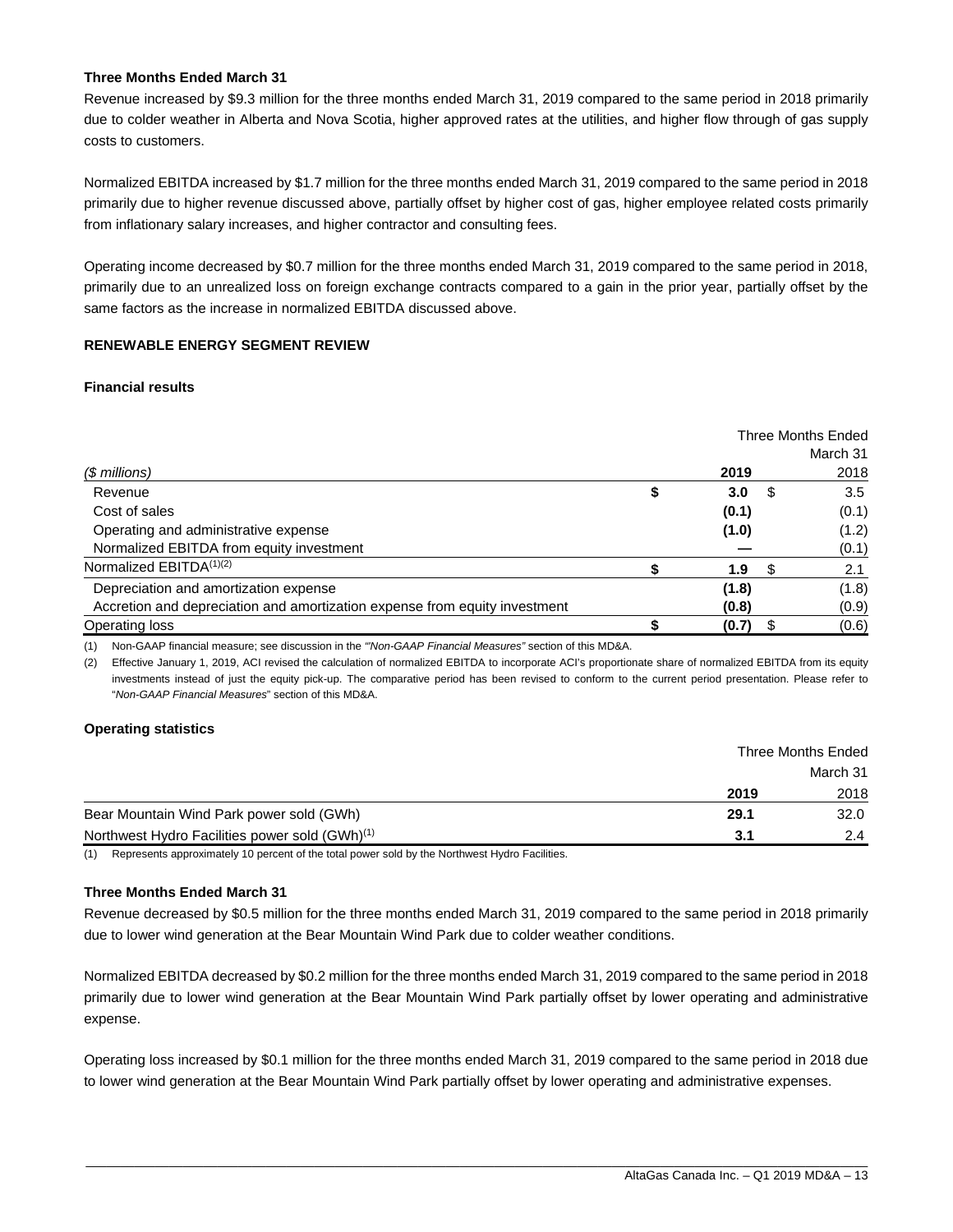#### **Three Months Ended March 31**

Revenue increased by \$9.3 million for the three months ended March 31, 2019 compared to the same period in 2018 primarily due to colder weather in Alberta and Nova Scotia, higher approved rates at the utilities, and higher flow through of gas supply costs to customers.

Normalized EBITDA increased by \$1.7 million for the three months ended March 31, 2019 compared to the same period in 2018 primarily due to higher revenue discussed above, partially offset by higher cost of gas, higher employee related costs primarily from inflationary salary increases, and higher contractor and consulting fees.

Operating income decreased by \$0.7 million for the three months ended March 31, 2019 compared to the same period in 2018, primarily due to an unrealized loss on foreign exchange contracts compared to a gain in the prior year, partially offset by the same factors as the increase in normalized EBITDA discussed above.

#### **RENEWABLE ENERGY SEGMENT REVIEW**

#### **Financial results**

|                                                                            |                        |    | Three Months Ended |
|----------------------------------------------------------------------------|------------------------|----|--------------------|
|                                                                            |                        |    | March 31           |
| (\$ millions)                                                              | 2019                   |    | 2018               |
| Revenue                                                                    | \$<br>3.0 <sub>2</sub> | £. | 3.5                |
| Cost of sales                                                              | (0.1)                  |    | (0.1)              |
| Operating and administrative expense                                       | (1.0)                  |    | (1.2)              |
| Normalized EBITDA from equity investment                                   |                        |    | (0.1)              |
| Normalized EBITDA <sup>(1)(2)</sup>                                        | 1.9                    | S. | 2.1                |
| Depreciation and amortization expense                                      | (1.8)                  |    | (1.8)              |
| Accretion and depreciation and amortization expense from equity investment | (0.8)                  |    | (0.9)              |
| Operating loss                                                             | (0.7)                  |    | (0.6)              |

(1) Non-GAAP financial measure; see discussion in the *"'Non-GAAP Financial Measures"* section of this MD&A.

(2) Effective January 1, 2019, ACI revised the calculation of normalized EBITDA to incorporate ACI's proportionate share of normalized EBITDA from its equity investments instead of just the equity pick-up. The comparative period has been revised to conform to the current period presentation. Please refer to "*Non-GAAP Financial Measures*" section of this MD&A.

#### **Operating statistics**

|                                                            | Three Months Ended |          |
|------------------------------------------------------------|--------------------|----------|
|                                                            |                    | March 31 |
|                                                            | 2019               | 2018     |
| Bear Mountain Wind Park power sold (GWh)                   | 29.1               | 32.0     |
| Northwest Hydro Facilities power sold (GWh) <sup>(1)</sup> | 3.1                | 2.4      |

(1) Represents approximately 10 percent of the total power sold by the Northwest Hydro Facilities.

#### **Three Months Ended March 31**

Revenue decreased by \$0.5 million for the three months ended March 31, 2019 compared to the same period in 2018 primarily due to lower wind generation at the Bear Mountain Wind Park due to colder weather conditions.

Normalized EBITDA decreased by \$0.2 million for the three months ended March 31, 2019 compared to the same period in 2018 primarily due to lower wind generation at the Bear Mountain Wind Park partially offset by lower operating and administrative expense.

Operating loss increased by \$0.1 million for the three months ended March 31, 2019 compared to the same period in 2018 due to lower wind generation at the Bear Mountain Wind Park partially offset by lower operating and administrative expenses.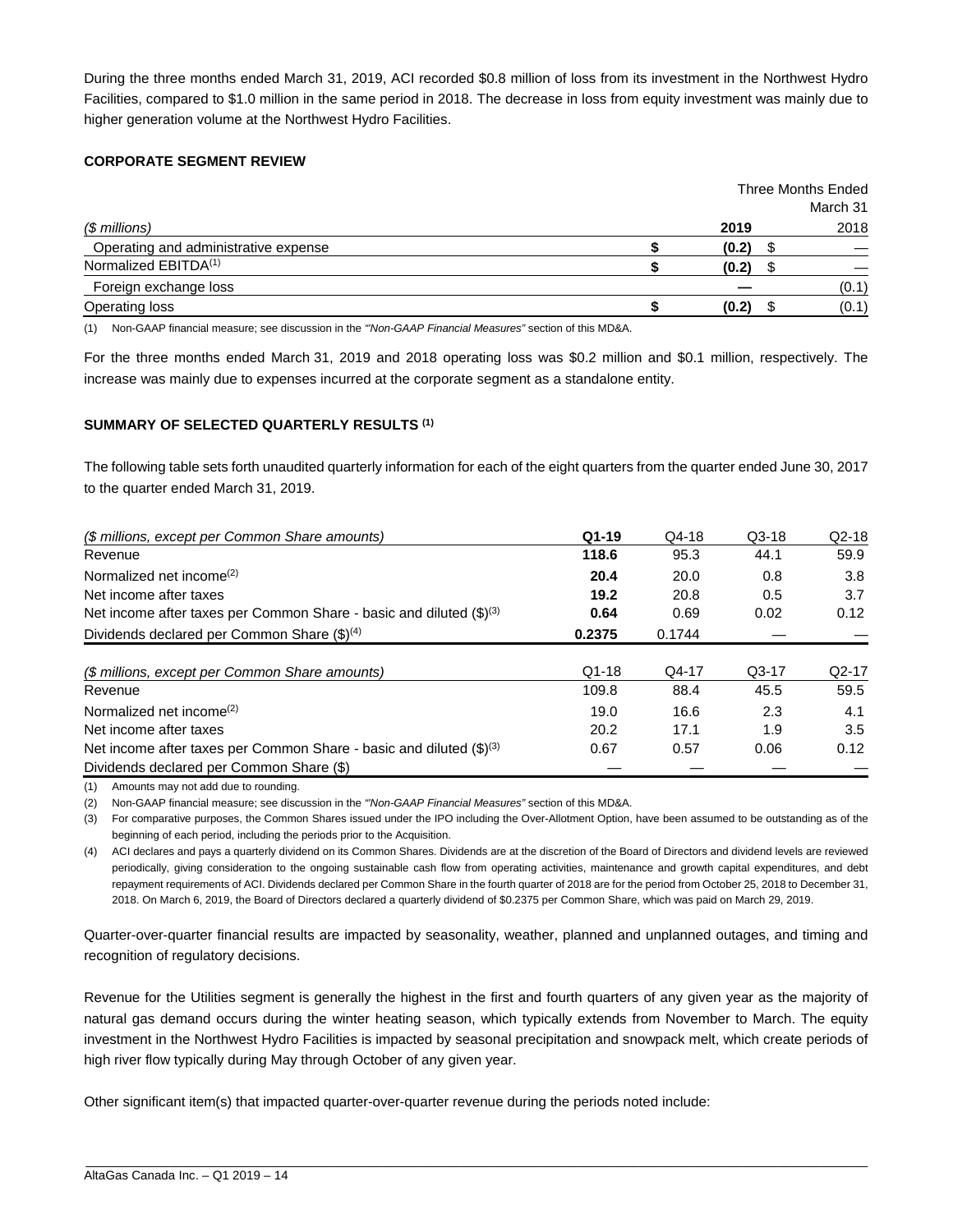During the three months ended March 31, 2019, ACI recorded \$0.8 million of loss from its investment in the Northwest Hydro Facilities, compared to \$1.0 million in the same period in 2018. The decrease in loss from equity investment was mainly due to higher generation volume at the Northwest Hydro Facilities.

#### **CORPORATE SEGMENT REVIEW**

|                                      | Three Months Ended |       |  |          |
|--------------------------------------|--------------------|-------|--|----------|
|                                      |                    |       |  | March 31 |
| $$$ millions)                        |                    | 2019  |  | 2018     |
| Operating and administrative expense |                    | (0.2) |  |          |
| Normalized EBITDA <sup>(1)</sup>     |                    | (0.2) |  |          |
| Foreign exchange loss                |                    |       |  | (0.1)    |
| Operating loss                       |                    | (0.2) |  | (0.1)    |

(1) Non-GAAP financial measure; see discussion in the *"'Non-GAAP Financial Measures"* section of this MD&A.

For the three months ended March 31, 2019 and 2018 operating loss was \$0.2 million and \$0.1 million, respectively. The increase was mainly due to expenses incurred at the corporate segment as a standalone entity.

#### **SUMMARY OF SELECTED QUARTERLY RESULTS (1)**

The following table sets forth unaudited quarterly information for each of the eight quarters from the quarter ended June 30, 2017 to the quarter ended March 31, 2019.

| (\$ millions, except per Common Share amounts)                                  | $Q1-19$ | $Q4-18$ | $Q3-18$ | $Q2-18$ |
|---------------------------------------------------------------------------------|---------|---------|---------|---------|
| Revenue                                                                         | 118.6   | 95.3    | 44.1    | 59.9    |
| Normalized net income $(2)$                                                     | 20.4    | 20.0    | 0.8     | 3.8     |
| Net income after taxes                                                          | 19.2    | 20.8    | 0.5     | 3.7     |
| Net income after taxes per Common Share - basic and diluted (\$) <sup>(3)</sup> | 0.64    | 0.69    | 0.02    | 0.12    |
| Dividends declared per Common Share $(\text{$\mathfrak{F}$})^{(4)}$             | 0.2375  | 0.1744  |         |         |
|                                                                                 |         |         |         |         |
| (\$ millions, except per Common Share amounts)                                  | $Q1-18$ | Q4-17   | $Q3-17$ | $Q2-17$ |
| Revenue                                                                         | 109.8   | 88.4    | 45.5    | 59.5    |
| Normalized net income <sup>(2)</sup>                                            | 19.0    | 16.6    | 2.3     | 4.1     |
| Net income after taxes                                                          | 20.2    | 17.1    | 1.9     | 3.5     |
| Net income after taxes per Common Share - basic and diluted (\$) <sup>(3)</sup> | 0.67    | 0.57    | 0.06    | 0.12    |
| Dividends declared per Common Share (\$)                                        |         |         |         |         |

(1) Amounts may not add due to rounding.

(2) Non-GAAP financial measure; see discussion in the *"'Non-GAAP Financial Measures"* section of this MD&A.

(3) For comparative purposes, the Common Shares issued under the IPO including the Over-Allotment Option, have been assumed to be outstanding as of the beginning of each period, including the periods prior to the Acquisition.

(4) ACI declares and pays a quarterly dividend on its Common Shares. Dividends are at the discretion of the Board of Directors and dividend levels are reviewed periodically, giving consideration to the ongoing sustainable cash flow from operating activities, maintenance and growth capital expenditures, and debt repayment requirements of ACI. Dividends declared per Common Share in the fourth quarter of 2018 are for the period from October 25, 2018 to December 31, 2018. On March 6, 2019, the Board of Directors declared a quarterly dividend of \$0.2375 per Common Share, which was paid on March 29, 2019.

Quarter-over-quarter financial results are impacted by seasonality, weather, planned and unplanned outages, and timing and recognition of regulatory decisions.

Revenue for the Utilities segment is generally the highest in the first and fourth quarters of any given year as the majority of natural gas demand occurs during the winter heating season, which typically extends from November to March. The equity investment in the Northwest Hydro Facilities is impacted by seasonal precipitation and snowpack melt, which create periods of high river flow typically during May through October of any given year.

\_\_\_\_\_\_\_\_\_\_\_\_\_\_\_\_\_\_\_\_\_\_\_\_\_\_\_\_\_\_\_\_\_\_\_\_\_\_\_\_\_\_\_\_\_\_\_\_\_\_\_\_\_\_\_\_\_\_\_\_\_\_\_\_\_\_\_\_\_\_\_\_\_\_\_\_\_\_\_\_\_\_\_\_\_\_\_\_\_\_\_\_\_\_\_\_\_\_\_\_\_\_\_\_\_\_\_\_\_\_\_\_\_

Other significant item(s) that impacted quarter-over-quarter revenue during the periods noted include: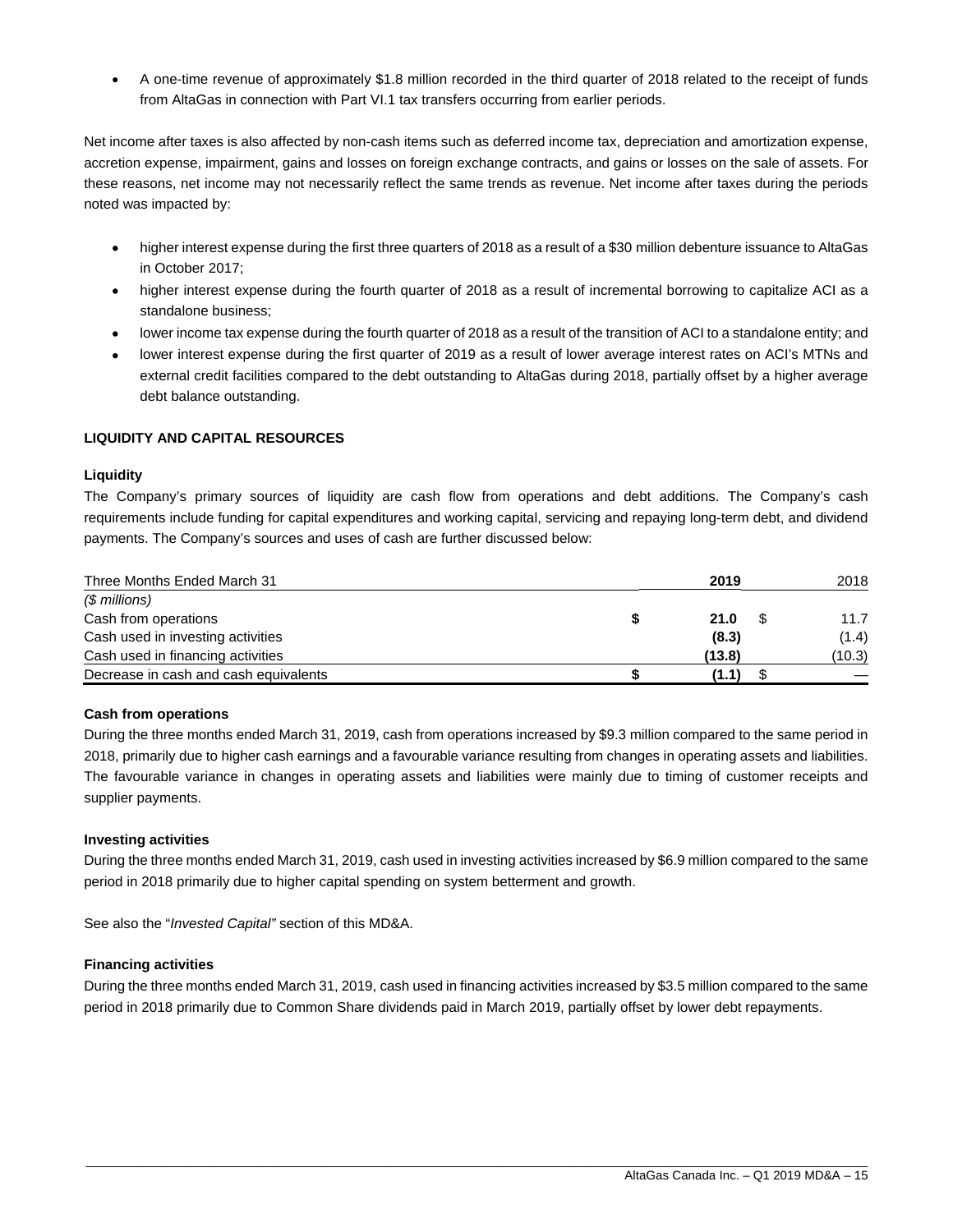A one-time revenue of approximately \$1.8 million recorded in the third quarter of 2018 related to the receipt of funds from AltaGas in connection with Part VI.1 tax transfers occurring from earlier periods.

Net income after taxes is also affected by non-cash items such as deferred income tax, depreciation and amortization expense, accretion expense, impairment, gains and losses on foreign exchange contracts, and gains or losses on the sale of assets. For these reasons, net income may not necessarily reflect the same trends as revenue. Net income after taxes during the periods noted was impacted by:

- higher interest expense during the first three quarters of 2018 as a result of a \$30 million debenture issuance to AltaGas in October 2017;
- higher interest expense during the fourth quarter of 2018 as a result of incremental borrowing to capitalize ACI as a standalone business;
- lower income tax expense during the fourth quarter of 2018 as a result of the transition of ACI to a standalone entity; and
- lower interest expense during the first quarter of 2019 as a result of lower average interest rates on ACI's MTNs and external credit facilities compared to the debt outstanding to AltaGas during 2018, partially offset by a higher average debt balance outstanding.

#### **LIQUIDITY AND CAPITAL RESOURCES**

#### **Liquidity**

The Company's primary sources of liquidity are cash flow from operations and debt additions. The Company's cash requirements include funding for capital expenditures and working capital, servicing and repaying long-term debt, and dividend payments. The Company's sources and uses of cash are further discussed below:

| Three Months Ended March 31           | 2019   | 2018   |
|---------------------------------------|--------|--------|
| (\$ millions)                         |        |        |
| Cash from operations                  | 21.0   | 11.7   |
| Cash used in investing activities     | (8.3)  | (1.4)  |
| Cash used in financing activities     | (13.8) | (10.3) |
| Decrease in cash and cash equivalents | (1.1)  |        |

#### **Cash from operations**

During the three months ended March 31, 2019, cash from operations increased by \$9.3 million compared to the same period in 2018, primarily due to higher cash earnings and a favourable variance resulting from changes in operating assets and liabilities. The favourable variance in changes in operating assets and liabilities were mainly due to timing of customer receipts and supplier payments.

#### **Investing activities**

During the three months ended March 31, 2019, cash used in investing activities increased by \$6.9 million compared to the same period in 2018 primarily due to higher capital spending on system betterment and growth.

See also the "*Invested Capital"* section of this MD&A.

#### **Financing activities**

During the three months ended March 31, 2019, cash used in financing activities increased by \$3.5 million compared to the same period in 2018 primarily due to Common Share dividends paid in March 2019, partially offset by lower debt repayments.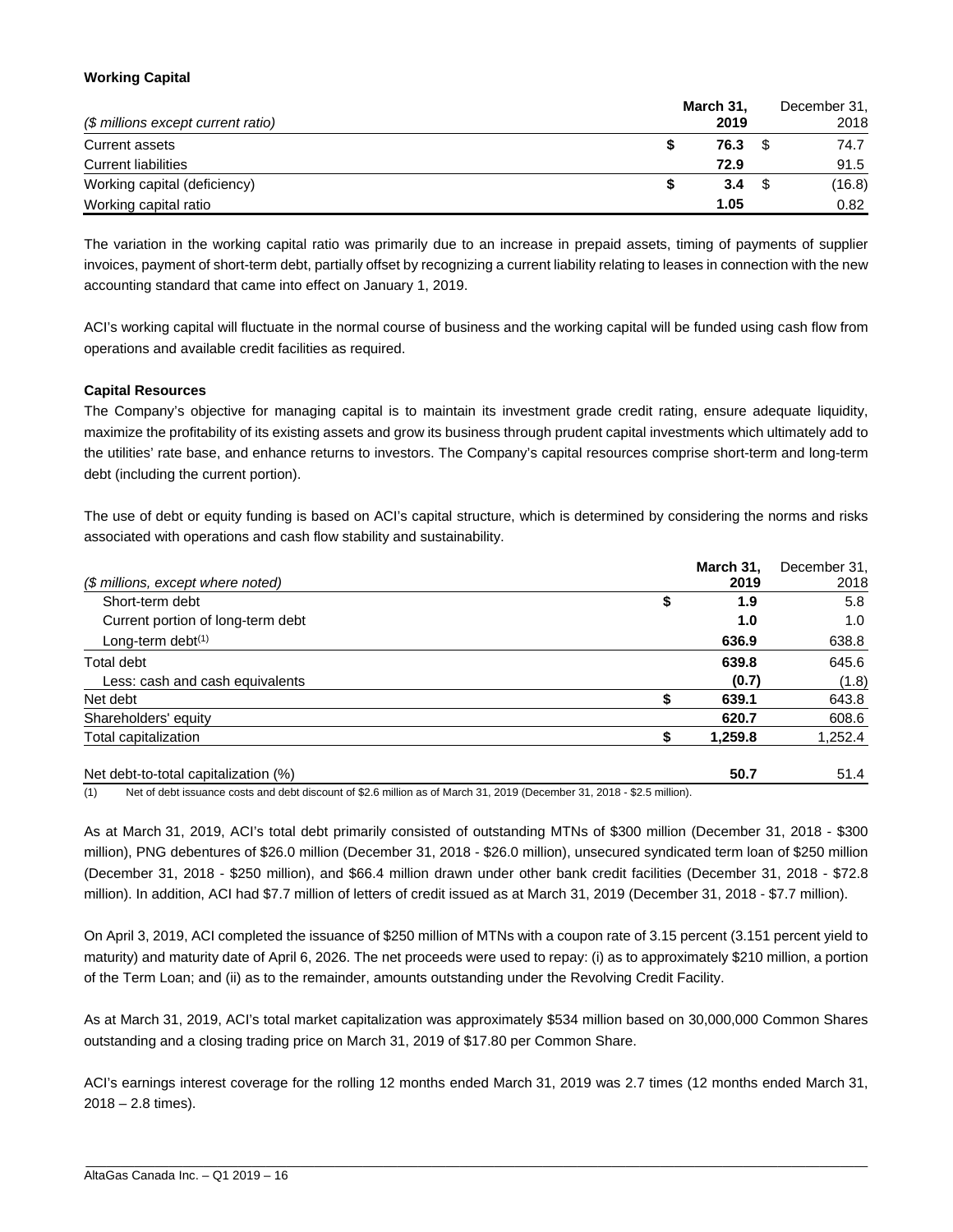#### **Working Capital**

| (\$ millions except current ratio) | March 31,<br>2019 | December 31,<br>2018 |
|------------------------------------|-------------------|----------------------|
| Current assets                     | 76.3              | 74.7                 |
| <b>Current liabilities</b>         | 72.9              | 91.5                 |
| Working capital (deficiency)       | 3.4               | (16.8)               |
| Working capital ratio              | 1.05              | 0.82                 |

The variation in the working capital ratio was primarily due to an increase in prepaid assets, timing of payments of supplier invoices, payment of short-term debt, partially offset by recognizing a current liability relating to leases in connection with the new accounting standard that came into effect on January 1, 2019.

ACI's working capital will fluctuate in the normal course of business and the working capital will be funded using cash flow from operations and available credit facilities as required.

#### **Capital Resources**

The Company's objective for managing capital is to maintain its investment grade credit rating, ensure adequate liquidity, maximize the profitability of its existing assets and grow its business through prudent capital investments which ultimately add to the utilities' rate base, and enhance returns to investors. The Company's capital resources comprise short-term and long-term debt (including the current portion).

The use of debt or equity funding is based on ACI's capital structure, which is determined by considering the norms and risks associated with operations and cash flow stability and sustainability.

|                                      | March 31. | December 31, |
|--------------------------------------|-----------|--------------|
| (\$ millions, except where noted)    | 2019      | 2018         |
| Short-term debt                      | \$<br>1.9 | 5.8          |
| Current portion of long-term debt    | 1.0       | 1.0          |
| Long-term debt $(1)$                 | 636.9     | 638.8        |
| Total debt                           | 639.8     | 645.6        |
| Less: cash and cash equivalents      | (0.7)     | (1.8)        |
| Net debt                             | 639.1     | 643.8        |
| Shareholders' equity                 | 620.7     | 608.6        |
| Total capitalization                 | 1,259.8   | 1,252.4      |
| Net debt-to-total capitalization (%) | 50.7      | 51.4         |

(1) Net of debt issuance costs and debt discount of \$2.6 million as of March 31, 2019 (December 31, 2018 - \$2.5 million).

As at March 31, 2019, ACI's total debt primarily consisted of outstanding MTNs of \$300 million (December 31, 2018 - \$300 million), PNG debentures of \$26.0 million (December 31, 2018 - \$26.0 million), unsecured syndicated term loan of \$250 million (December 31, 2018 - \$250 million), and \$66.4 million drawn under other bank credit facilities (December 31, 2018 - \$72.8 million). In addition, ACI had \$7.7 million of letters of credit issued as at March 31, 2019 (December 31, 2018 - \$7.7 million).

On April 3, 2019, ACI completed the issuance of \$250 million of MTNs with a coupon rate of 3.15 percent (3.151 percent yield to maturity) and maturity date of April 6, 2026. The net proceeds were used to repay: (i) as to approximately \$210 million, a portion of the Term Loan; and (ii) as to the remainder, amounts outstanding under the Revolving Credit Facility.

As at March 31, 2019, ACI's total market capitalization was approximately \$534 million based on 30,000,000 Common Shares outstanding and a closing trading price on March 31, 2019 of \$17.80 per Common Share.

ACI's earnings interest coverage for the rolling 12 months ended March 31, 2019 was 2.7 times (12 months ended March 31,  $2018 - 2.8$  times).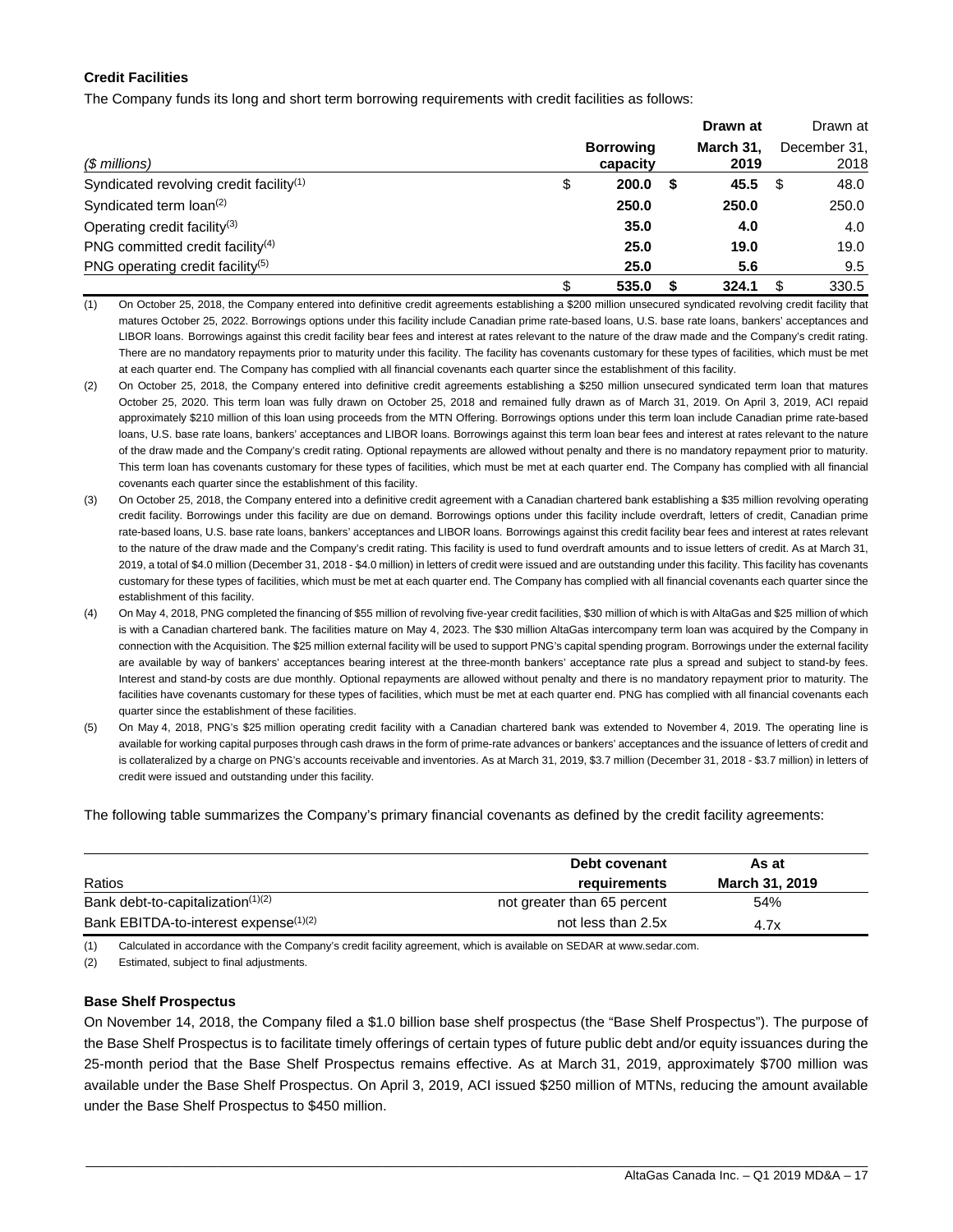#### **Credit Facilities**

The Company funds its long and short term borrowing requirements with credit facilities as follows:

|                                                     |                              |   | Drawn at          |      | Drawn at             |
|-----------------------------------------------------|------------------------------|---|-------------------|------|----------------------|
| (\$ millions)                                       | <b>Borrowing</b><br>capacity |   | March 31.<br>2019 |      | December 31.<br>2018 |
| Syndicated revolving credit facility <sup>(1)</sup> | \$<br>200.0                  | S | 45.5              | - \$ | 48.0                 |
| Syndicated term loan <sup>(2)</sup>                 | 250.0                        |   | 250.0             |      | 250.0                |
| Operating credit facility <sup>(3)</sup>            | 35.0                         |   | 4.0               |      | 4.0                  |
| PNG committed credit facility $(4)$                 | 25.0                         |   | 19.0              |      | 19.0                 |
| PNG operating credit facility <sup>(5)</sup>        | 25.0                         |   | 5.6               |      | 9.5                  |
|                                                     | \$<br>535.0                  |   | 324.1             |      | 330.5                |

(1) On October 25, 2018, the Company entered into definitive credit agreements establishing a \$200 million unsecured syndicated revolving credit facility that matures October 25, 2022. Borrowings options under this facility include Canadian prime rate-based loans, U.S. base rate loans, bankers' acceptances and LIBOR loans. Borrowings against this credit facility bear fees and interest at rates relevant to the nature of the draw made and the Company's credit rating. There are no mandatory repayments prior to maturity under this facility. The facility has covenants customary for these types of facilities, which must be met at each quarter end. The Company has complied with all financial covenants each quarter since the establishment of this facility.

- (2) On October 25, 2018, the Company entered into definitive credit agreements establishing a \$250 million unsecured syndicated term loan that matures October 25, 2020. This term loan was fully drawn on October 25, 2018 and remained fully drawn as of March 31, 2019. On April 3, 2019, ACI repaid approximately \$210 million of this loan using proceeds from the MTN Offering. Borrowings options under this term loan include Canadian prime rate-based loans, U.S. base rate loans, bankers' acceptances and LIBOR loans. Borrowings against this term loan bear fees and interest at rates relevant to the nature of the draw made and the Company's credit rating. Optional repayments are allowed without penalty and there is no mandatory repayment prior to maturity. This term loan has covenants customary for these types of facilities, which must be met at each quarter end. The Company has complied with all financial covenants each quarter since the establishment of this facility.
- (3) On October 25, 2018, the Company entered into a definitive credit agreement with a Canadian chartered bank establishing a \$35 million revolving operating credit facility. Borrowings under this facility are due on demand. Borrowings options under this facility include overdraft, letters of credit, Canadian prime rate-based loans, U.S. base rate loans, bankers' acceptances and LIBOR loans. Borrowings against this credit facility bear fees and interest at rates relevant to the nature of the draw made and the Company's credit rating. This facility is used to fund overdraft amounts and to issue letters of credit. As at March 31, 2019, a total of \$4.0 million (December 31, 2018 - \$4.0 million) in letters of credit were issued and are outstanding under this facility. This facility has covenants customary for these types of facilities, which must be met at each quarter end. The Company has complied with all financial covenants each quarter since the establishment of this facility.
- (4) On May 4, 2018, PNG completed the financing of \$55 million of revolving five-year credit facilities, \$30 million of which is with AltaGas and \$25 million of which is with a Canadian chartered bank. The facilities mature on May 4, 2023. The \$30 million AltaGas intercompany term loan was acquired by the Company in connection with the Acquisition. The \$25 million external facility will be used to support PNG's capital spending program. Borrowings under the external facility are available by way of bankers' acceptances bearing interest at the three-month bankers' acceptance rate plus a spread and subject to stand-by fees. Interest and stand-by costs are due monthly. Optional repayments are allowed without penalty and there is no mandatory repayment prior to maturity. The facilities have covenants customary for these types of facilities, which must be met at each quarter end. PNG has complied with all financial covenants each quarter since the establishment of these facilities.
- (5) On May 4, 2018, PNG's \$25 million operating credit facility with a Canadian chartered bank was extended to November 4, 2019. The operating line is available for working capital purposes through cash draws in the form of prime-rate advances or bankers' acceptances and the issuance of letters of credit and is collateralized by a charge on PNG's accounts receivable and inventories. As at March 31, 2019, \$3.7 million (December 31, 2018 - \$3.7 million) in letters of credit were issued and outstanding under this facility.

The following table summarizes the Company's primary financial covenants as defined by the credit facility agreements:

|                                                   | Debt covenant               | As at          |
|---------------------------------------------------|-----------------------------|----------------|
| Ratios                                            | requirements                | March 31, 2019 |
| Bank debt-to-capitalization <sup>(1)(2)</sup>     | not greater than 65 percent | 54%            |
| Bank EBITDA-to-interest expense <sup>(1)(2)</sup> | not less than 2.5x          | 4.7x           |

(1) Calculated in accordance with the Company's credit facility agreement, which is available on SEDAR at www.sedar.com.

(2) Estimated, subject to final adjustments.

#### **Base Shelf Prospectus**

On November 14, 2018, the Company filed a \$1.0 billion base shelf prospectus (the "Base Shelf Prospectus"). The purpose of the Base Shelf Prospectus is to facilitate timely offerings of certain types of future public debt and/or equity issuances during the 25-month period that the Base Shelf Prospectus remains effective. As at March 31, 2019, approximately \$700 million was available under the Base Shelf Prospectus. On April 3, 2019, ACI issued \$250 million of MTNs, reducing the amount available under the Base Shelf Prospectus to \$450 million.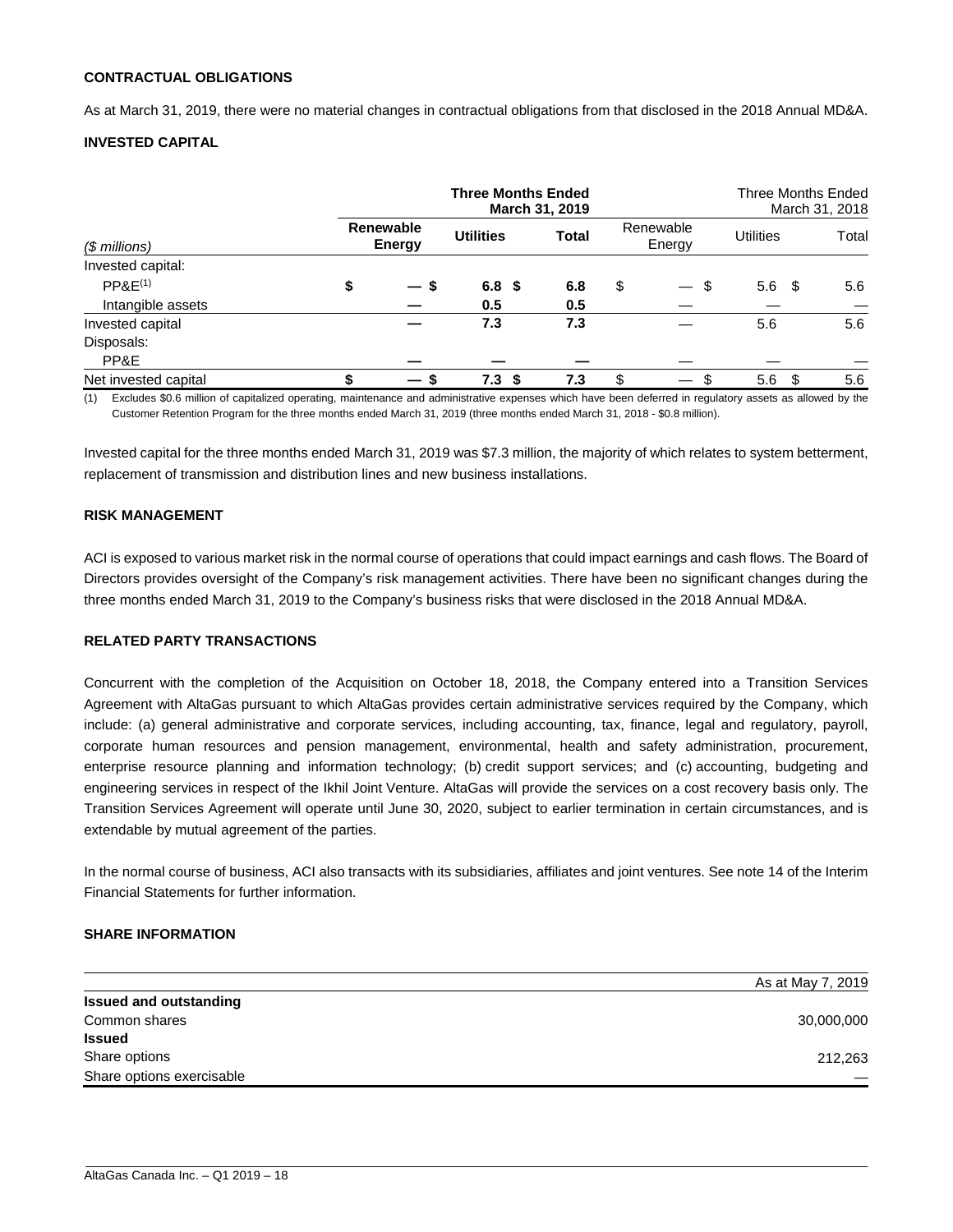#### **CONTRACTUAL OBLIGATIONS**

As at March 31, 2019, there were no material changes in contractual obligations from that disclosed in the 2018 Annual MD&A.

#### **INVESTED CAPITAL**

|                      | <b>Three Months Ended</b><br>March 31, 2019 |                     |                  |              |    | Three Months Ended<br>March 31, 2018 |                  |       |
|----------------------|---------------------------------------------|---------------------|------------------|--------------|----|--------------------------------------|------------------|-------|
| $$$ millions)        |                                             | Renewable<br>Energy | <b>Utilities</b> | <b>Total</b> |    | Renewable<br>Energy                  | <b>Utilities</b> | Total |
| Invested capital:    |                                             |                     |                  |              |    |                                      |                  |       |
| PPAE <sup>(1)</sup>  |                                             | $-s$                | 6.8 <sup>5</sup> | 6.8          | \$ | \$<br>$\overbrace{\phantom{aaaaa}}$  | 5.6<br>- \$      | 5.6   |
| Intangible assets    |                                             |                     | 0.5              | 0.5          |    |                                      |                  |       |
| Invested capital     |                                             |                     | 7.3              | 7.3          |    |                                      | 5.6              | 5.6   |
| Disposals:           |                                             |                     |                  |              |    |                                      |                  |       |
| PP&E                 |                                             |                     |                  |              |    |                                      |                  |       |
| Net invested capital |                                             | — s                 | 7.3<br>-S        | 7.3          | \$ | \$<br>$\hspace{0.05cm}$              | 5.6<br>S         | 5.6   |

(1) Excludes \$0.6 million of capitalized operating, maintenance and administrative expenses which have been deferred in regulatory assets as allowed by the Customer Retention Program for the three months ended March 31, 2019 (three months ended March 31, 2018 - \$0.8 million).

Invested capital for the three months ended March 31, 2019 was \$7.3 million, the majority of which relates to system betterment, replacement of transmission and distribution lines and new business installations.

#### **RISK MANAGEMENT**

ACI is exposed to various market risk in the normal course of operations that could impact earnings and cash flows. The Board of Directors provides oversight of the Company's risk management activities. There have been no significant changes during the three months ended March 31, 2019 to the Company's business risks that were disclosed in the 2018 Annual MD&A.

#### **RELATED PARTY TRANSACTIONS**

Concurrent with the completion of the Acquisition on October 18, 2018, the Company entered into a Transition Services Agreement with AltaGas pursuant to which AltaGas provides certain administrative services required by the Company, which include: (a) general administrative and corporate services, including accounting, tax, finance, legal and regulatory, payroll, corporate human resources and pension management, environmental, health and safety administration, procurement, enterprise resource planning and information technology; (b) credit support services; and (c) accounting, budgeting and engineering services in respect of the Ikhil Joint Venture. AltaGas will provide the services on a cost recovery basis only. The Transition Services Agreement will operate until June 30, 2020, subject to earlier termination in certain circumstances, and is extendable by mutual agreement of the parties.

In the normal course of business, ACI also transacts with its subsidiaries, affiliates and joint ventures. See note 14 of the Interim Financial Statements for further information.

#### **SHARE INFORMATION**

|                               | As at May 7, 2019 |
|-------------------------------|-------------------|
| <b>Issued and outstanding</b> |                   |
| Common shares                 | 30,000,000        |
| <b>Issued</b>                 |                   |
| Share options                 | 212,263           |
| Share options exercisable     |                   |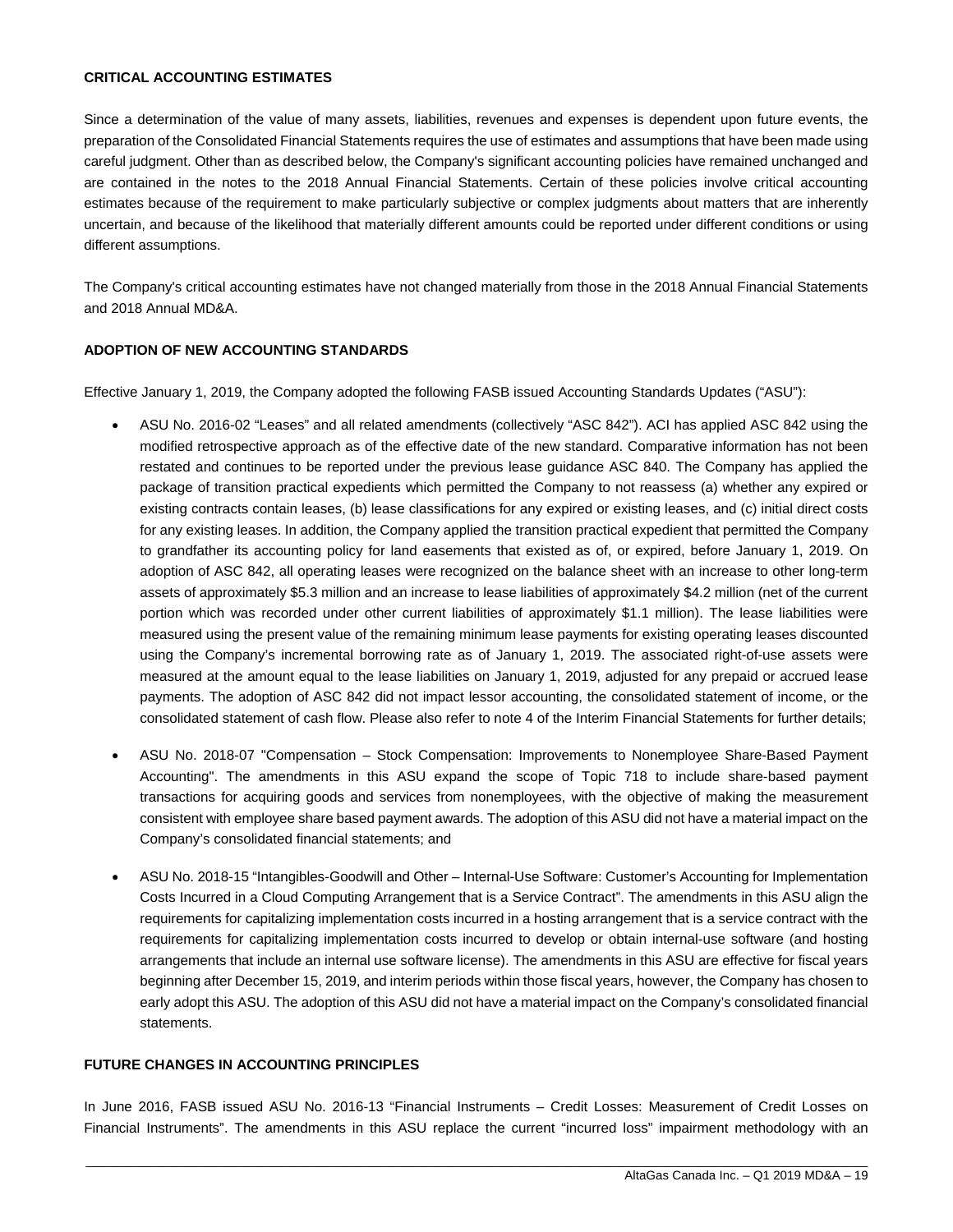#### **CRITICAL ACCOUNTING ESTIMATES**

Since a determination of the value of many assets, liabilities, revenues and expenses is dependent upon future events, the preparation of the Consolidated Financial Statements requires the use of estimates and assumptions that have been made using careful judgment. Other than as described below, the Company's significant accounting policies have remained unchanged and are contained in the notes to the 2018 Annual Financial Statements. Certain of these policies involve critical accounting estimates because of the requirement to make particularly subjective or complex judgments about matters that are inherently uncertain, and because of the likelihood that materially different amounts could be reported under different conditions or using different assumptions.

The Company's critical accounting estimates have not changed materially from those in the 2018 Annual Financial Statements and 2018 Annual MD&A.

#### **ADOPTION OF NEW ACCOUNTING STANDARDS**

Effective January 1, 2019, the Company adopted the following FASB issued Accounting Standards Updates ("ASU"):

- ASU No. 2016-02 "Leases" and all related amendments (collectively "ASC 842"). ACI has applied ASC 842 using the modified retrospective approach as of the effective date of the new standard. Comparative information has not been restated and continues to be reported under the previous lease guidance ASC 840. The Company has applied the package of transition practical expedients which permitted the Company to not reassess (a) whether any expired or existing contracts contain leases, (b) lease classifications for any expired or existing leases, and (c) initial direct costs for any existing leases. In addition, the Company applied the transition practical expedient that permitted the Company to grandfather its accounting policy for land easements that existed as of, or expired, before January 1, 2019. On adoption of ASC 842, all operating leases were recognized on the balance sheet with an increase to other long-term assets of approximately \$5.3 million and an increase to lease liabilities of approximately \$4.2 million (net of the current portion which was recorded under other current liabilities of approximately \$1.1 million). The lease liabilities were measured using the present value of the remaining minimum lease payments for existing operating leases discounted using the Company's incremental borrowing rate as of January 1, 2019. The associated right-of-use assets were measured at the amount equal to the lease liabilities on January 1, 2019, adjusted for any prepaid or accrued lease payments. The adoption of ASC 842 did not impact lessor accounting, the consolidated statement of income, or the consolidated statement of cash flow. Please also refer to note 4 of the Interim Financial Statements for further details;
- ASU No. 2018-07 "Compensation Stock Compensation: Improvements to Nonemployee Share-Based Payment Accounting". The amendments in this ASU expand the scope of Topic 718 to include share-based payment transactions for acquiring goods and services from nonemployees, with the objective of making the measurement consistent with employee share based payment awards. The adoption of this ASU did not have a material impact on the Company's consolidated financial statements; and
- ASU No. 2018-15 "Intangibles-Goodwill and Other Internal-Use Software: Customer's Accounting for Implementation Costs Incurred in a Cloud Computing Arrangement that is a Service Contract". The amendments in this ASU align the requirements for capitalizing implementation costs incurred in a hosting arrangement that is a service contract with the requirements for capitalizing implementation costs incurred to develop or obtain internal-use software (and hosting arrangements that include an internal use software license). The amendments in this ASU are effective for fiscal years beginning after December 15, 2019, and interim periods within those fiscal years, however, the Company has chosen to early adopt this ASU. The adoption of this ASU did not have a material impact on the Company's consolidated financial statements.

#### **FUTURE CHANGES IN ACCOUNTING PRINCIPLES**

In June 2016, FASB issued ASU No. 2016-13 "Financial Instruments – Credit Losses: Measurement of Credit Losses on Financial Instruments". The amendments in this ASU replace the current "incurred loss" impairment methodology with an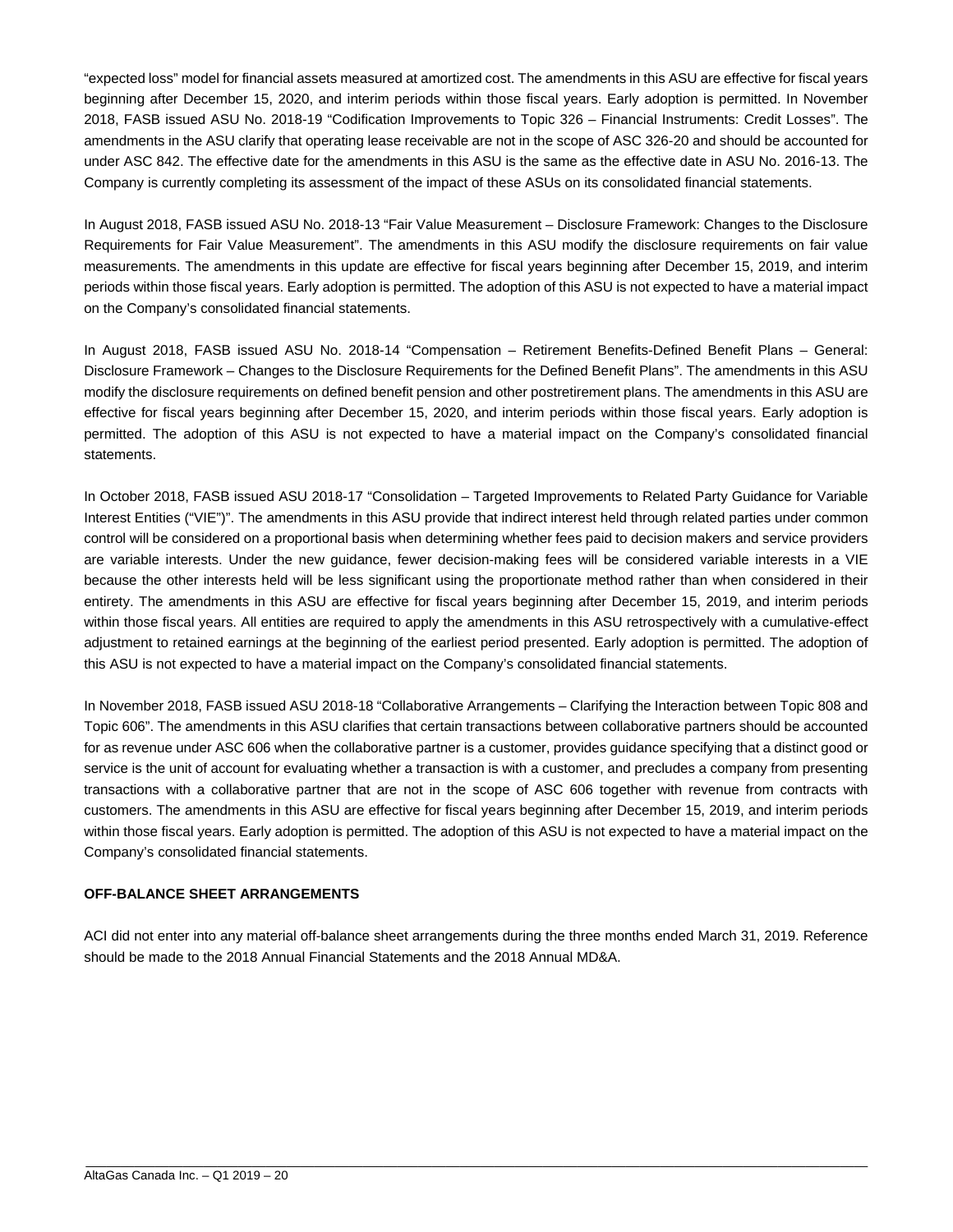"expected loss" model for financial assets measured at amortized cost. The amendments in this ASU are effective for fiscal years beginning after December 15, 2020, and interim periods within those fiscal years. Early adoption is permitted. In November 2018, FASB issued ASU No. 2018-19 "Codification Improvements to Topic 326 – Financial Instruments: Credit Losses". The amendments in the ASU clarify that operating lease receivable are not in the scope of ASC 326-20 and should be accounted for under ASC 842. The effective date for the amendments in this ASU is the same as the effective date in ASU No. 2016-13. The Company is currently completing its assessment of the impact of these ASUs on its consolidated financial statements.

In August 2018, FASB issued ASU No. 2018-13 "Fair Value Measurement – Disclosure Framework: Changes to the Disclosure Requirements for Fair Value Measurement". The amendments in this ASU modify the disclosure requirements on fair value measurements. The amendments in this update are effective for fiscal years beginning after December 15, 2019, and interim periods within those fiscal years. Early adoption is permitted. The adoption of this ASU is not expected to have a material impact on the Company's consolidated financial statements.

In August 2018, FASB issued ASU No. 2018-14 "Compensation – Retirement Benefits-Defined Benefit Plans – General: Disclosure Framework – Changes to the Disclosure Requirements for the Defined Benefit Plans". The amendments in this ASU modify the disclosure requirements on defined benefit pension and other postretirement plans. The amendments in this ASU are effective for fiscal years beginning after December 15, 2020, and interim periods within those fiscal years. Early adoption is permitted. The adoption of this ASU is not expected to have a material impact on the Company's consolidated financial statements.

In October 2018, FASB issued ASU 2018-17 "Consolidation – Targeted Improvements to Related Party Guidance for Variable Interest Entities ("VIE")". The amendments in this ASU provide that indirect interest held through related parties under common control will be considered on a proportional basis when determining whether fees paid to decision makers and service providers are variable interests. Under the new guidance, fewer decision-making fees will be considered variable interests in a VIE because the other interests held will be less significant using the proportionate method rather than when considered in their entirety. The amendments in this ASU are effective for fiscal years beginning after December 15, 2019, and interim periods within those fiscal years. All entities are required to apply the amendments in this ASU retrospectively with a cumulative-effect adjustment to retained earnings at the beginning of the earliest period presented. Early adoption is permitted. The adoption of this ASU is not expected to have a material impact on the Company's consolidated financial statements.

In November 2018, FASB issued ASU 2018-18 "Collaborative Arrangements – Clarifying the Interaction between Topic 808 and Topic 606". The amendments in this ASU clarifies that certain transactions between collaborative partners should be accounted for as revenue under ASC 606 when the collaborative partner is a customer, provides guidance specifying that a distinct good or service is the unit of account for evaluating whether a transaction is with a customer, and precludes a company from presenting transactions with a collaborative partner that are not in the scope of ASC 606 together with revenue from contracts with customers. The amendments in this ASU are effective for fiscal years beginning after December 15, 2019, and interim periods within those fiscal years. Early adoption is permitted. The adoption of this ASU is not expected to have a material impact on the Company's consolidated financial statements.

#### **OFF-BALANCE SHEET ARRANGEMENTS**

ACI did not enter into any material off-balance sheet arrangements during the three months ended March 31, 2019. Reference should be made to the 2018 Annual Financial Statements and the 2018 Annual MD&A.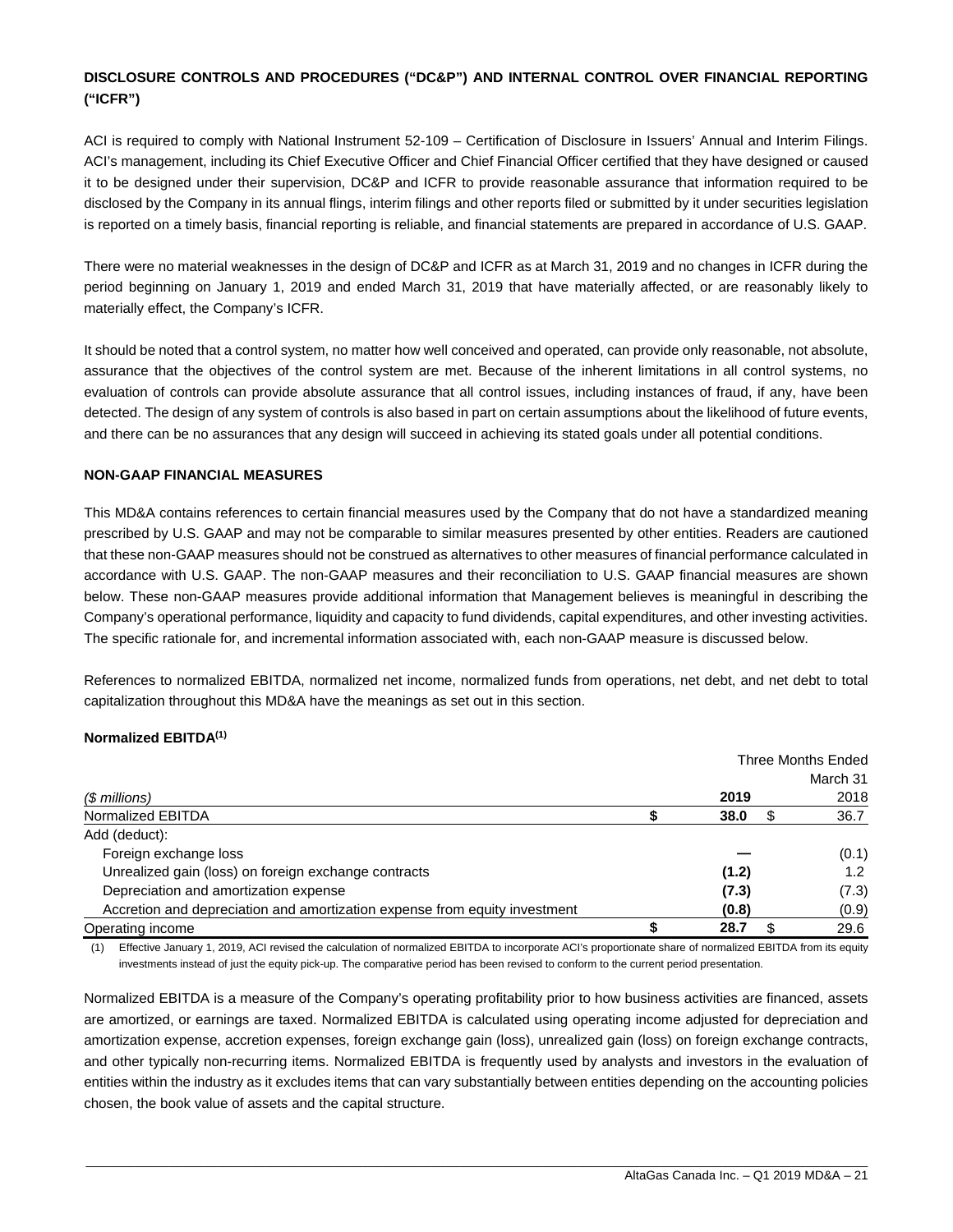### **DISCLOSURE CONTROLS AND PROCEDURES ("DC&P") AND INTERNAL CONTROL OVER FINANCIAL REPORTING ("ICFR")**

ACI is required to comply with National Instrument 52-109 – Certification of Disclosure in Issuers' Annual and Interim Filings. ACI's management, including its Chief Executive Officer and Chief Financial Officer certified that they have designed or caused it to be designed under their supervision, DC&P and ICFR to provide reasonable assurance that information required to be disclosed by the Company in its annual flings, interim filings and other reports filed or submitted by it under securities legislation is reported on a timely basis, financial reporting is reliable, and financial statements are prepared in accordance of U.S. GAAP.

There were no material weaknesses in the design of DC&P and ICFR as at March 31, 2019 and no changes in ICFR during the period beginning on January 1, 2019 and ended March 31, 2019 that have materially affected, or are reasonably likely to materially effect, the Company's ICFR.

It should be noted that a control system, no matter how well conceived and operated, can provide only reasonable, not absolute, assurance that the objectives of the control system are met. Because of the inherent limitations in all control systems, no evaluation of controls can provide absolute assurance that all control issues, including instances of fraud, if any, have been detected. The design of any system of controls is also based in part on certain assumptions about the likelihood of future events, and there can be no assurances that any design will succeed in achieving its stated goals under all potential conditions.

#### **NON-GAAP FINANCIAL MEASURES**

This MD&A contains references to certain financial measures used by the Company that do not have a standardized meaning prescribed by U.S. GAAP and may not be comparable to similar measures presented by other entities. Readers are cautioned that these non-GAAP measures should not be construed as alternatives to other measures of financial performance calculated in accordance with U.S. GAAP. The non-GAAP measures and their reconciliation to U.S. GAAP financial measures are shown below. These non-GAAP measures provide additional information that Management believes is meaningful in describing the Company's operational performance, liquidity and capacity to fund dividends, capital expenditures, and other investing activities. The specific rationale for, and incremental information associated with, each non-GAAP measure is discussed below.

References to normalized EBITDA, normalized net income, normalized funds from operations, net debt, and net debt to total capitalization throughout this MD&A have the meanings as set out in this section.

#### **Normalized EBITDA(1)**

|                                                                            |       | Three Months Ended |
|----------------------------------------------------------------------------|-------|--------------------|
|                                                                            |       | March 31           |
| (\$ millions)                                                              | 2019  | 2018               |
| Normalized EBITDA                                                          | 38.0  | 36.7               |
| Add (deduct):                                                              |       |                    |
| Foreign exchange loss                                                      |       | (0.1)              |
| Unrealized gain (loss) on foreign exchange contracts                       | (1.2) | 1.2                |
| Depreciation and amortization expense                                      | (7.3) | (7.3)              |
| Accretion and depreciation and amortization expense from equity investment | (0.8) | (0.9)              |
| Operating income                                                           | 28.7  | 29.6               |

(1) Effective January 1, 2019, ACI revised the calculation of normalized EBITDA to incorporate ACI's proportionate share of normalized EBITDA from its equity investments instead of just the equity pick-up. The comparative period has been revised to conform to the current period presentation.

Normalized EBITDA is a measure of the Company's operating profitability prior to how business activities are financed, assets are amortized, or earnings are taxed. Normalized EBITDA is calculated using operating income adjusted for depreciation and amortization expense, accretion expenses, foreign exchange gain (loss), unrealized gain (loss) on foreign exchange contracts, and other typically non-recurring items. Normalized EBITDA is frequently used by analysts and investors in the evaluation of entities within the industry as it excludes items that can vary substantially between entities depending on the accounting policies chosen, the book value of assets and the capital structure.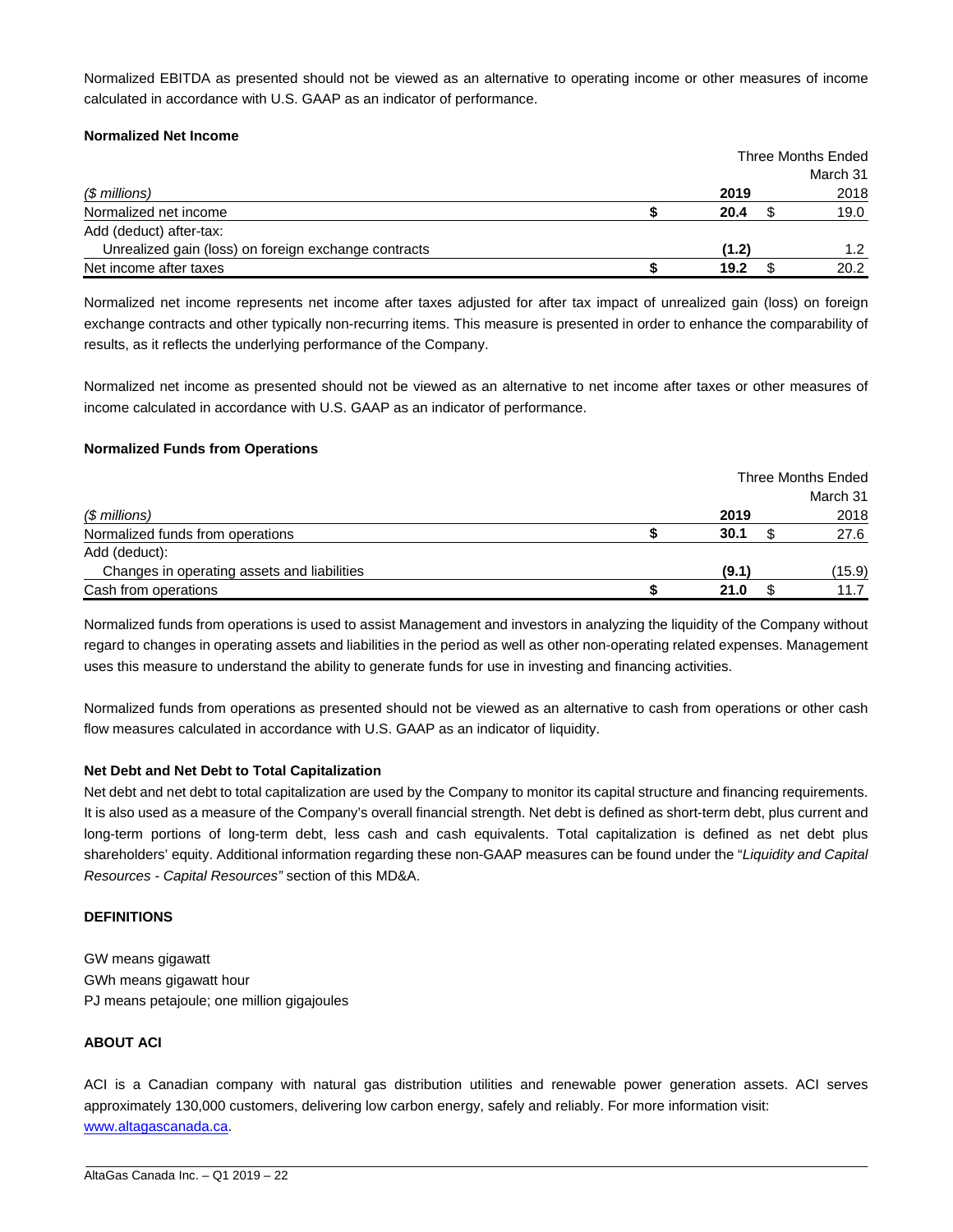Normalized EBITDA as presented should not be viewed as an alternative to operating income or other measures of income calculated in accordance with U.S. GAAP as an indicator of performance.

#### **Normalized Net Income**

|                                                      | Three Months Ended |  |          |
|------------------------------------------------------|--------------------|--|----------|
|                                                      |                    |  | March 31 |
| (\$ millions)                                        | 2019               |  | 2018     |
| Normalized net income                                | 20.4               |  | 19.0     |
| Add (deduct) after-tax:                              |                    |  |          |
| Unrealized gain (loss) on foreign exchange contracts | (1.2)              |  | 1.2      |
| Net income after taxes                               | 19.2               |  | 20.2     |

Normalized net income represents net income after taxes adjusted for after tax impact of unrealized gain (loss) on foreign exchange contracts and other typically non-recurring items. This measure is presented in order to enhance the comparability of results, as it reflects the underlying performance of the Company.

Normalized net income as presented should not be viewed as an alternative to net income after taxes or other measures of income calculated in accordance with U.S. GAAP as an indicator of performance.

#### **Normalized Funds from Operations**

|                                             |       | Three Months Ended |
|---------------------------------------------|-------|--------------------|
|                                             |       | March 31           |
| $$$ millions)                               | 2019  | 2018               |
| Normalized funds from operations            | 30.1  | 27.6               |
| Add (deduct):                               |       |                    |
| Changes in operating assets and liabilities | (9.1) | (15.9)             |
| Cash from operations                        | 21.0  | 11.7               |

Normalized funds from operations is used to assist Management and investors in analyzing the liquidity of the Company without regard to changes in operating assets and liabilities in the period as well as other non-operating related expenses. Management uses this measure to understand the ability to generate funds for use in investing and financing activities.

Normalized funds from operations as presented should not be viewed as an alternative to cash from operations or other cash flow measures calculated in accordance with U.S. GAAP as an indicator of liquidity.

#### **Net Debt and Net Debt to Total Capitalization**

Net debt and net debt to total capitalization are used by the Company to monitor its capital structure and financing requirements. It is also used as a measure of the Company's overall financial strength. Net debt is defined as short-term debt, plus current and long-term portions of long-term debt, less cash and cash equivalents. Total capitalization is defined as net debt plus shareholders' equity. Additional information regarding these non-GAAP measures can be found under the "*Liquidity and Capital Resources - Capital Resources"* section of this MD&A.

#### **DEFINITIONS**

GW means gigawatt GWh means gigawatt hour PJ means petajoule; one million gigajoules

#### **ABOUT ACI**

ACI is a Canadian company with natural gas distribution utilities and renewable power generation assets. ACI serves approximately 130,000 customers, delivering low carbon energy, safely and reliably. For more information visit: www.altagascanada.ca.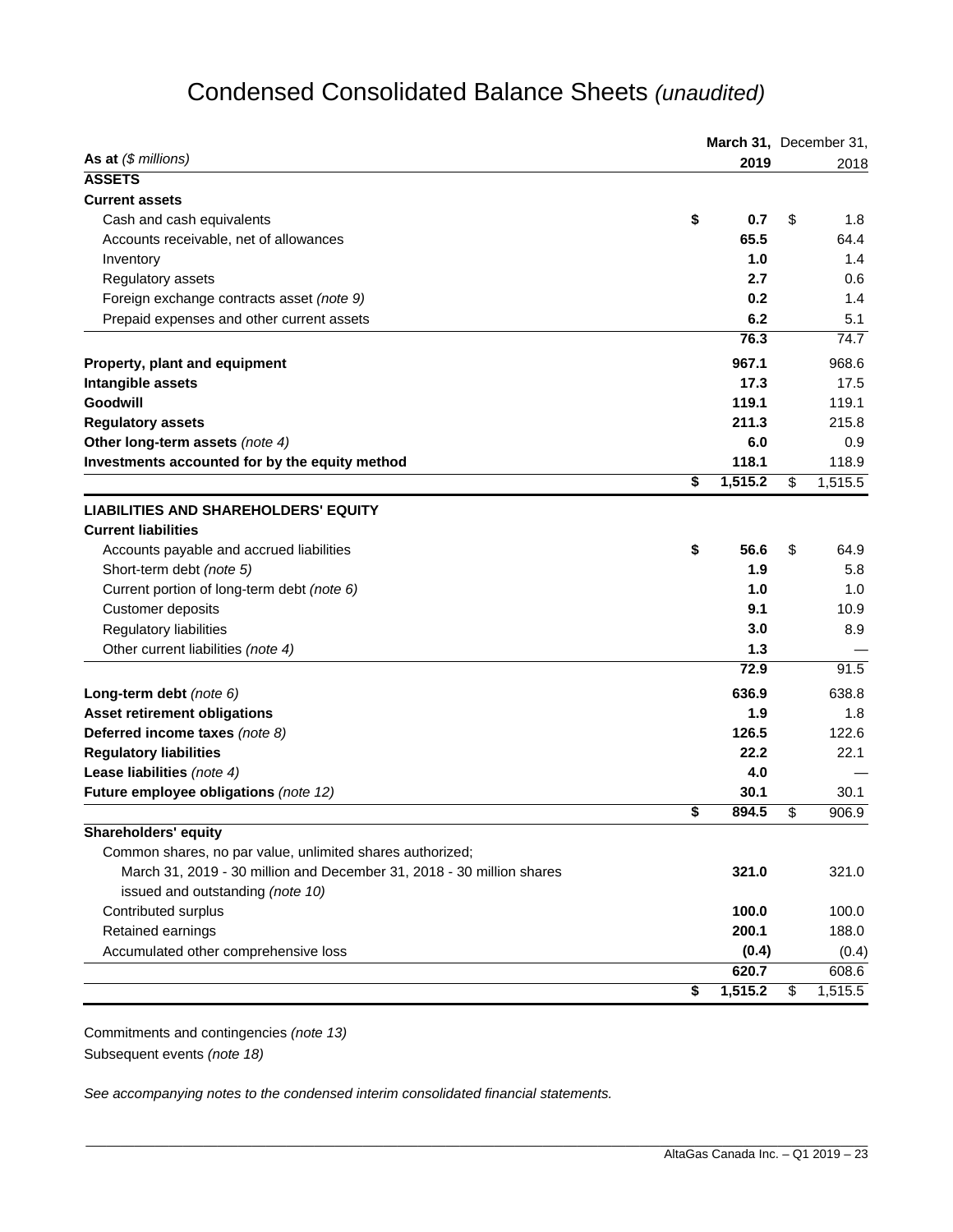# Condensed Consolidated Balance Sheets *(unaudited)*

|                                                                       |    | March 31, December 31, |    |         |
|-----------------------------------------------------------------------|----|------------------------|----|---------|
| As at $(\$$ millions)                                                 |    | 2019                   |    | 2018    |
| <b>ASSETS</b>                                                         |    |                        |    |         |
| <b>Current assets</b>                                                 |    |                        |    |         |
| Cash and cash equivalents                                             | \$ | 0.7                    | \$ | 1.8     |
| Accounts receivable, net of allowances                                |    | 65.5                   |    | 64.4    |
| Inventory                                                             |    | 1.0                    |    | 1.4     |
| Regulatory assets                                                     |    | 2.7                    |    | 0.6     |
| Foreign exchange contracts asset (note 9)                             |    | 0.2                    |    | 1.4     |
| Prepaid expenses and other current assets                             |    | 6.2                    |    | 5.1     |
|                                                                       |    | 76.3                   |    | 74.7    |
| Property, plant and equipment                                         |    | 967.1                  |    | 968.6   |
| Intangible assets                                                     |    | 17.3                   |    | 17.5    |
| Goodwill                                                              |    | 119.1                  |    | 119.1   |
| <b>Regulatory assets</b>                                              |    | 211.3                  |    | 215.8   |
| Other long-term assets (note 4)                                       |    | 6.0                    |    | 0.9     |
| Investments accounted for by the equity method                        |    | 118.1                  |    | 118.9   |
|                                                                       | \$ | 1,515.2                | \$ | 1,515.5 |
| <b>LIABILITIES AND SHAREHOLDERS' EQUITY</b>                           |    |                        |    |         |
| <b>Current liabilities</b>                                            |    |                        |    |         |
| Accounts payable and accrued liabilities                              | \$ | 56.6                   | \$ | 64.9    |
| Short-term debt (note 5)                                              |    | 1.9                    |    | 5.8     |
| Current portion of long-term debt (note 6)                            |    | 1.0                    |    | 1.0     |
| Customer deposits                                                     |    | 9.1                    |    | 10.9    |
| Regulatory liabilities                                                |    | 3.0                    |    | 8.9     |
| Other current liabilities (note 4)                                    |    | 1.3                    |    |         |
|                                                                       |    | 72.9                   |    | 91.5    |
| Long-term debt (note 6)                                               |    | 636.9                  |    | 638.8   |
| <b>Asset retirement obligations</b>                                   |    | 1.9                    |    | 1.8     |
| Deferred income taxes (note 8)                                        |    | 126.5                  |    | 122.6   |
| <b>Regulatory liabilities</b>                                         |    | 22.2                   |    | 22.1    |
| Lease liabilities (note 4)                                            |    | 4.0                    |    |         |
| Future employee obligations (note 12)                                 |    | 30.1                   |    | 30.1    |
|                                                                       | \$ | 894.5                  | \$ | 906.9   |
| Shareholders' equity                                                  |    |                        |    |         |
| Common shares, no par value, unlimited shares authorized;             |    |                        |    |         |
| March 31, 2019 - 30 million and December 31, 2018 - 30 million shares |    | 321.0                  |    | 321.0   |
| issued and outstanding (note 10)                                      |    |                        |    |         |
| Contributed surplus                                                   |    | 100.0                  |    | 100.0   |
| Retained earnings                                                     |    | 200.1                  |    | 188.0   |
| Accumulated other comprehensive loss                                  |    | (0.4)                  |    | (0.4)   |
|                                                                       |    | 620.7                  |    | 608.6   |
|                                                                       | \$ | 1,515.2                | \$ | 1,515.5 |

Commitments and contingencies *(note 13)*  Subsequent events *(note 18)*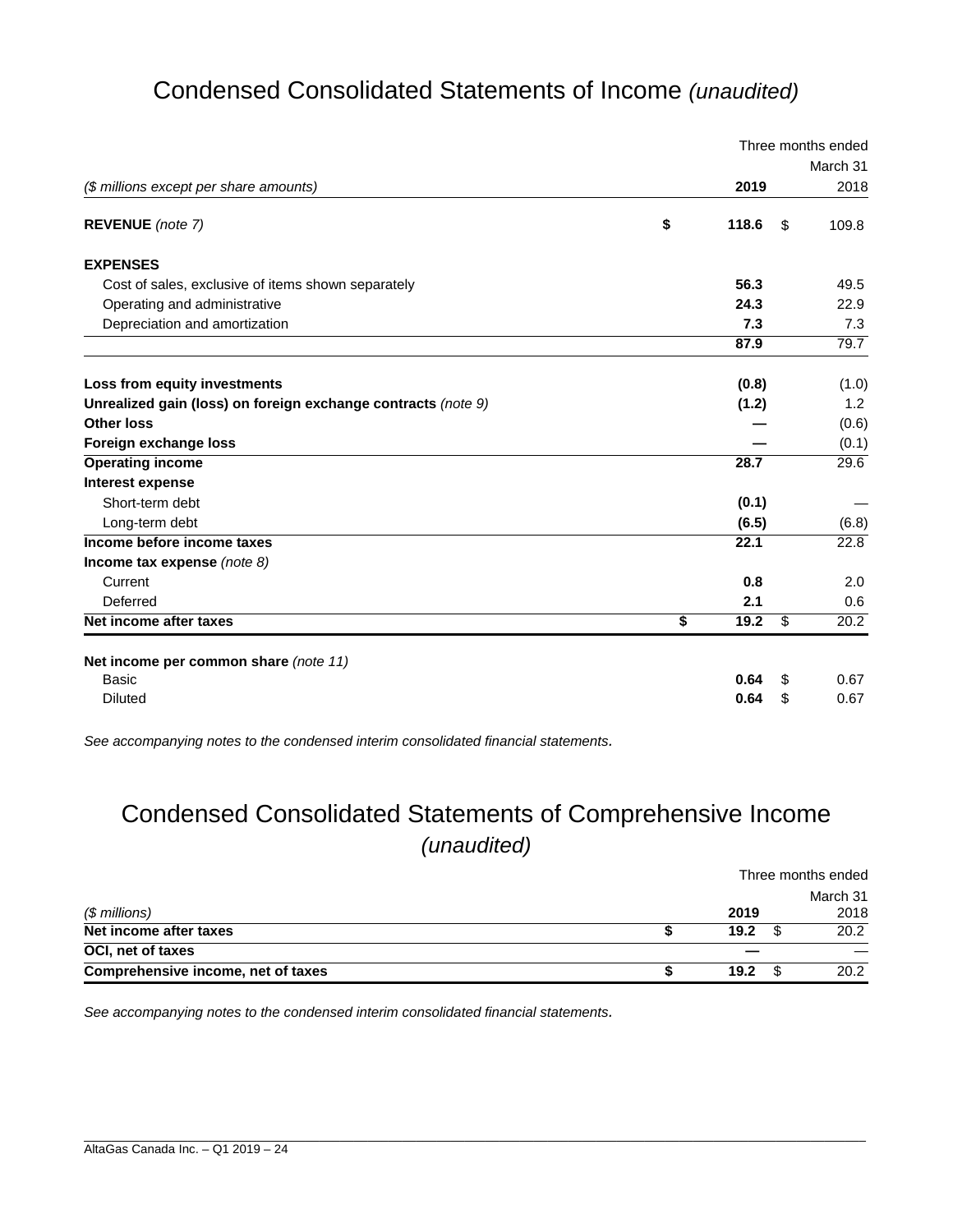# Condensed Consolidated Statements of Income *(unaudited)*

|                                                               |             |      | Three months ended |
|---------------------------------------------------------------|-------------|------|--------------------|
|                                                               |             |      | March 31           |
| (\$ millions except per share amounts)                        | 2019        |      | 2018               |
| REVENUE (note 7)                                              | \$<br>118.6 | - \$ | 109.8              |
| <b>EXPENSES</b>                                               |             |      |                    |
| Cost of sales, exclusive of items shown separately            | 56.3        |      | 49.5               |
| Operating and administrative                                  | 24.3        |      | 22.9               |
| Depreciation and amortization                                 | 7.3         |      | 7.3                |
|                                                               | 87.9        |      | 79.7               |
| Loss from equity investments                                  | (0.8)       |      | (1.0)              |
| Unrealized gain (loss) on foreign exchange contracts (note 9) | (1.2)       |      | 1.2                |
| <b>Other loss</b>                                             |             |      | (0.6)              |
| Foreign exchange loss                                         |             |      | (0.1)              |
| <b>Operating income</b>                                       | 28.7        |      | 29.6               |
| Interest expense                                              |             |      |                    |
| Short-term debt                                               | (0.1)       |      |                    |
| Long-term debt                                                | (6.5)       |      | (6.8)              |
| Income before income taxes                                    | 22.1        |      | 22.8               |
| Income tax expense (note $8$ )                                |             |      |                    |
| Current                                                       | 0.8         |      | 2.0                |
| Deferred                                                      | 2.1         |      | 0.6                |
| Net income after taxes                                        | \$<br>19.2  | \$   | 20.2               |
| Net income per common share (note 11)                         |             |      |                    |
| Basic                                                         | 0.64        | S    | 0.67               |
| <b>Diluted</b>                                                | 0.64        | \$   | 0.67               |

*See accompanying notes to the condensed interim consolidated financial statements.* 

# Condensed Consolidated Statements of Comprehensive Income *(unaudited)*

|                                    |      | Three months ended |
|------------------------------------|------|--------------------|
| $$$ millions)                      | 2019 | March 31<br>2018   |
| Net income after taxes             | 19.2 | 20.2               |
| OCI, net of taxes                  |      |                    |
| Comprehensive income, net of taxes | 19.2 | 20.2               |

\_\_\_\_\_\_\_\_\_\_\_\_\_\_\_\_\_\_\_\_\_\_\_\_\_\_\_\_\_\_\_\_\_\_\_\_\_\_\_\_\_\_\_\_\_\_\_\_\_\_\_\_\_\_\_\_\_\_\_\_\_\_\_\_\_\_\_\_\_\_\_\_\_\_\_\_\_\_\_\_\_\_\_\_\_\_\_\_\_\_\_\_\_\_\_\_\_\_\_\_\_\_\_\_\_\_\_\_\_\_\_\_\_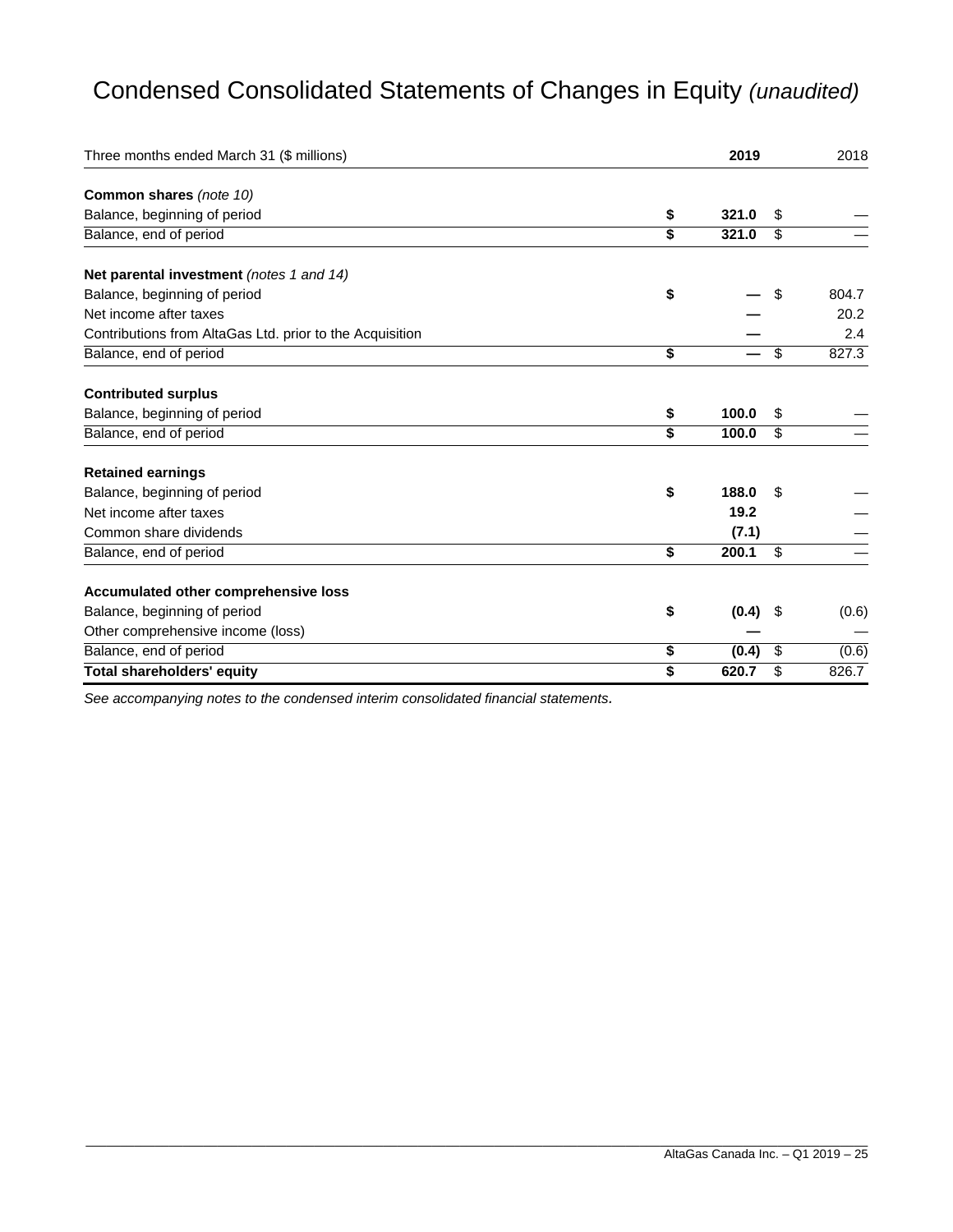# Condensed Consolidated Statements of Changes in Equity *(unaudited)*

| Three months ended March 31 (\$ millions)                | 2019        |                         | 2018  |
|----------------------------------------------------------|-------------|-------------------------|-------|
| Common shares (note 10)                                  |             |                         |       |
| Balance, beginning of period                             | \$<br>321.0 | \$                      |       |
| Balance, end of period                                   | \$<br>321.0 | \$                      |       |
| Net parental investment (notes 1 and 14)                 |             |                         |       |
| Balance, beginning of period                             | \$          | \$                      | 804.7 |
| Net income after taxes                                   |             |                         | 20.2  |
| Contributions from AltaGas Ltd. prior to the Acquisition |             |                         | 2.4   |
| Balance, end of period                                   | \$          | $\overline{\mathbf{S}}$ | 827.3 |
| <b>Contributed surplus</b>                               |             |                         |       |
| Balance, beginning of period                             | \$<br>100.0 | \$                      |       |
| Balance, end of period                                   | \$<br>100.0 | \$                      |       |
| <b>Retained earnings</b>                                 |             |                         |       |
| Balance, beginning of period                             | \$<br>188.0 | \$                      |       |
| Net income after taxes                                   | 19.2        |                         |       |
| Common share dividends                                   |             | (7.1)                   |       |
| Balance, end of period                                   | \$<br>200.1 | \$                      |       |
| Accumulated other comprehensive loss                     |             |                         |       |
| Balance, beginning of period                             | \$          | (0.4)<br>\$             | (0.6) |
| Other comprehensive income (loss)                        |             |                         |       |
| Balance, end of period                                   | \$          | \$<br>(0.4)             | (0.6) |
| <b>Total shareholders' equity</b>                        | \$<br>620.7 | \$                      | 826.7 |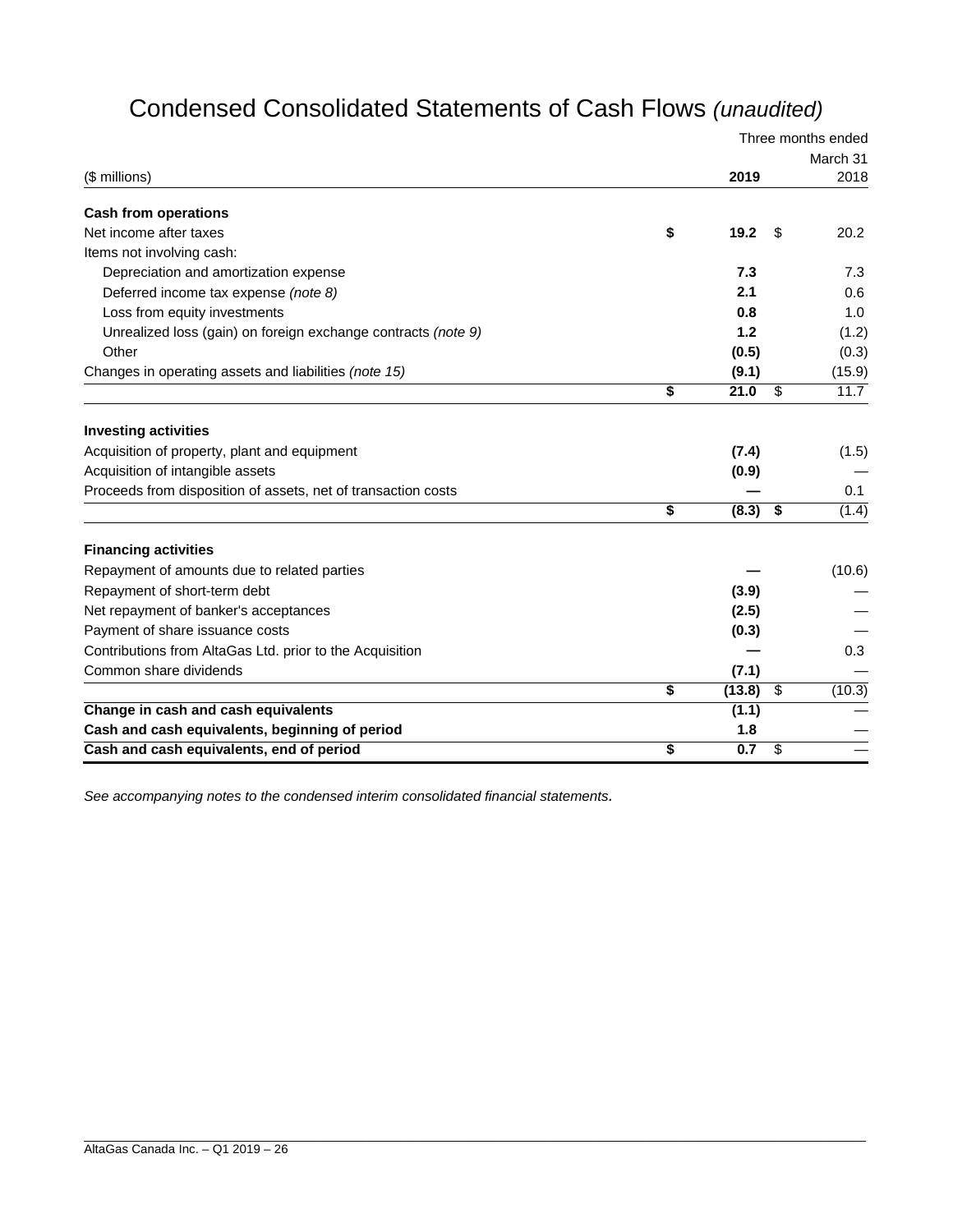# Condensed Consolidated Statements of Cash Flows *(unaudited)*

|                                                               |              | Three months ended |
|---------------------------------------------------------------|--------------|--------------------|
|                                                               |              | March 31           |
| (\$ millions)                                                 | 2019         | 2018               |
| <b>Cash from operations</b>                                   |              |                    |
| Net income after taxes                                        | \$<br>19.2   | \$<br>20.2         |
| Items not involving cash:                                     |              |                    |
| Depreciation and amortization expense                         | 7.3          | 7.3                |
| Deferred income tax expense (note 8)                          | 2.1          | 0.6                |
| Loss from equity investments                                  | 0.8          | 1.0                |
| Unrealized loss (gain) on foreign exchange contracts (note 9) | 1.2          | (1.2)              |
| Other                                                         | (0.5)        | (0.3)              |
| Changes in operating assets and liabilities (note 15)         | (9.1)        | (15.9)             |
|                                                               | \$<br>21.0   | \$<br>11.7         |
| <b>Investing activities</b>                                   |              |                    |
| Acquisition of property, plant and equipment                  | (7.4)        | (1.5)              |
| Acquisition of intangible assets                              | (0.9)        |                    |
| Proceeds from disposition of assets, net of transaction costs |              | 0.1                |
|                                                               | \$<br>(8.3)  | \$<br>(1.4)        |
| <b>Financing activities</b>                                   |              |                    |
| Repayment of amounts due to related parties                   |              | (10.6)             |
| Repayment of short-term debt                                  | (3.9)        |                    |
| Net repayment of banker's acceptances                         | (2.5)        |                    |
| Payment of share issuance costs                               | (0.3)        |                    |
| Contributions from AltaGas Ltd. prior to the Acquisition      |              | 0.3                |
| Common share dividends                                        | (7.1)        |                    |
|                                                               | \$<br>(13.8) | \$<br>(10.3)       |
| Change in cash and cash equivalents                           | (1.1)        |                    |
| Cash and cash equivalents, beginning of period                | 1.8          |                    |
| Cash and cash equivalents, end of period                      | \$<br>0.7    | \$                 |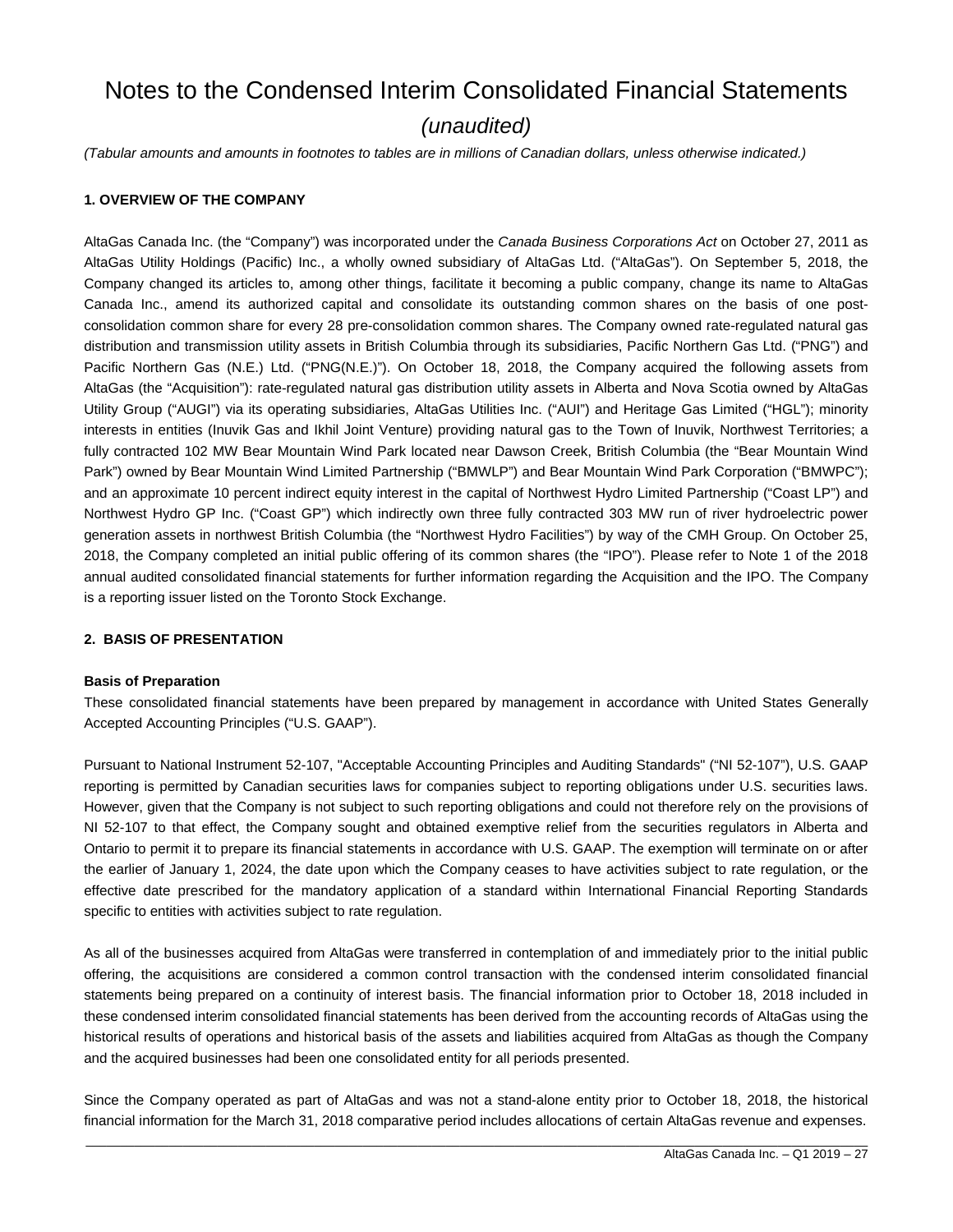# Notes to the Condensed Interim Consolidated Financial Statements *(unaudited)*

*(Tabular amounts and amounts in footnotes to tables are in millions of Canadian dollars, unless otherwise indicated.)* 

#### **1. OVERVIEW OF THE COMPANY**

AltaGas Canada Inc. (the "Company") was incorporated under the *Canada Business Corporations Act* on October 27, 2011 as AltaGas Utility Holdings (Pacific) Inc., a wholly owned subsidiary of AltaGas Ltd. ("AltaGas"). On September 5, 2018, the Company changed its articles to, among other things, facilitate it becoming a public company, change its name to AltaGas Canada Inc., amend its authorized capital and consolidate its outstanding common shares on the basis of one postconsolidation common share for every 28 pre-consolidation common shares. The Company owned rate-regulated natural gas distribution and transmission utility assets in British Columbia through its subsidiaries, Pacific Northern Gas Ltd. ("PNG") and Pacific Northern Gas (N.E.) Ltd. ("PNG(N.E.)"). On October 18, 2018, the Company acquired the following assets from AltaGas (the "Acquisition"): rate-regulated natural gas distribution utility assets in Alberta and Nova Scotia owned by AltaGas Utility Group ("AUGI") via its operating subsidiaries, AltaGas Utilities Inc. ("AUI") and Heritage Gas Limited ("HGL"); minority interests in entities (Inuvik Gas and Ikhil Joint Venture) providing natural gas to the Town of Inuvik, Northwest Territories; a fully contracted 102 MW Bear Mountain Wind Park located near Dawson Creek, British Columbia (the "Bear Mountain Wind Park") owned by Bear Mountain Wind Limited Partnership ("BMWLP") and Bear Mountain Wind Park Corporation ("BMWPC"); and an approximate 10 percent indirect equity interest in the capital of Northwest Hydro Limited Partnership ("Coast LP") and Northwest Hydro GP Inc. ("Coast GP") which indirectly own three fully contracted 303 MW run of river hydroelectric power generation assets in northwest British Columbia (the "Northwest Hydro Facilities") by way of the CMH Group. On October 25, 2018, the Company completed an initial public offering of its common shares (the "IPO"). Please refer to Note 1 of the 2018 annual audited consolidated financial statements for further information regarding the Acquisition and the IPO. The Company is a reporting issuer listed on the Toronto Stock Exchange.

#### **2. BASIS OF PRESENTATION**

#### **Basis of Preparation**

These consolidated financial statements have been prepared by management in accordance with United States Generally Accepted Accounting Principles ("U.S. GAAP").

Pursuant to National Instrument 52-107, "Acceptable Accounting Principles and Auditing Standards" ("NI 52-107"), U.S. GAAP reporting is permitted by Canadian securities laws for companies subject to reporting obligations under U.S. securities laws. However, given that the Company is not subject to such reporting obligations and could not therefore rely on the provisions of NI 52-107 to that effect, the Company sought and obtained exemptive relief from the securities regulators in Alberta and Ontario to permit it to prepare its financial statements in accordance with U.S. GAAP. The exemption will terminate on or after the earlier of January 1, 2024, the date upon which the Company ceases to have activities subject to rate regulation, or the effective date prescribed for the mandatory application of a standard within International Financial Reporting Standards specific to entities with activities subject to rate regulation.

As all of the businesses acquired from AltaGas were transferred in contemplation of and immediately prior to the initial public offering, the acquisitions are considered a common control transaction with the condensed interim consolidated financial statements being prepared on a continuity of interest basis. The financial information prior to October 18, 2018 included in these condensed interim consolidated financial statements has been derived from the accounting records of AltaGas using the historical results of operations and historical basis of the assets and liabilities acquired from AltaGas as though the Company and the acquired businesses had been one consolidated entity for all periods presented.

Since the Company operated as part of AltaGas and was not a stand-alone entity prior to October 18, 2018, the historical financial information for the March 31, 2018 comparative period includes allocations of certain AltaGas revenue and expenses.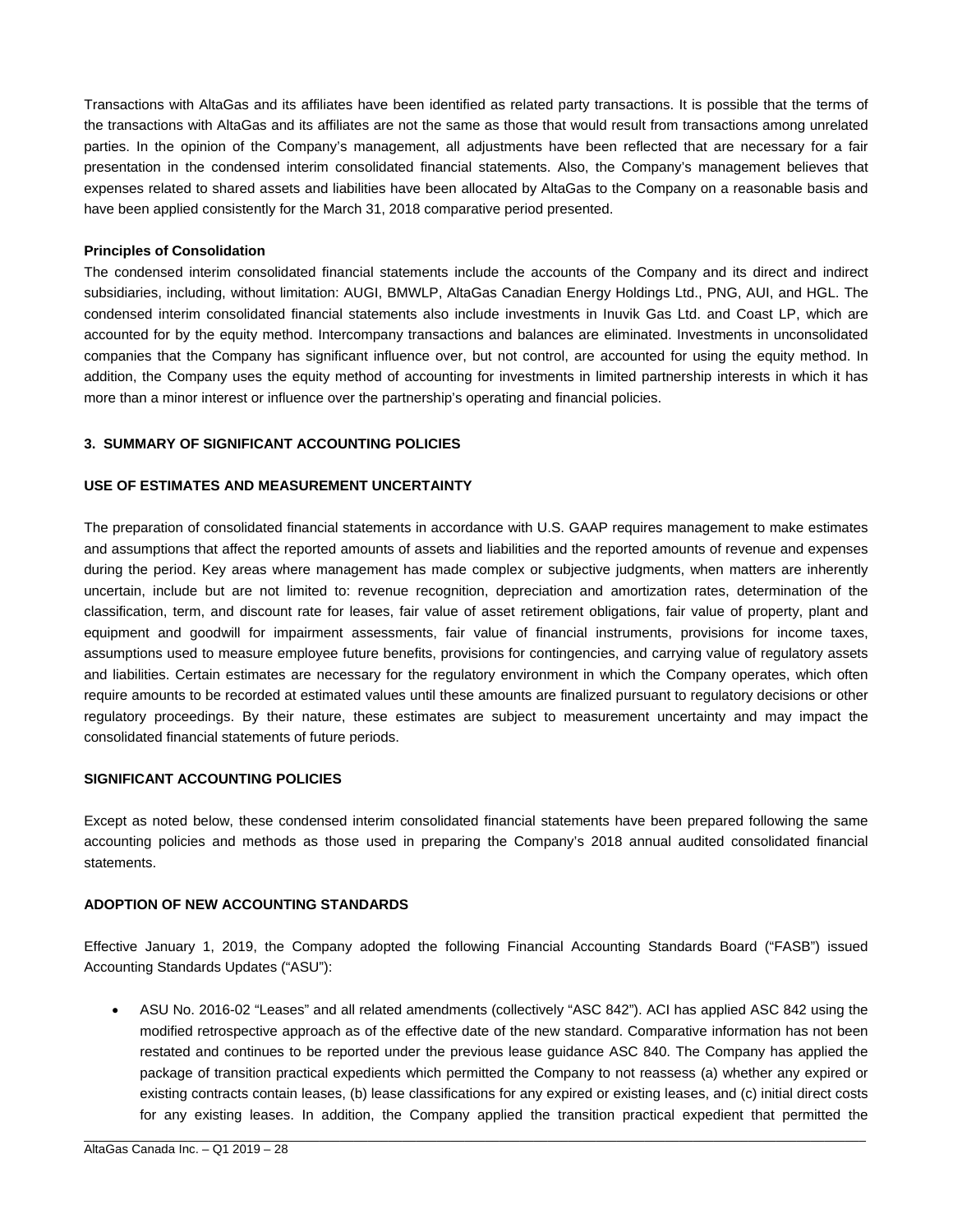Transactions with AltaGas and its affiliates have been identified as related party transactions. It is possible that the terms of the transactions with AltaGas and its affiliates are not the same as those that would result from transactions among unrelated parties. In the opinion of the Company's management, all adjustments have been reflected that are necessary for a fair presentation in the condensed interim consolidated financial statements. Also, the Company's management believes that expenses related to shared assets and liabilities have been allocated by AltaGas to the Company on a reasonable basis and have been applied consistently for the March 31, 2018 comparative period presented.

#### **Principles of Consolidation**

The condensed interim consolidated financial statements include the accounts of the Company and its direct and indirect subsidiaries, including, without limitation: AUGI, BMWLP, AltaGas Canadian Energy Holdings Ltd., PNG, AUI, and HGL. The condensed interim consolidated financial statements also include investments in Inuvik Gas Ltd. and Coast LP, which are accounted for by the equity method. Intercompany transactions and balances are eliminated. Investments in unconsolidated companies that the Company has significant influence over, but not control, are accounted for using the equity method. In addition, the Company uses the equity method of accounting for investments in limited partnership interests in which it has more than a minor interest or influence over the partnership's operating and financial policies.

#### **3. SUMMARY OF SIGNIFICANT ACCOUNTING POLICIES**

#### **USE OF ESTIMATES AND MEASUREMENT UNCERTAINTY**

The preparation of consolidated financial statements in accordance with U.S. GAAP requires management to make estimates and assumptions that affect the reported amounts of assets and liabilities and the reported amounts of revenue and expenses during the period. Key areas where management has made complex or subjective judgments, when matters are inherently uncertain, include but are not limited to: revenue recognition, depreciation and amortization rates, determination of the classification, term, and discount rate for leases, fair value of asset retirement obligations, fair value of property, plant and equipment and goodwill for impairment assessments, fair value of financial instruments, provisions for income taxes, assumptions used to measure employee future benefits, provisions for contingencies, and carrying value of regulatory assets and liabilities. Certain estimates are necessary for the regulatory environment in which the Company operates, which often require amounts to be recorded at estimated values until these amounts are finalized pursuant to regulatory decisions or other regulatory proceedings. By their nature, these estimates are subject to measurement uncertainty and may impact the consolidated financial statements of future periods.

#### **SIGNIFICANT ACCOUNTING POLICIES**

Except as noted below, these condensed interim consolidated financial statements have been prepared following the same accounting policies and methods as those used in preparing the Company's 2018 annual audited consolidated financial statements.

#### **ADOPTION OF NEW ACCOUNTING STANDARDS**

Effective January 1, 2019, the Company adopted the following Financial Accounting Standards Board ("FASB") issued Accounting Standards Updates ("ASU"):

 ASU No. 2016-02 "Leases" and all related amendments (collectively "ASC 842"). ACI has applied ASC 842 using the modified retrospective approach as of the effective date of the new standard. Comparative information has not been restated and continues to be reported under the previous lease guidance ASC 840. The Company has applied the package of transition practical expedients which permitted the Company to not reassess (a) whether any expired or existing contracts contain leases, (b) lease classifications for any expired or existing leases, and (c) initial direct costs for any existing leases. In addition, the Company applied the transition practical expedient that permitted the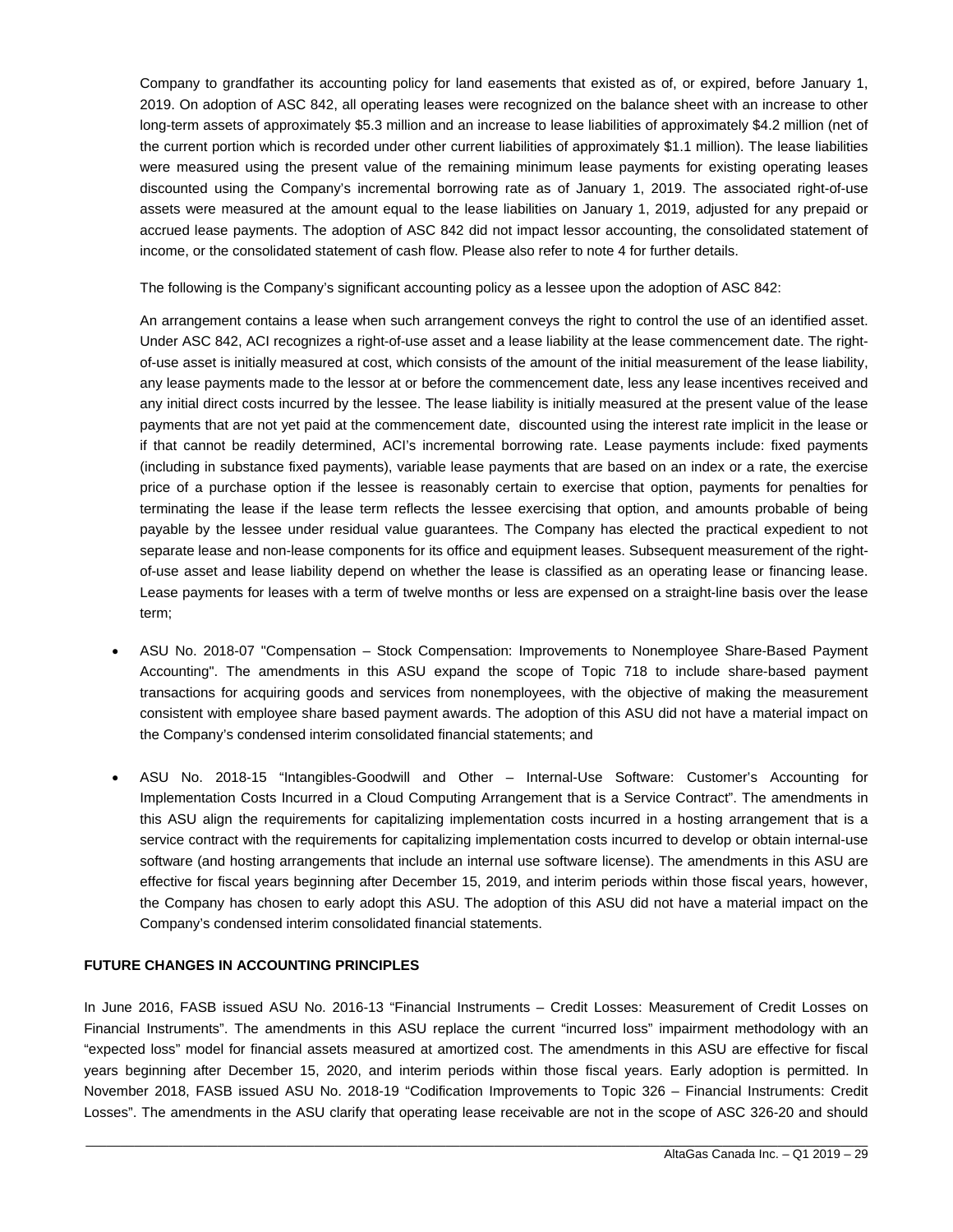Company to grandfather its accounting policy for land easements that existed as of, or expired, before January 1, 2019. On adoption of ASC 842, all operating leases were recognized on the balance sheet with an increase to other long-term assets of approximately \$5.3 million and an increase to lease liabilities of approximately \$4.2 million (net of the current portion which is recorded under other current liabilities of approximately \$1.1 million). The lease liabilities were measured using the present value of the remaining minimum lease payments for existing operating leases discounted using the Company's incremental borrowing rate as of January 1, 2019. The associated right-of-use assets were measured at the amount equal to the lease liabilities on January 1, 2019, adjusted for any prepaid or accrued lease payments. The adoption of ASC 842 did not impact lessor accounting, the consolidated statement of income, or the consolidated statement of cash flow. Please also refer to note 4 for further details.

The following is the Company's significant accounting policy as a lessee upon the adoption of ASC 842:

An arrangement contains a lease when such arrangement conveys the right to control the use of an identified asset. Under ASC 842, ACI recognizes a right-of-use asset and a lease liability at the lease commencement date. The rightof-use asset is initially measured at cost, which consists of the amount of the initial measurement of the lease liability, any lease payments made to the lessor at or before the commencement date, less any lease incentives received and any initial direct costs incurred by the lessee. The lease liability is initially measured at the present value of the lease payments that are not yet paid at the commencement date, discounted using the interest rate implicit in the lease or if that cannot be readily determined, ACI's incremental borrowing rate. Lease payments include: fixed payments (including in substance fixed payments), variable lease payments that are based on an index or a rate, the exercise price of a purchase option if the lessee is reasonably certain to exercise that option, payments for penalties for terminating the lease if the lease term reflects the lessee exercising that option, and amounts probable of being payable by the lessee under residual value guarantees. The Company has elected the practical expedient to not separate lease and non-lease components for its office and equipment leases. Subsequent measurement of the rightof-use asset and lease liability depend on whether the lease is classified as an operating lease or financing lease. Lease payments for leases with a term of twelve months or less are expensed on a straight-line basis over the lease term;

- ASU No. 2018-07 "Compensation Stock Compensation: Improvements to Nonemployee Share-Based Payment Accounting". The amendments in this ASU expand the scope of Topic 718 to include share-based payment transactions for acquiring goods and services from nonemployees, with the objective of making the measurement consistent with employee share based payment awards. The adoption of this ASU did not have a material impact on the Company's condensed interim consolidated financial statements; and
- ASU No. 2018-15 "Intangibles-Goodwill and Other Internal-Use Software: Customer's Accounting for Implementation Costs Incurred in a Cloud Computing Arrangement that is a Service Contract". The amendments in this ASU align the requirements for capitalizing implementation costs incurred in a hosting arrangement that is a service contract with the requirements for capitalizing implementation costs incurred to develop or obtain internal-use software (and hosting arrangements that include an internal use software license). The amendments in this ASU are effective for fiscal years beginning after December 15, 2019, and interim periods within those fiscal years, however, the Company has chosen to early adopt this ASU. The adoption of this ASU did not have a material impact on the Company's condensed interim consolidated financial statements.

#### **FUTURE CHANGES IN ACCOUNTING PRINCIPLES**

In June 2016, FASB issued ASU No. 2016-13 "Financial Instruments – Credit Losses: Measurement of Credit Losses on Financial Instruments". The amendments in this ASU replace the current "incurred loss" impairment methodology with an "expected loss" model for financial assets measured at amortized cost. The amendments in this ASU are effective for fiscal years beginning after December 15, 2020, and interim periods within those fiscal years. Early adoption is permitted. In November 2018, FASB issued ASU No. 2018-19 "Codification Improvements to Topic 326 – Financial Instruments: Credit Losses". The amendments in the ASU clarify that operating lease receivable are not in the scope of ASC 326-20 and should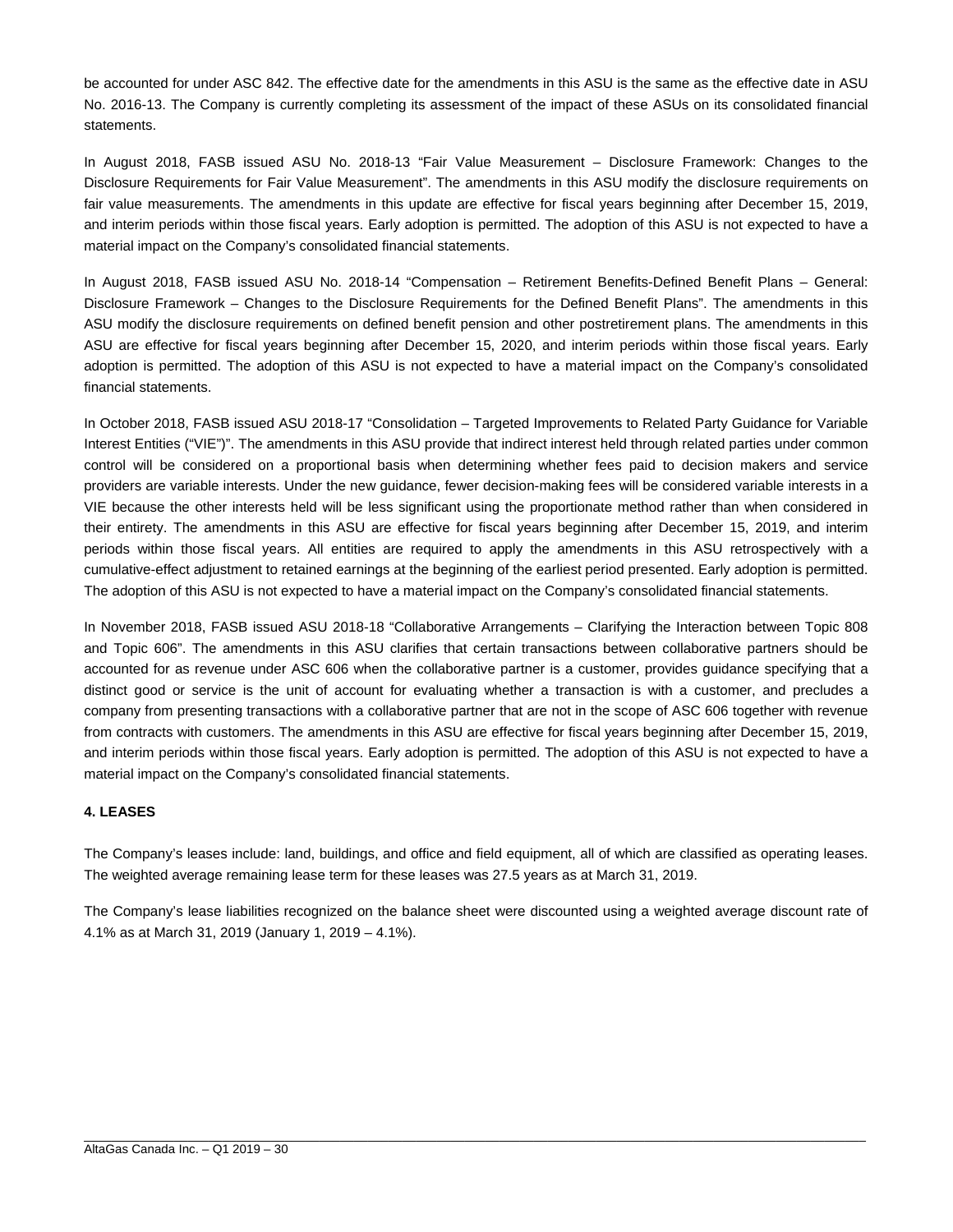be accounted for under ASC 842. The effective date for the amendments in this ASU is the same as the effective date in ASU No. 2016-13. The Company is currently completing its assessment of the impact of these ASUs on its consolidated financial statements.

In August 2018, FASB issued ASU No. 2018-13 "Fair Value Measurement – Disclosure Framework: Changes to the Disclosure Requirements for Fair Value Measurement". The amendments in this ASU modify the disclosure requirements on fair value measurements. The amendments in this update are effective for fiscal years beginning after December 15, 2019, and interim periods within those fiscal years. Early adoption is permitted. The adoption of this ASU is not expected to have a material impact on the Company's consolidated financial statements.

In August 2018, FASB issued ASU No. 2018-14 "Compensation – Retirement Benefits-Defined Benefit Plans – General: Disclosure Framework – Changes to the Disclosure Requirements for the Defined Benefit Plans". The amendments in this ASU modify the disclosure requirements on defined benefit pension and other postretirement plans. The amendments in this ASU are effective for fiscal years beginning after December 15, 2020, and interim periods within those fiscal years. Early adoption is permitted. The adoption of this ASU is not expected to have a material impact on the Company's consolidated financial statements.

In October 2018, FASB issued ASU 2018-17 "Consolidation – Targeted Improvements to Related Party Guidance for Variable Interest Entities ("VIE")". The amendments in this ASU provide that indirect interest held through related parties under common control will be considered on a proportional basis when determining whether fees paid to decision makers and service providers are variable interests. Under the new guidance, fewer decision-making fees will be considered variable interests in a VIE because the other interests held will be less significant using the proportionate method rather than when considered in their entirety. The amendments in this ASU are effective for fiscal years beginning after December 15, 2019, and interim periods within those fiscal years. All entities are required to apply the amendments in this ASU retrospectively with a cumulative-effect adjustment to retained earnings at the beginning of the earliest period presented. Early adoption is permitted. The adoption of this ASU is not expected to have a material impact on the Company's consolidated financial statements.

In November 2018, FASB issued ASU 2018-18 "Collaborative Arrangements – Clarifying the Interaction between Topic 808 and Topic 606". The amendments in this ASU clarifies that certain transactions between collaborative partners should be accounted for as revenue under ASC 606 when the collaborative partner is a customer, provides guidance specifying that a distinct good or service is the unit of account for evaluating whether a transaction is with a customer, and precludes a company from presenting transactions with a collaborative partner that are not in the scope of ASC 606 together with revenue from contracts with customers. The amendments in this ASU are effective for fiscal years beginning after December 15, 2019, and interim periods within those fiscal years. Early adoption is permitted. The adoption of this ASU is not expected to have a material impact on the Company's consolidated financial statements.

#### **4. LEASES**

The Company's leases include: land, buildings, and office and field equipment, all of which are classified as operating leases. The weighted average remaining lease term for these leases was 27.5 years as at March 31, 2019.

The Company's lease liabilities recognized on the balance sheet were discounted using a weighted average discount rate of 4.1% as at March 31, 2019 (January 1, 2019 – 4.1%).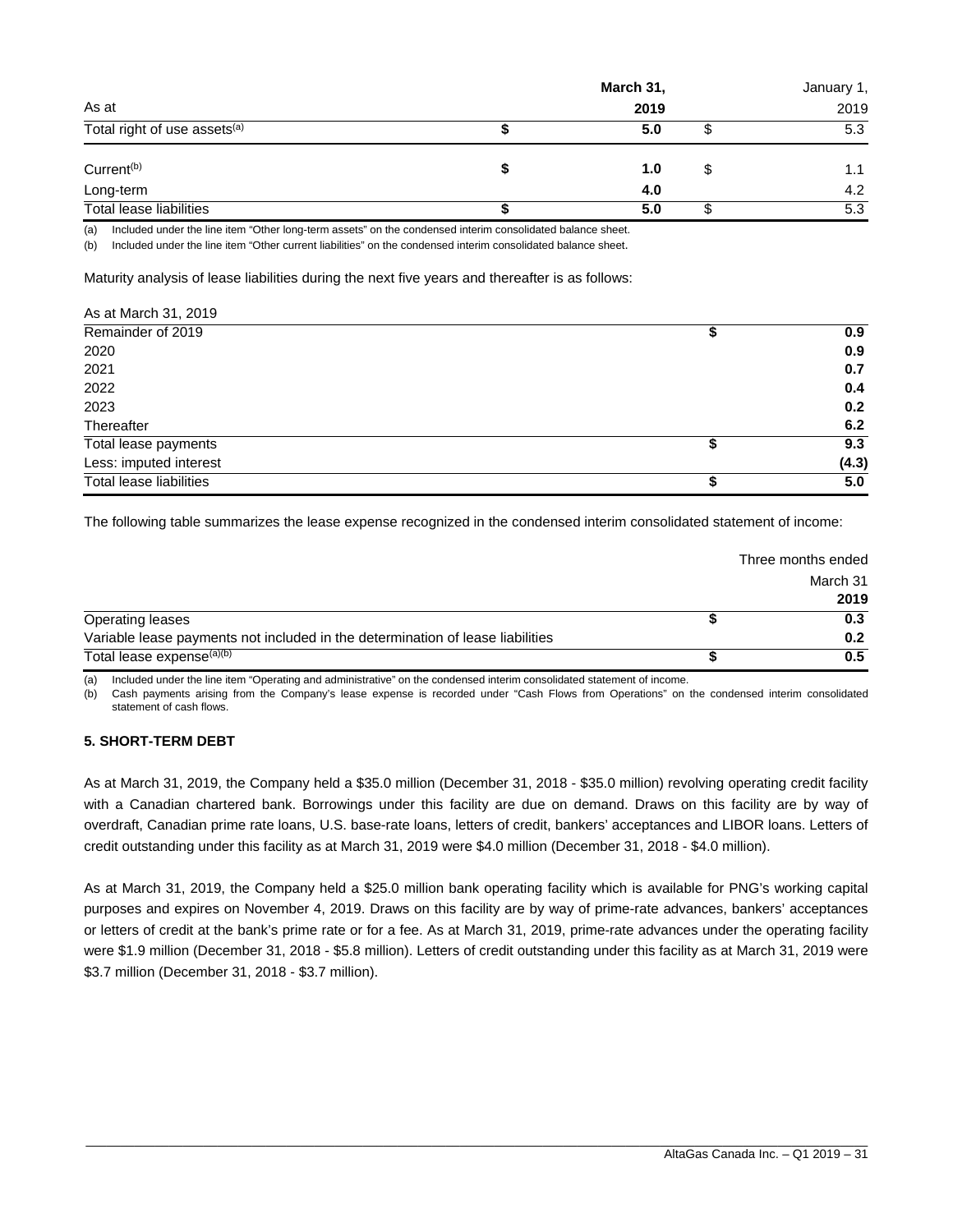|                                          |  |      | January 1, |      |
|------------------------------------------|--|------|------------|------|
| As at                                    |  | 2019 |            | 2019 |
| Total right of use assets <sup>(a)</sup> |  | 5.0  | J          | 5.3  |
| Current <sup>(b)</sup>                   |  | 1.0  | S          | 1.1  |
| Long-term                                |  | 4.0  |            | 4.2  |
| Total lease liabilities                  |  | 5.0  | ა          | 5.3  |

(a) Included under the line item "Other long-term assets" on the condensed interim consolidated balance sheet.

(b) Included under the line item "Other current liabilities" on the condensed interim consolidated balance sheet.

Maturity analysis of lease liabilities during the next five years and thereafter is as follows:

| As at March 31, 2019           |           |
|--------------------------------|-----------|
| Remainder of 2019              | 0.9       |
| 2020                           | 0.9       |
| 2021                           | 0.7       |
| 2022                           | 0.4       |
| 2023                           | 0.2       |
| Thereafter                     | 6.2       |
| Total lease payments           | \$<br>9.3 |
| Less: imputed interest         | (4.3)     |
| <b>Total lease liabilities</b> | \$<br>5.0 |

The following table summarizes the lease expense recognized in the condensed interim consolidated statement of income:

|                                                                                | Three months ended |
|--------------------------------------------------------------------------------|--------------------|
|                                                                                | March 31           |
|                                                                                | 2019               |
| Operating leases                                                               | 0.3                |
| Variable lease payments not included in the determination of lease liabilities | 0.2                |
| Total lease expense <sup>(a)(b)</sup>                                          | 0.5                |

(a) Included under the line item "Operating and administrative" on the condensed interim consolidated statement of income.

(b) Cash payments arising from the Company's lease expense is recorded under "Cash Flows from Operations" on the condensed interim consolidated statement of cash flows.

#### **5. SHORT-TERM DEBT**

As at March 31, 2019, the Company held a \$35.0 million (December 31, 2018 - \$35.0 million) revolving operating credit facility with a Canadian chartered bank. Borrowings under this facility are due on demand. Draws on this facility are by way of overdraft, Canadian prime rate loans, U.S. base-rate loans, letters of credit, bankers' acceptances and LIBOR loans. Letters of credit outstanding under this facility as at March 31, 2019 were \$4.0 million (December 31, 2018 - \$4.0 million).

As at March 31, 2019, the Company held a \$25.0 million bank operating facility which is available for PNG's working capital purposes and expires on November 4, 2019. Draws on this facility are by way of prime-rate advances, bankers' acceptances or letters of credit at the bank's prime rate or for a fee. As at March 31, 2019, prime-rate advances under the operating facility were \$1.9 million (December 31, 2018 - \$5.8 million). Letters of credit outstanding under this facility as at March 31, 2019 were \$3.7 million (December 31, 2018 - \$3.7 million).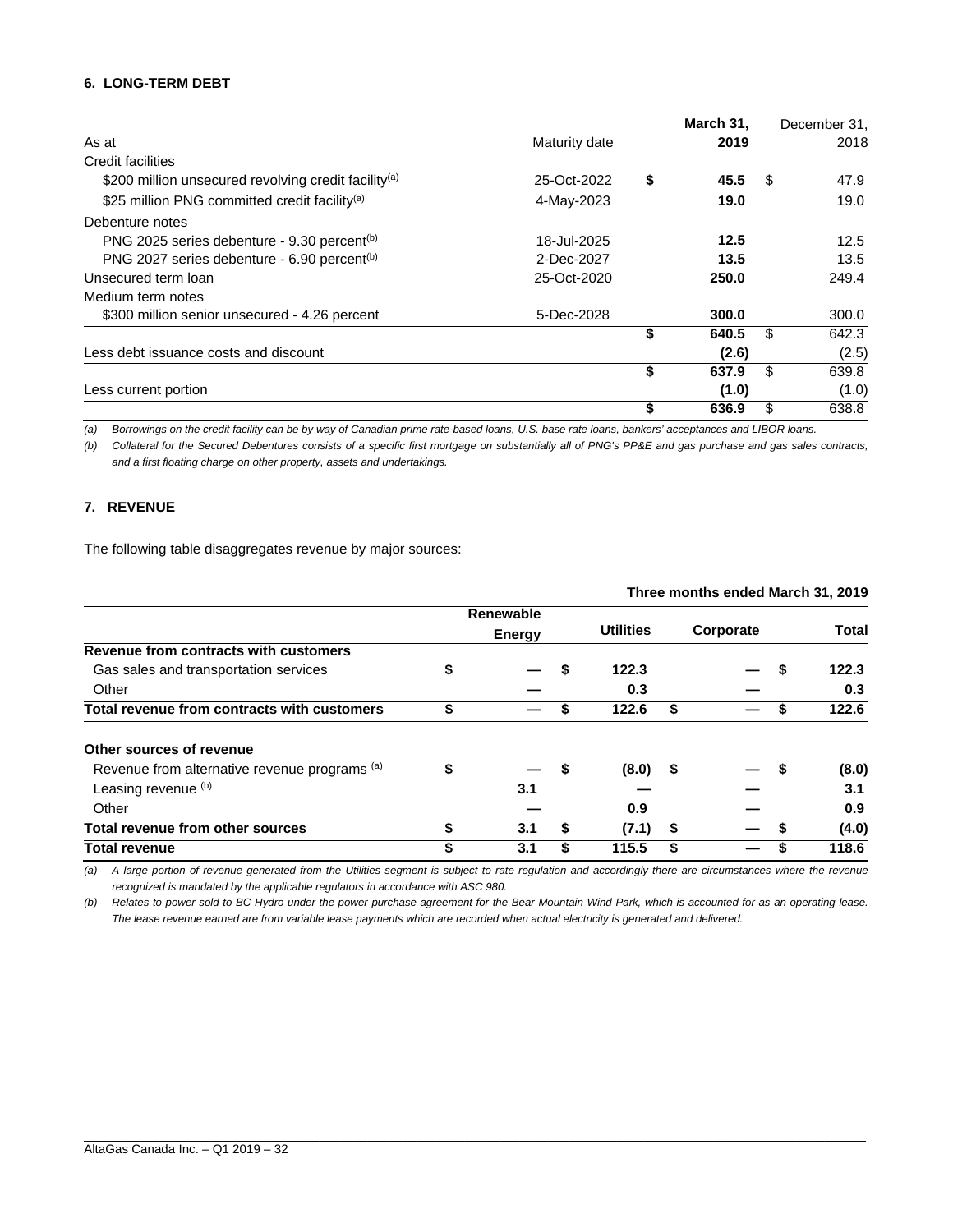#### **6. LONG-TERM DEBT**

|                                                                  |               | March 31,   | December 31, |
|------------------------------------------------------------------|---------------|-------------|--------------|
| As at                                                            | Maturity date | 2019        | 2018         |
| <b>Credit facilities</b>                                         |               |             |              |
| \$200 million unsecured revolving credit facility <sup>(a)</sup> | 25-Oct-2022   | \$<br>45.5  | \$<br>47.9   |
| \$25 million PNG committed credit facility <sup>(a)</sup>        | 4-May-2023    | 19.0        | 19.0         |
| Debenture notes                                                  |               |             |              |
| PNG 2025 series debenture - 9.30 percent <sup>(b)</sup>          | 18-Jul-2025   | 12.5        | 12.5         |
| PNG 2027 series debenture - 6.90 percent <sup>(b)</sup>          | 2-Dec-2027    | 13.5        | 13.5         |
| Unsecured term loan                                              | 25-Oct-2020   | 250.0       | 249.4        |
| Medium term notes                                                |               |             |              |
| \$300 million senior unsecured - 4.26 percent                    | 5-Dec-2028    | 300.0       | 300.0        |
|                                                                  |               | \$<br>640.5 | \$<br>642.3  |
| Less debt issuance costs and discount                            |               | (2.6)       | (2.5)        |
|                                                                  |               | \$<br>637.9 | \$<br>639.8  |
| Less current portion                                             |               | (1.0)       | (1.0)        |
|                                                                  |               | \$<br>636.9 | \$<br>638.8  |

*(a) Borrowings on the credit facility can be by way of Canadian prime rate-based loans, U.S. base rate loans, bankers' acceptances and LIBOR loans.* 

*(b) Collateral for the Secured Debentures consists of a specific first mortgage on substantially all of PNG's PP&E and gas purchase and gas sales contracts, and a first floating charge on other property, assets and undertakings.* 

#### **7. REVENUE**

The following table disaggregates revenue by major sources:

|                                               | Three months ended March 31, 2019 |               |    |                  |    |           |   |              |
|-----------------------------------------------|-----------------------------------|---------------|----|------------------|----|-----------|---|--------------|
|                                               |                                   | Renewable     |    |                  |    |           |   |              |
|                                               |                                   | <b>Energy</b> |    | <b>Utilities</b> |    | Corporate |   | <b>Total</b> |
| Revenue from contracts with customers         |                                   |               |    |                  |    |           |   |              |
| Gas sales and transportation services         | \$                                |               | S  | 122.3            |    |           | S | 122.3        |
| Other                                         |                                   |               |    | 0.3              |    |           |   | 0.3          |
| Total revenue from contracts with customers   | \$                                |               | S  | 122.6            | \$ |           | S | 122.6        |
| Other sources of revenue                      |                                   |               |    |                  |    |           |   |              |
| Revenue from alternative revenue programs (a) | \$                                |               | \$ | $(8.0)$ \$       |    |           | S | (8.0)        |
| Leasing revenue (b)                           |                                   | 3.1           |    |                  |    |           |   | 3.1          |
| Other                                         |                                   |               |    | 0.9              |    |           |   | 0.9          |
| Total revenue from other sources              | \$                                | 3.1           | \$ | (7.1)            | S  |           |   | (4.0)        |
| <b>Total revenue</b>                          |                                   | 3.1           |    | 115.5            |    |           |   | 118.6        |

*(a) A large portion of revenue generated from the Utilities segment is subject to rate regulation and accordingly there are circumstances where the revenue recognized is mandated by the applicable regulators in accordance with ASC 980.* 

*(b) Relates to power sold to BC Hydro under the power purchase agreement for the Bear Mountain Wind Park, which is accounted for as an operating lease. The lease revenue earned are from variable lease payments which are recorded when actual electricity is generated and delivered.*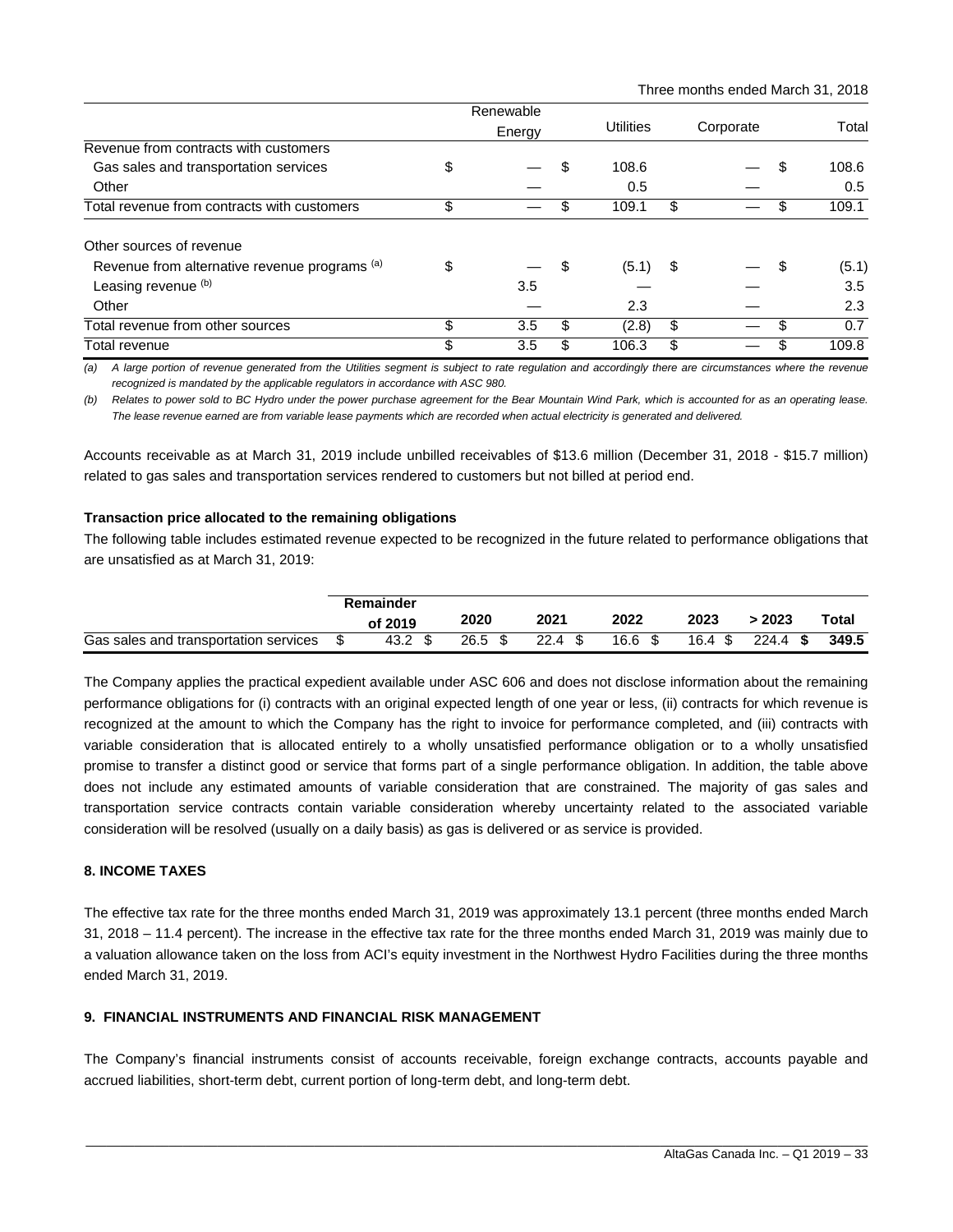|                                               |        | Renewable |      |                  |           |  |    |       |
|-----------------------------------------------|--------|-----------|------|------------------|-----------|--|----|-------|
|                                               | Energy |           |      | <b>Utilities</b> | Corporate |  |    | Total |
| Revenue from contracts with customers         |        |           |      |                  |           |  |    |       |
| Gas sales and transportation services         | \$     |           | \$   | 108.6            |           |  | \$ | 108.6 |
| Other                                         |        |           |      | 0.5              |           |  |    | 0.5   |
| Total revenue from contracts with customers   | \$     |           |      | 109.1            | \$        |  |    | 109.1 |
| Other sources of revenue                      |        |           |      |                  |           |  |    |       |
| Revenue from alternative revenue programs (a) | \$     |           | - \$ | (5.1)            | \$        |  | S  | (5.1) |
| Leasing revenue (b)                           |        | 3.5       |      |                  |           |  |    | 3.5   |
| Other                                         |        |           |      | 2.3              |           |  |    | 2.3   |
| Total revenue from other sources              | \$     | 3.5       | \$   | (2.8)            | \$        |  | S  | 0.7   |
| Total revenue                                 | \$     | 3.5       | S    | 106.3            | \$        |  |    | 109.8 |

*(a) A large portion of revenue generated from the Utilities segment is subject to rate regulation and accordingly there are circumstances where the revenue*  recognized is mandated by the applicable regulators in accordance with ASC 980.

*(b) Relates to power sold to BC Hydro under the power purchase agreement for the Bear Mountain Wind Park, which is accounted for as an operating lease. The lease revenue earned are from variable lease payments which are recorded when actual electricity is generated and delivered.* 

Accounts receivable as at March 31, 2019 include unbilled receivables of \$13.6 million (December 31, 2018 - \$15.7 million) related to gas sales and transportation services rendered to customers but not billed at period end.

#### **Transaction price allocated to the remaining obligations**

The following table includes estimated revenue expected to be recognized in the future related to performance obligations that are unsatisfied as at March 31, 2019:

|                                       | Remainder |      |      |      |                   |                  |            |       |
|---------------------------------------|-----------|------|------|------|-------------------|------------------|------------|-------|
|                                       | of 2019   |      | 2020 | 2021 | 2022              | 2023             | 2023       | Total |
| Gas sales and transportation services |           | 43.2 | 26.5 | 22.4 | 16.6 <sup>5</sup> | $16.4~{\rm \AA}$ | $224.4$ \$ | 349.5 |

The Company applies the practical expedient available under ASC 606 and does not disclose information about the remaining performance obligations for (i) contracts with an original expected length of one year or less, (ii) contracts for which revenue is recognized at the amount to which the Company has the right to invoice for performance completed, and (iii) contracts with variable consideration that is allocated entirely to a wholly unsatisfied performance obligation or to a wholly unsatisfied promise to transfer a distinct good or service that forms part of a single performance obligation. In addition, the table above does not include any estimated amounts of variable consideration that are constrained. The majority of gas sales and transportation service contracts contain variable consideration whereby uncertainty related to the associated variable consideration will be resolved (usually on a daily basis) as gas is delivered or as service is provided.

#### **8. INCOME TAXES**

The effective tax rate for the three months ended March 31, 2019 was approximately 13.1 percent (three months ended March 31, 2018 – 11.4 percent). The increase in the effective tax rate for the three months ended March 31, 2019 was mainly due to a valuation allowance taken on the loss from ACI's equity investment in the Northwest Hydro Facilities during the three months ended March 31, 2019.

#### **9. FINANCIAL INSTRUMENTS AND FINANCIAL RISK MANAGEMENT**

The Company's financial instruments consist of accounts receivable, foreign exchange contracts, accounts payable and accrued liabilities, short-term debt, current portion of long-term debt, and long-term debt.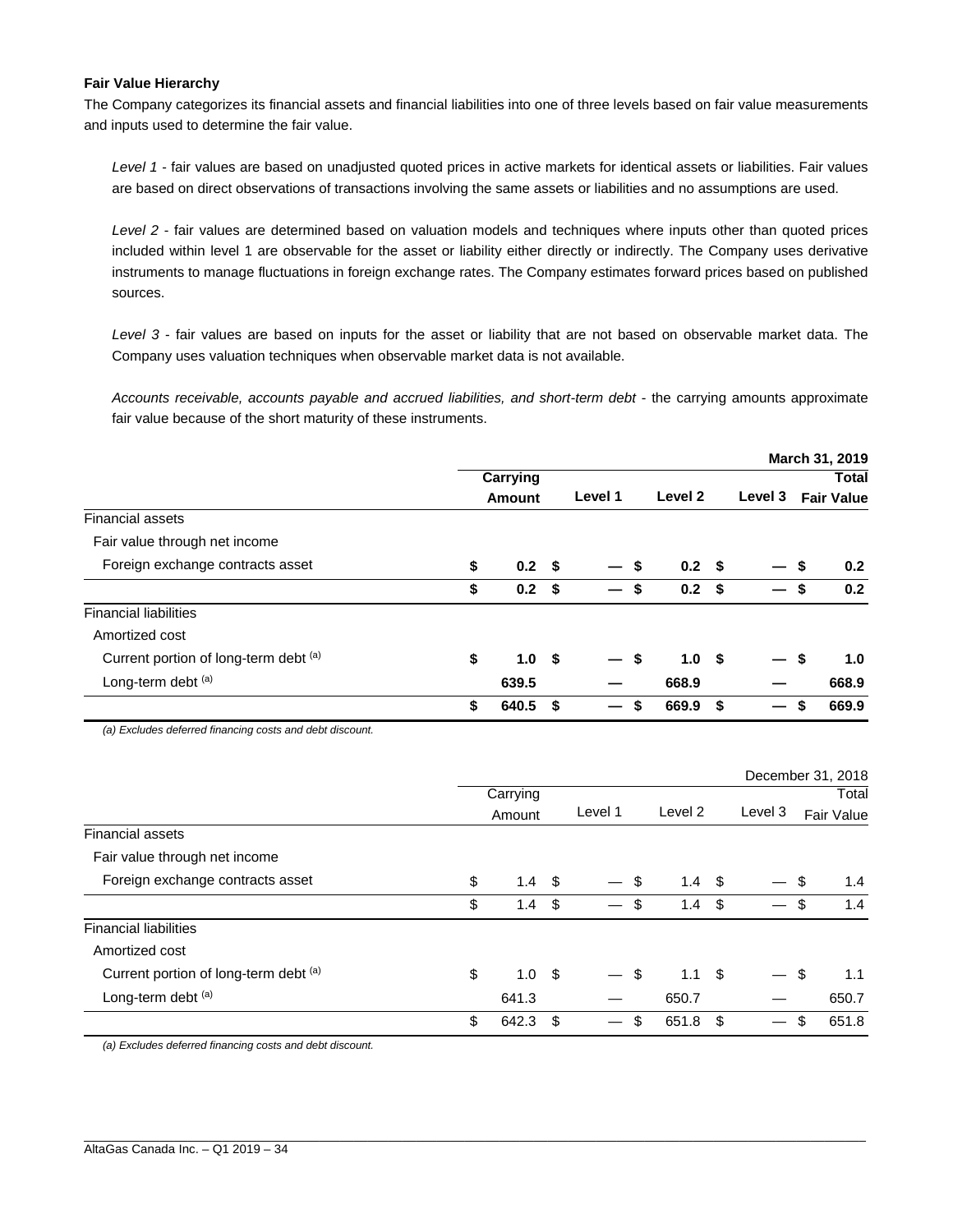#### **Fair Value Hierarchy**

The Company categorizes its financial assets and financial liabilities into one of three levels based on fair value measurements and inputs used to determine the fair value.

*Level 1* - fair values are based on unadjusted quoted prices in active markets for identical assets or liabilities. Fair values are based on direct observations of transactions involving the same assets or liabilities and no assumptions are used.

*Level 2* - fair values are determined based on valuation models and techniques where inputs other than quoted prices included within level 1 are observable for the asset or liability either directly or indirectly. The Company uses derivative instruments to manage fluctuations in foreign exchange rates. The Company estimates forward prices based on published sources.

*Level 3* - fair values are based on inputs for the asset or liability that are not based on observable market data. The Company uses valuation techniques when observable market data is not available.

Accounts receivable, accounts payable and accrued liabilities, and short-term debt - the carrying amounts approximate fair value because of the short maturity of these instruments.

|                                       |                        |    |                          |     |                  |      |                          |     | March 31, 2019    |
|---------------------------------------|------------------------|----|--------------------------|-----|------------------|------|--------------------------|-----|-------------------|
|                                       | Carrying               |    |                          |     |                  |      |                          |     | <b>Total</b>      |
|                                       | Amount                 |    | Level 1                  |     | Level 2          |      | Level 3                  |     | <b>Fair Value</b> |
| <b>Financial assets</b>               |                        |    |                          |     |                  |      |                          |     |                   |
| Fair value through net income         |                        |    |                          |     |                  |      |                          |     |                   |
| Foreign exchange contracts asset      | \$<br>0.2 <sup>5</sup> |    | $\overline{\phantom{0}}$ | \$  | 0.2 <sup>5</sup> |      |                          | \$  | 0.2               |
|                                       | \$<br>0.2 <sup>5</sup> |    | $\overline{\phantom{0}}$ | \$  | 0.2 <sup>5</sup> |      | $\overline{\phantom{0}}$ | -\$ | 0.2               |
| <b>Financial liabilities</b>          |                        |    |                          |     |                  |      |                          |     |                   |
| Amortized cost                        |                        |    |                          |     |                  |      |                          |     |                   |
| Current portion of long-term debt (a) | \$<br>1.0 <sup>5</sup> |    | $\overline{\phantom{0}}$ | -\$ | 1.0 <sup>5</sup> |      |                          | \$  | 1.0               |
| Long-term debt (a)                    | 639.5                  |    |                          |     | 668.9            |      |                          |     | 668.9             |
|                                       | \$<br>640.5            | Ŝ. | $\qquad \qquad \qquad$   | \$  | 669.9            | - \$ | —                        | \$  | 669.9             |

*(a) Excludes deferred financing costs and debt discount.* 

|                                             |               |      |                          |                        |     |         | December 31, 2018 |
|---------------------------------------------|---------------|------|--------------------------|------------------------|-----|---------|-------------------|
|                                             | Carrying      |      |                          |                        |     |         | Total             |
|                                             | Amount        |      | Level 1                  | Level 2                |     | Level 3 | Fair Value        |
| <b>Financial assets</b>                     |               |      |                          |                        |     |         |                   |
| Fair value through net income               |               |      |                          |                        |     |         |                   |
| Foreign exchange contracts asset<br>\$      | 1.4           | \$   | $\overline{\phantom{0}}$ | \$<br>1.4 <sup>5</sup> |     |         | \$<br>1.4         |
| \$                                          | $1.4^{\circ}$ | \$   |                          | \$<br>1.4              | -\$ |         | \$<br>1.4         |
| <b>Financial liabilities</b>                |               |      |                          |                        |     |         |                   |
| Amortized cost                              |               |      |                          |                        |     |         |                   |
| Current portion of long-term debt (a)<br>\$ | 1.0           | - \$ | —                        | \$<br>1.1 <sup>5</sup> |     |         | \$<br>1.1         |
| Long-term debt (a)                          | 641.3         |      |                          | 650.7                  |     |         | 650.7             |
| \$                                          | 642.3         | \$   | $\overline{\phantom{0}}$ | \$<br>651.8            | -\$ |         | \$<br>651.8       |

\_\_\_\_\_\_\_\_\_\_\_\_\_\_\_\_\_\_\_\_\_\_\_\_\_\_\_\_\_\_\_\_\_\_\_\_\_\_\_\_\_\_\_\_\_\_\_\_\_\_\_\_\_\_\_\_\_\_\_\_\_\_\_\_\_\_\_\_\_\_\_\_\_\_\_\_\_\_\_\_\_\_\_\_\_\_\_\_\_\_\_\_\_\_\_\_\_\_\_\_\_\_\_\_\_\_\_\_\_\_\_\_\_

*(a) Excludes deferred financing costs and debt discount.*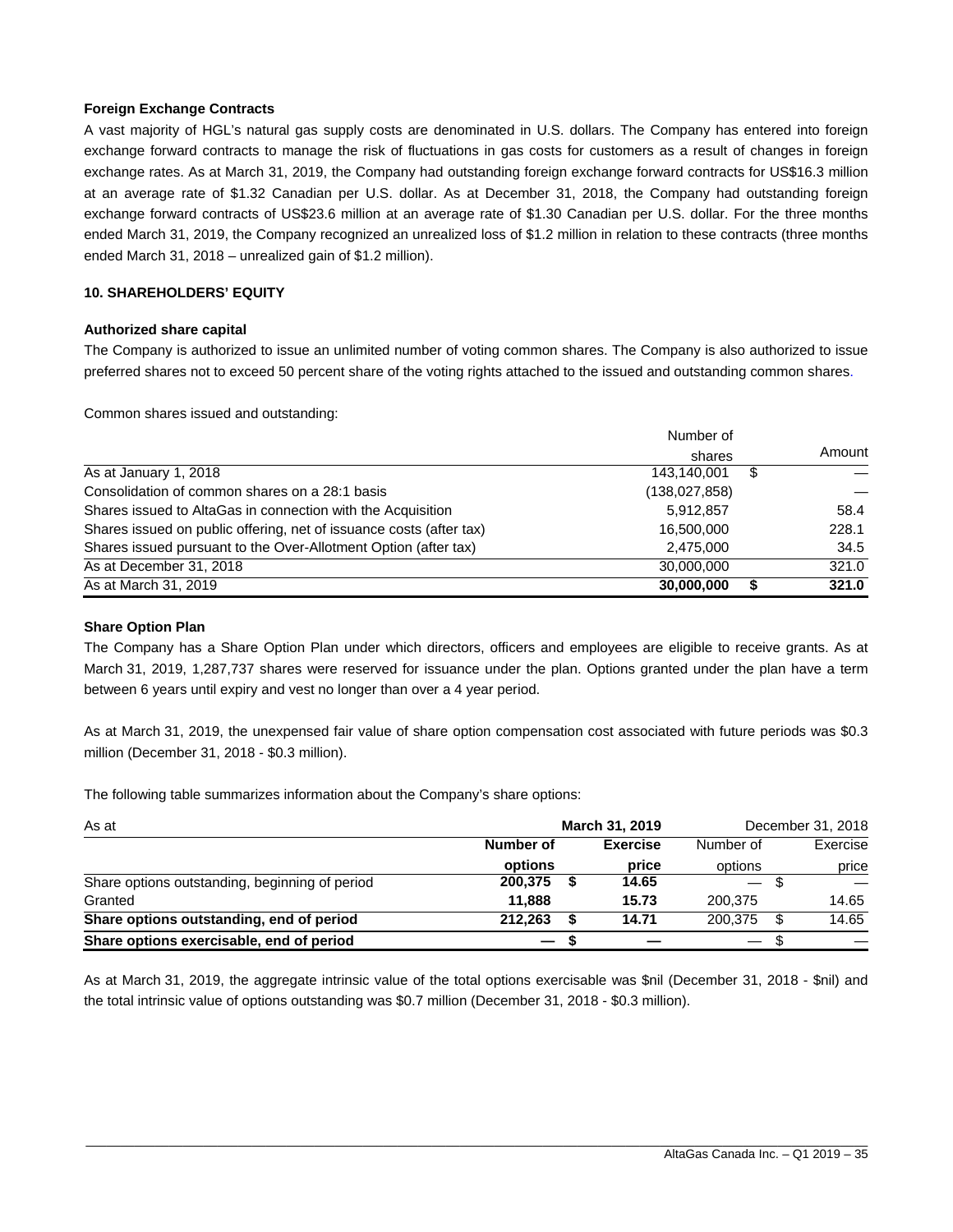#### **Foreign Exchange Contracts**

A vast majority of HGL's natural gas supply costs are denominated in U.S. dollars. The Company has entered into foreign exchange forward contracts to manage the risk of fluctuations in gas costs for customers as a result of changes in foreign exchange rates. As at March 31, 2019, the Company had outstanding foreign exchange forward contracts for US\$16.3 million at an average rate of \$1.32 Canadian per U.S. dollar. As at December 31, 2018, the Company had outstanding foreign exchange forward contracts of US\$23.6 million at an average rate of \$1.30 Canadian per U.S. dollar. For the three months ended March 31, 2019, the Company recognized an unrealized loss of \$1.2 million in relation to these contracts (three months ended March 31, 2018 – unrealized gain of \$1.2 million).

#### **10. SHAREHOLDERS' EQUITY**

#### **Authorized share capital**

The Company is authorized to issue an unlimited number of voting common shares. The Company is also authorized to issue preferred shares not to exceed 50 percent share of the voting rights attached to the issued and outstanding common shares.

Common shares issued and outstanding:

|                                                                     | Number of       |        |
|---------------------------------------------------------------------|-----------------|--------|
|                                                                     | shares          | Amount |
| As at January 1, 2018                                               | 143,140,001     | \$     |
| Consolidation of common shares on a 28:1 basis                      | (138, 027, 858) |        |
| Shares issued to AltaGas in connection with the Acquisition         | 5,912,857       | 58.4   |
| Shares issued on public offering, net of issuance costs (after tax) | 16,500,000      | 228.1  |
| Shares issued pursuant to the Over-Allotment Option (after tax)     | 2,475,000       | 34.5   |
| As at December 31, 2018                                             | 30,000,000      | 321.0  |
| As at March 31, 2019                                                | 30,000,000      | 321.0  |

#### **Share Option Plan**

The Company has a Share Option Plan under which directors, officers and employees are eligible to receive grants. As at March 31, 2019, 1,287,737 shares were reserved for issuance under the plan. Options granted under the plan have a term between 6 years until expiry and vest no longer than over a 4 year period.

As at March 31, 2019, the unexpensed fair value of share option compensation cost associated with future periods was \$0.3 million (December 31, 2018 - \$0.3 million).

The following table summarizes information about the Company's share options:

| As at                                          |                          | <b>March 31, 2019</b> | December 31, 2018        |     |          |
|------------------------------------------------|--------------------------|-----------------------|--------------------------|-----|----------|
|                                                | Number of                | <b>Exercise</b>       | Number of                |     | Exercise |
|                                                | options                  | price                 | options                  |     | price    |
| Share options outstanding, beginning of period | 200.375                  | 14.65                 | $\overline{\phantom{0}}$ |     |          |
| Granted                                        | 11.888                   | 15.73                 | 200.375                  |     | 14.65    |
| Share options outstanding, end of period       | 212.263                  | 14.71                 | 200.375                  | \$. | 14.65    |
| Share options exercisable, end of period       | $\overline{\phantom{m}}$ |                       |                          |     |          |

As at March 31, 2019, the aggregate intrinsic value of the total options exercisable was \$nil (December 31, 2018 - \$nil) and the total intrinsic value of options outstanding was \$0.7 million (December 31, 2018 - \$0.3 million).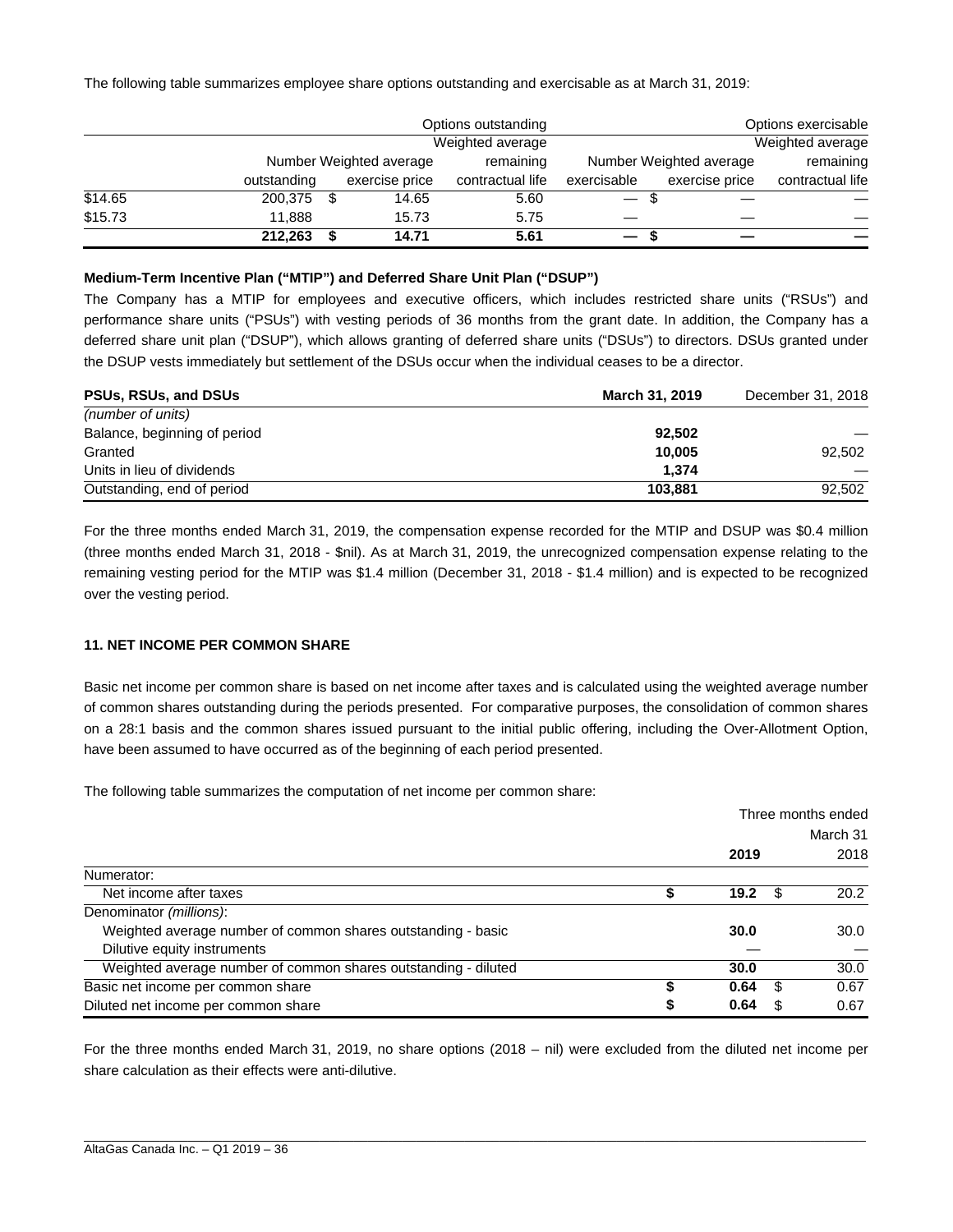The following table summarizes employee share options outstanding and exercisable as at March 31, 2019:

|         |             |      |                         | Options outstanding |             |                         | Options exercisable |  |  |
|---------|-------------|------|-------------------------|---------------------|-------------|-------------------------|---------------------|--|--|
|         |             |      |                         | Weighted average    |             |                         | Weighted average    |  |  |
|         |             |      | Number Weighted average | remaining           |             | Number Weighted average |                     |  |  |
|         | outstanding |      | exercise price          | contractual life    | exercisable | exercise price          | contractual life    |  |  |
| \$14.65 | 200,375     | - \$ | 14.65                   | 5.60                | -S          |                         |                     |  |  |
| \$15.73 | 11.888      |      | 15.73                   | 5.75                |             |                         |                     |  |  |
|         | 212,263     |      | 14.71                   | 5.61                |             |                         |                     |  |  |

#### **Medium-Term Incentive Plan ("MTIP") and Deferred Share Unit Plan ("DSUP")**

The Company has a MTIP for employees and executive officers, which includes restricted share units ("RSUs") and performance share units ("PSUs") with vesting periods of 36 months from the grant date. In addition, the Company has a deferred share unit plan ("DSUP"), which allows granting of deferred share units ("DSUs") to directors. DSUs granted under the DSUP vests immediately but settlement of the DSUs occur when the individual ceases to be a director.

| <b>PSUs, RSUs, and DSUs</b>  | <b>March 31, 2019</b> | December 31, 2018 |
|------------------------------|-----------------------|-------------------|
| (number of units)            |                       |                   |
| Balance, beginning of period | 92.502                |                   |
| Granted                      | 10.005                | 92.502            |
| Units in lieu of dividends   | 1.374                 |                   |
| Outstanding, end of period   | 103.881               | 92.502            |

For the three months ended March 31, 2019, the compensation expense recorded for the MTIP and DSUP was \$0.4 million (three months ended March 31, 2018 - \$nil). As at March 31, 2019, the unrecognized compensation expense relating to the remaining vesting period for the MTIP was \$1.4 million (December 31, 2018 - \$1.4 million) and is expected to be recognized over the vesting period.

#### **11. NET INCOME PER COMMON SHARE**

Basic net income per common share is based on net income after taxes and is calculated using the weighted average number of common shares outstanding during the periods presented. For comparative purposes, the consolidation of common shares on a 28:1 basis and the common shares issued pursuant to the initial public offering, including the Over-Allotment Option, have been assumed to have occurred as of the beginning of each period presented.

The following table summarizes the computation of net income per common share:

|                                                                |   |          |      | Three months ended |  |  |
|----------------------------------------------------------------|---|----------|------|--------------------|--|--|
|                                                                |   | March 31 |      |                    |  |  |
|                                                                |   | 2019     |      | 2018               |  |  |
| Numerator:                                                     |   |          |      |                    |  |  |
| Net income after taxes                                         |   | 19.2     | - \$ | 20.2               |  |  |
| Denominator (millions):                                        |   |          |      |                    |  |  |
| Weighted average number of common shares outstanding - basic   |   | 30.0     |      | 30.0               |  |  |
| Dilutive equity instruments                                    |   |          |      |                    |  |  |
| Weighted average number of common shares outstanding - diluted |   | 30.0     |      | 30.0               |  |  |
| Basic net income per common share                              |   | 0.64     | \$   | 0.67               |  |  |
| Diluted net income per common share                            | S | 0.64     | S    | 0.67               |  |  |

For the three months ended March 31, 2019, no share options (2018 – nil) were excluded from the diluted net income per share calculation as their effects were anti-dilutive.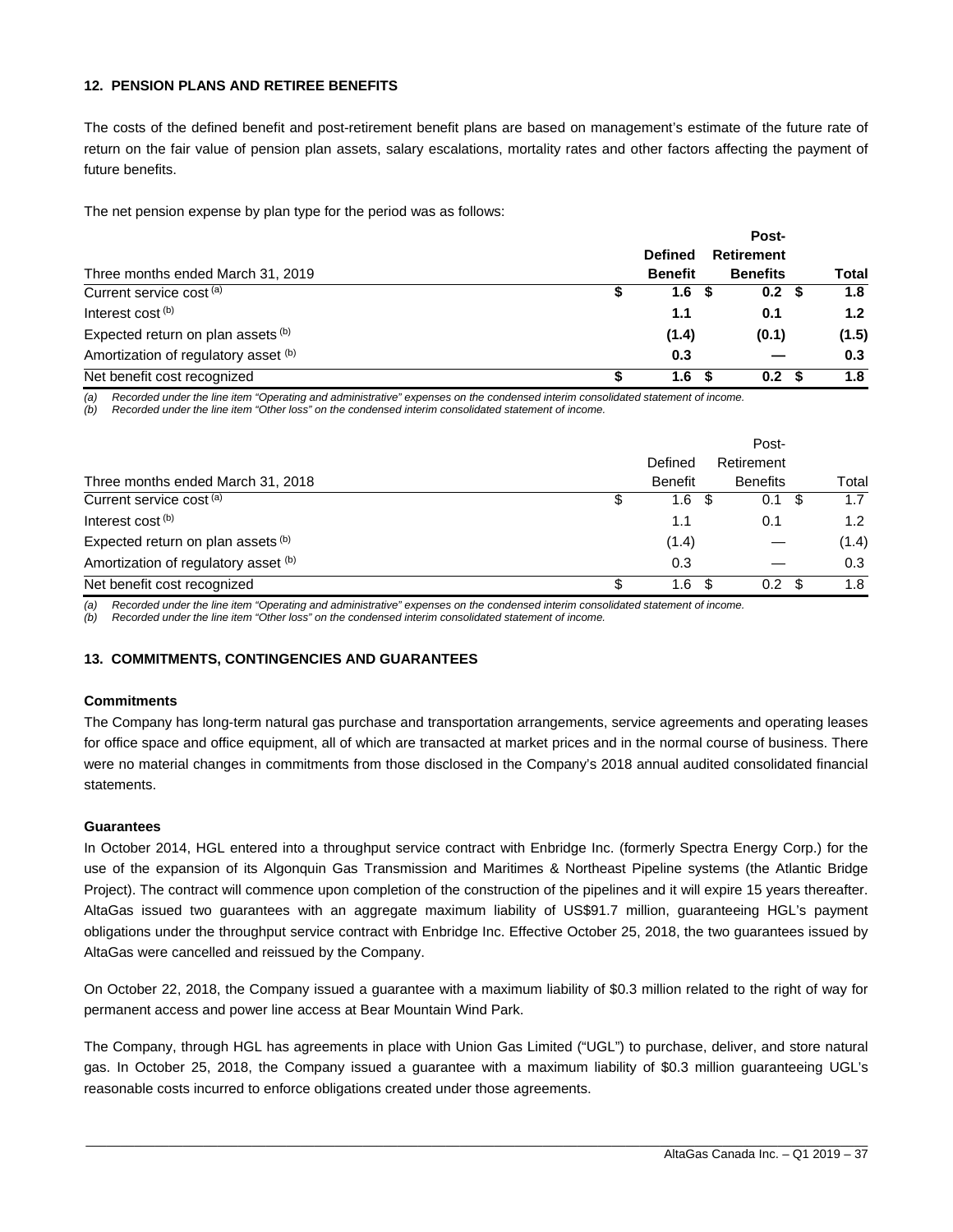#### **12. PENSION PLANS AND RETIREE BENEFITS**

The costs of the defined benefit and post-retirement benefit plans are based on management's estimate of the future rate of return on the fair value of pension plan assets, salary escalations, mortality rates and other factors affecting the payment of future benefits.

The net pension expense by plan type for the period was as follows:

|                                      | <b>Defined</b> | <b>Retirement</b> |  |       |  |  |
|--------------------------------------|----------------|-------------------|--|-------|--|--|
| Three months ended March 31, 2019    | <b>Benefit</b> | <b>Benefits</b>   |  | Total |  |  |
| Current service cost <sup>(a)</sup>  | 1.6            | 0.2 <sup>5</sup>  |  | 1.8   |  |  |
| Interest cost <sup>(b)</sup>         | 1.1            | 0.1               |  | 1.2   |  |  |
| Expected return on plan assets (b)   | (1.4)          | (0.1)             |  | (1.5) |  |  |
| Amortization of regulatory asset (b) | 0.3            |                   |  | 0.3   |  |  |
| Net benefit cost recognized          | 1.6            | 0.2 <sub>0</sub>  |  | 1.8   |  |  |

*(a) Recorded under the line item "Operating and administrative" expenses on the condensed interim consolidated statement of income.* 

*(b) Recorded under the line item "Other loss" on the condensed interim consolidated statement of income.*

|                                      | Defined        |      | Post-<br>Retirement |       |
|--------------------------------------|----------------|------|---------------------|-------|
| Three months ended March 31, 2018    | <b>Benefit</b> |      | <b>Benefits</b>     | Total |
| Current service cost (a)             | 1.6            | - \$ | 0.1                 | 1.7   |
| Interest cost <sup>(b)</sup>         | 1.1            |      | 0.1                 | 1.2   |
| Expected return on plan assets (b)   | (1.4)          |      |                     | (1.4) |
| Amortization of regulatory asset (b) | 0.3            |      |                     | 0.3   |
| Net benefit cost recognized          | 1.6            |      | 0.2                 | 1.8   |

*(a) Recorded under the line item "Operating and administrative" expenses on the condensed interim consolidated statement of income.* 

*(b) Recorded under the line item "Other loss" on the condensed interim consolidated statement of income.* 

#### **13. COMMITMENTS, CONTINGENCIES AND GUARANTEES**

#### **Commitments**

The Company has long-term natural gas purchase and transportation arrangements, service agreements and operating leases for office space and office equipment, all of which are transacted at market prices and in the normal course of business. There were no material changes in commitments from those disclosed in the Company's 2018 annual audited consolidated financial statements.

#### **Guarantees**

In October 2014, HGL entered into a throughput service contract with Enbridge Inc. (formerly Spectra Energy Corp.) for the use of the expansion of its Algonquin Gas Transmission and Maritimes & Northeast Pipeline systems (the Atlantic Bridge Project). The contract will commence upon completion of the construction of the pipelines and it will expire 15 years thereafter. AltaGas issued two guarantees with an aggregate maximum liability of US\$91.7 million, guaranteeing HGL's payment obligations under the throughput service contract with Enbridge Inc. Effective October 25, 2018, the two guarantees issued by AltaGas were cancelled and reissued by the Company.

On October 22, 2018, the Company issued a guarantee with a maximum liability of \$0.3 million related to the right of way for permanent access and power line access at Bear Mountain Wind Park.

The Company, through HGL has agreements in place with Union Gas Limited ("UGL") to purchase, deliver, and store natural gas. In October 25, 2018, the Company issued a guarantee with a maximum liability of \$0.3 million guaranteeing UGL's reasonable costs incurred to enforce obligations created under those agreements.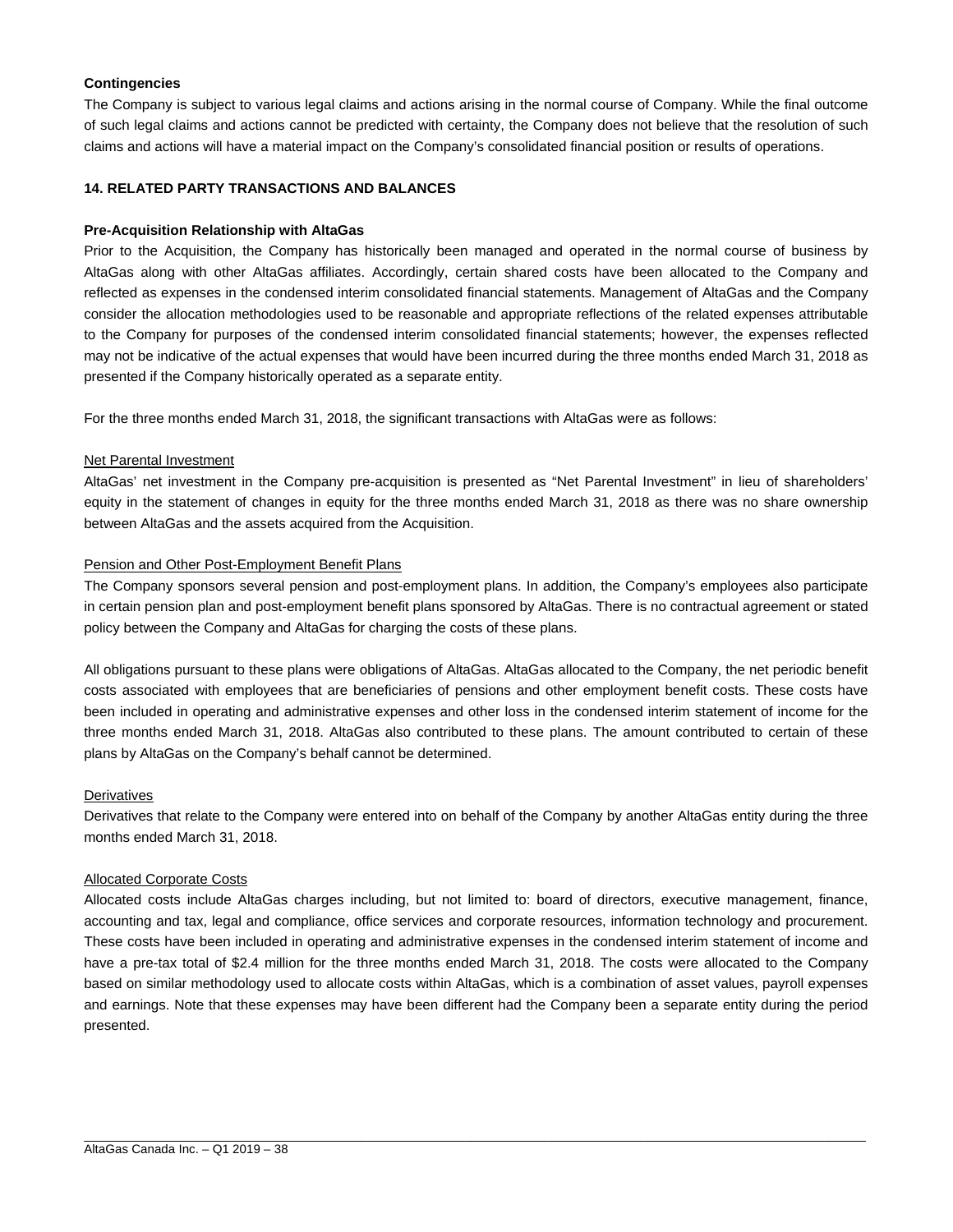#### **Contingencies**

The Company is subject to various legal claims and actions arising in the normal course of Company. While the final outcome of such legal claims and actions cannot be predicted with certainty, the Company does not believe that the resolution of such claims and actions will have a material impact on the Company's consolidated financial position or results of operations.

#### **14. RELATED PARTY TRANSACTIONS AND BALANCES**

#### **Pre-Acquisition Relationship with AltaGas**

Prior to the Acquisition, the Company has historically been managed and operated in the normal course of business by AltaGas along with other AltaGas affiliates. Accordingly, certain shared costs have been allocated to the Company and reflected as expenses in the condensed interim consolidated financial statements. Management of AltaGas and the Company consider the allocation methodologies used to be reasonable and appropriate reflections of the related expenses attributable to the Company for purposes of the condensed interim consolidated financial statements; however, the expenses reflected may not be indicative of the actual expenses that would have been incurred during the three months ended March 31, 2018 as presented if the Company historically operated as a separate entity.

For the three months ended March 31, 2018, the significant transactions with AltaGas were as follows:

#### Net Parental Investment

AltaGas' net investment in the Company pre-acquisition is presented as "Net Parental Investment" in lieu of shareholders' equity in the statement of changes in equity for the three months ended March 31, 2018 as there was no share ownership between AltaGas and the assets acquired from the Acquisition.

#### Pension and Other Post-Employment Benefit Plans

The Company sponsors several pension and post-employment plans. In addition, the Company's employees also participate in certain pension plan and post-employment benefit plans sponsored by AltaGas. There is no contractual agreement or stated policy between the Company and AltaGas for charging the costs of these plans.

All obligations pursuant to these plans were obligations of AltaGas. AltaGas allocated to the Company, the net periodic benefit costs associated with employees that are beneficiaries of pensions and other employment benefit costs. These costs have been included in operating and administrative expenses and other loss in the condensed interim statement of income for the three months ended March 31, 2018. AltaGas also contributed to these plans. The amount contributed to certain of these plans by AltaGas on the Company's behalf cannot be determined.

#### **Derivatives**

Derivatives that relate to the Company were entered into on behalf of the Company by another AltaGas entity during the three months ended March 31, 2018.

#### Allocated Corporate Costs

Allocated costs include AltaGas charges including, but not limited to: board of directors, executive management, finance, accounting and tax, legal and compliance, office services and corporate resources, information technology and procurement. These costs have been included in operating and administrative expenses in the condensed interim statement of income and have a pre-tax total of \$2.4 million for the three months ended March 31, 2018. The costs were allocated to the Company based on similar methodology used to allocate costs within AltaGas, which is a combination of asset values, payroll expenses and earnings. Note that these expenses may have been different had the Company been a separate entity during the period presented.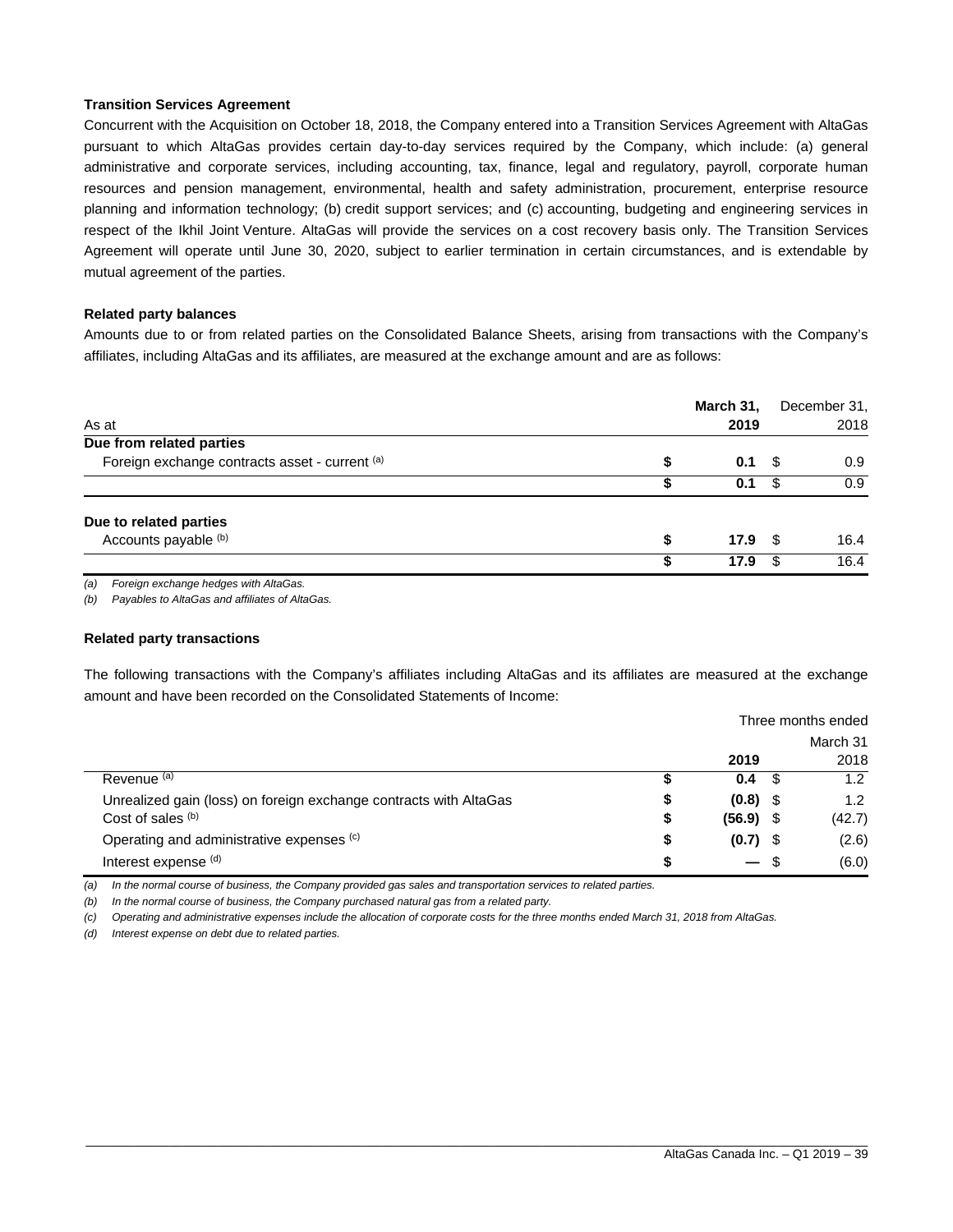#### **Transition Services Agreement**

Concurrent with the Acquisition on October 18, 2018, the Company entered into a Transition Services Agreement with AltaGas pursuant to which AltaGas provides certain day-to-day services required by the Company, which include: (a) general administrative and corporate services, including accounting, tax, finance, legal and regulatory, payroll, corporate human resources and pension management, environmental, health and safety administration, procurement, enterprise resource planning and information technology; (b) credit support services; and (c) accounting, budgeting and engineering services in respect of the Ikhil Joint Venture. AltaGas will provide the services on a cost recovery basis only. The Transition Services Agreement will operate until June 30, 2020, subject to earlier termination in certain circumstances, and is extendable by mutual agreement of the parties.

#### **Related party balances**

Amounts due to or from related parties on the Consolidated Balance Sheets, arising from transactions with the Company's affiliates, including AltaGas and its affiliates, are measured at the exchange amount and are as follows:

| As at                                          |   | March 31,<br>2019 |      | December 31,<br>2018 |
|------------------------------------------------|---|-------------------|------|----------------------|
| Due from related parties                       |   |                   |      |                      |
| Foreign exchange contracts asset - current (a) | S | 0.1               | - \$ | 0.9                  |
|                                                |   | 0.1               | \$   | 0.9                  |
| Due to related parties                         |   |                   |      |                      |
| Accounts payable (b)                           | S | 17.9              | - \$ | 16.4                 |
|                                                |   | 17.9              | \$   | 16.4                 |
|                                                |   |                   |      |                      |

*(a) Foreign exchange hedges with AltaGas.* 

*(b) Payables to AltaGas and affiliates of AltaGas.* 

#### **Related party transactions**

The following transactions with the Company's affiliates including AltaGas and its affiliates are measured at the exchange amount and have been recorded on the Consolidated Statements of Income:

|                                                                   |    | Three months ended |      |        |  |
|-------------------------------------------------------------------|----|--------------------|------|--------|--|
|                                                                   |    | March 31           |      |        |  |
|                                                                   |    | 2019               |      | 2018   |  |
| Revenue <sup>(a)</sup>                                            |    | 0.4                | - \$ | 1.2    |  |
| Unrealized gain (loss) on foreign exchange contracts with AltaGas | 5  | $(0.8)$ \$         |      | 1.2    |  |
| Cost of sales (b)                                                 | \$ | $(56.9)$ \$        |      | (42.7) |  |
| Operating and administrative expenses (c)                         | \$ | $(0.7)$ \$         |      | (2.6)  |  |
| Interest expense (d)                                              |    | $-$ \$             |      | (6.0)  |  |

*(a) In the normal course of business, the Company provided gas sales and transportation services to related parties.* 

*(b) In the normal course of business, the Company purchased natural gas from a related party.* 

*(c) Operating and administrative expenses include the allocation of corporate costs for the three months ended March 31, 2018 from AltaGas.* 

*(d) Interest expense on debt due to related parties.*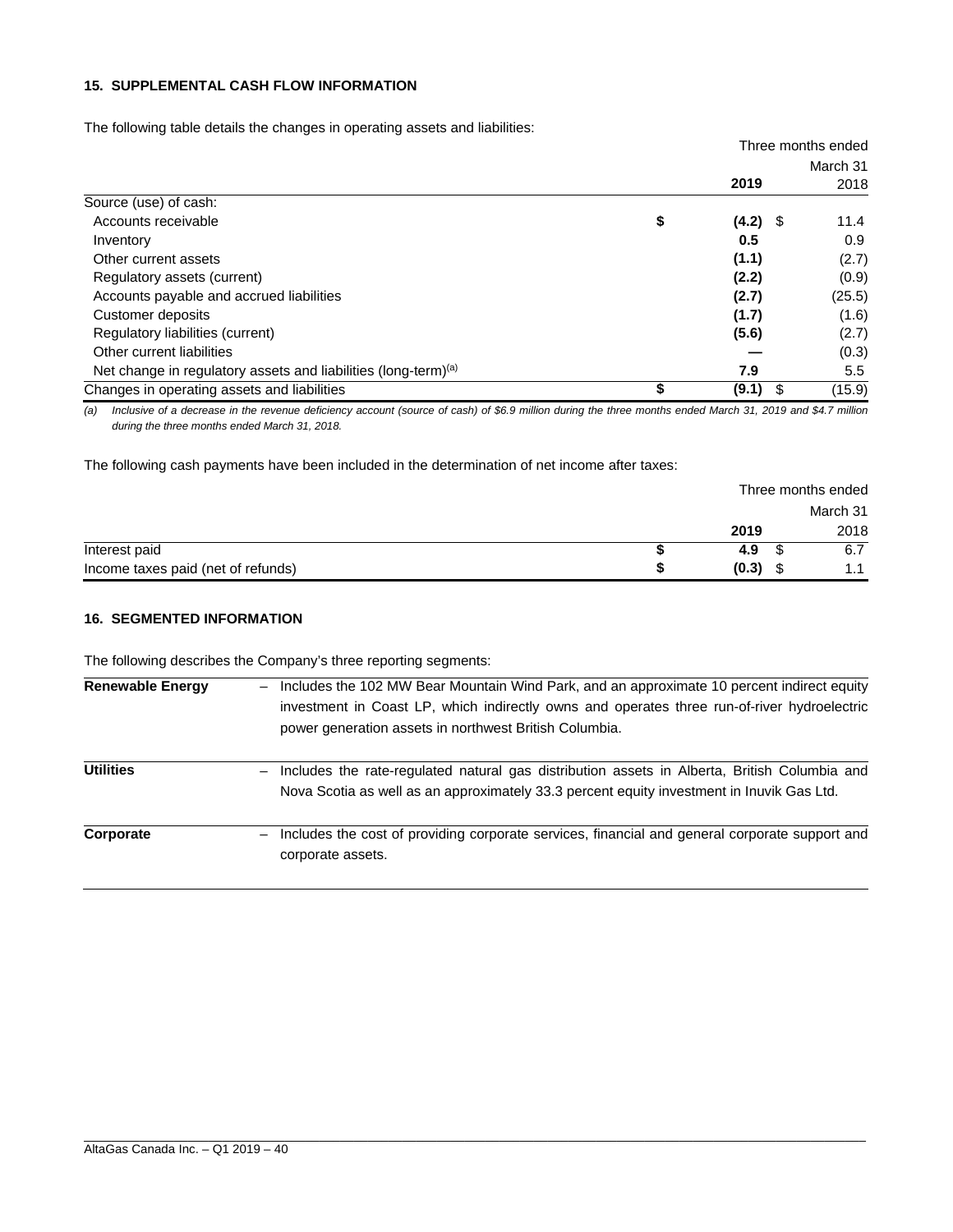#### **15. SUPPLEMENTAL CASH FLOW INFORMATION**

The following table details the changes in operating assets and liabilities:

|                                                                            |                  |          | Three months ended |
|----------------------------------------------------------------------------|------------------|----------|--------------------|
|                                                                            |                  | March 31 |                    |
|                                                                            | 2019             |          | 2018               |
| Source (use) of cash:                                                      |                  |          |                    |
| Accounts receivable                                                        | \$<br>$(4.2)$ \$ |          | 11.4               |
| Inventory                                                                  | 0.5              |          | 0.9                |
| Other current assets                                                       | (1.1)            |          | (2.7)              |
| Regulatory assets (current)                                                | (2.2)            |          | (0.9)              |
| Accounts payable and accrued liabilities                                   | (2.7)            |          | (25.5)             |
| Customer deposits                                                          | (1.7)            |          | (1.6)              |
| Regulatory liabilities (current)                                           | (5.6)            |          | (2.7)              |
| Other current liabilities                                                  |                  |          | (0.3)              |
| Net change in regulatory assets and liabilities (long-term) <sup>(a)</sup> | 7.9              |          | $5.5^{\circ}$      |
| Changes in operating assets and liabilities                                | (9.1)            | \$       | (15.9)             |

*(a) Inclusive of a decrease in the revenue deficiency account (source of cash) of \$6.9 million during the three months ended March 31, 2019 and \$4.7 million during the three months ended March 31, 2018.* 

The following cash payments have been included in the determination of net income after taxes:

|                                    | Three months ended |          |  |  |  |
|------------------------------------|--------------------|----------|--|--|--|
|                                    |                    | March 31 |  |  |  |
|                                    | 2019               | 2018     |  |  |  |
| Interest paid                      | 4.9                | 6.7      |  |  |  |
| Income taxes paid (net of refunds) | (0.3)              | 1.1      |  |  |  |

#### **16. SEGMENTED INFORMATION**

The following describes the Company's three reporting segments:

| <b>Renewable Energy</b> | Includes the 102 MW Bear Mountain Wind Park, and an approximate 10 percent indirect equity<br>investment in Coast LP, which indirectly owns and operates three run-of-river hydroelectric<br>power generation assets in northwest British Columbia. |
|-------------------------|-----------------------------------------------------------------------------------------------------------------------------------------------------------------------------------------------------------------------------------------------------|
| <b>Utilities</b>        | Includes the rate-regulated natural gas distribution assets in Alberta, British Columbia and<br>Nova Scotia as well as an approximately 33.3 percent equity investment in Inuvik Gas Ltd.                                                           |
| Corporate               | Includes the cost of providing corporate services, financial and general corporate support and<br>corporate assets.                                                                                                                                 |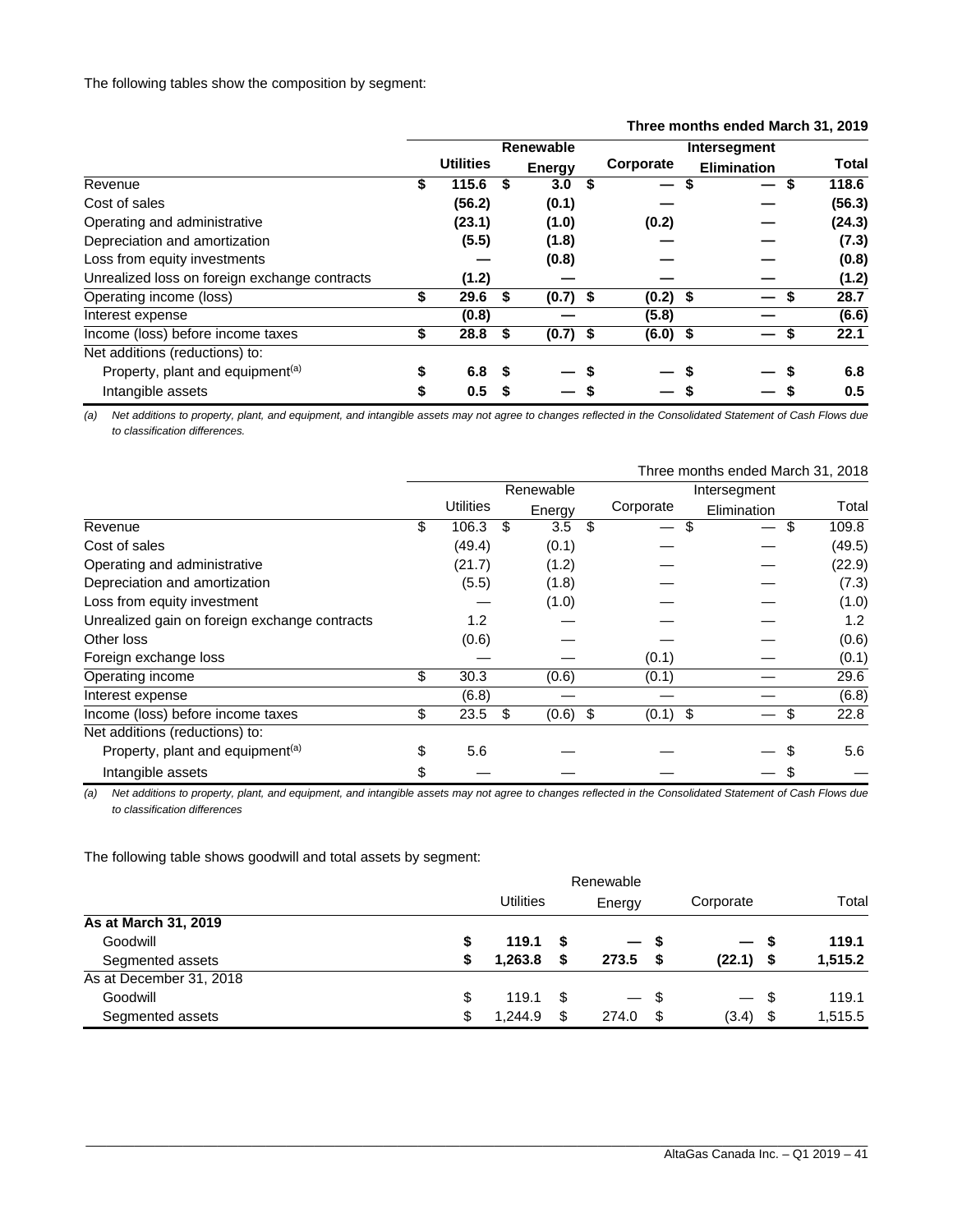The following tables show the composition by segment:

|                                               |                  |                  |    |               |              |                   |  | Three months ended March 31, 2019 |    |              |
|-----------------------------------------------|------------------|------------------|----|---------------|--------------|-------------------|--|-----------------------------------|----|--------------|
|                                               | <b>Renewable</b> |                  |    |               | Intersegment |                   |  |                                   |    |              |
|                                               |                  | <b>Utilities</b> |    | <b>Energy</b> |              | Corporate         |  | <b>Elimination</b>                |    | <b>Total</b> |
| Revenue                                       | \$               | 115.6            | \$ | 3.0           | S            | $\hspace{0.05cm}$ |  | $\overline{\phantom{m}}$          | \$ | 118.6        |
| Cost of sales                                 |                  | (56.2)           |    | (0.1)         |              |                   |  |                                   |    | (56.3)       |
| Operating and administrative                  |                  | (23.1)           |    | (1.0)         |              | (0.2)             |  |                                   |    | (24.3)       |
| Depreciation and amortization                 |                  | (5.5)            |    | (1.8)         |              |                   |  |                                   |    | (7.3)        |
| Loss from equity investments                  |                  |                  |    | (0.8)         |              |                   |  |                                   |    | (0.8)        |
| Unrealized loss on foreign exchange contracts |                  | (1.2)            |    |               |              |                   |  |                                   |    | (1.2)        |
| Operating income (loss)                       | \$               | 29.6             | S. | $(0.7)$ \$    |              | $(0.2)$ \$        |  |                                   |    | 28.7         |
| Interest expense                              |                  | (0.8)            |    |               |              | (5.8)             |  |                                   |    | (6.6)        |
| Income (loss) before income taxes             | \$               | 28.8             | \$ | $(0.7)$ \$    |              | $(6.0)$ \$        |  | —                                 | S  | 22.1         |
| Net additions (reductions) to:                |                  |                  |    |               |              |                   |  |                                   |    |              |
| Property, plant and equipment <sup>(a)</sup>  | \$               | 6.8 <sup>5</sup> |    |               |              |                   |  |                                   |    | 6.8          |
| Intangible assets                             | \$               | 0.5              | 5  |               |              |                   |  |                                   |    | 0.5          |

# **Three months ended March 31, 2019**

*(a) Net additions to property, plant, and equipment, and intangible assets may not agree to changes reflected in the Consolidated Statement of Cash Flows due to classification differences.* 

|                                               |                  |           |            |    |            | Three months ended March 31, 2018 |    |                  |
|-----------------------------------------------|------------------|-----------|------------|----|------------|-----------------------------------|----|------------------|
|                                               |                  | Renewable |            |    |            | Intersegment                      |    |                  |
|                                               | <b>Utilities</b> |           | Energy     |    | Corporate  | Elimination                       |    | Total            |
| Revenue                                       | \$<br>106.3      | \$        | 3.5        | \$ | \$<br>—    |                                   | \$ | 109.8            |
| Cost of sales                                 | (49.4)           |           | (0.1)      |    |            |                                   |    | (49.5)           |
| Operating and administrative                  | (21.7)           |           | (1.2)      |    |            |                                   |    | (22.9)           |
| Depreciation and amortization                 | (5.5)            |           | (1.8)      |    |            |                                   |    | (7.3)            |
| Loss from equity investment                   |                  |           | (1.0)      |    |            |                                   |    | (1.0)            |
| Unrealized gain on foreign exchange contracts | 1.2              |           |            |    |            |                                   |    | 1.2 <sub>2</sub> |
| Other loss                                    | (0.6)            |           |            |    |            |                                   |    | (0.6)            |
| Foreign exchange loss                         |                  |           |            |    | (0.1)      |                                   |    | (0.1)            |
| Operating income                              | \$<br>30.3       |           | (0.6)      |    | (0.1)      |                                   |    | 29.6             |
| Interest expense                              | (6.8)            |           |            |    |            |                                   |    | (6.8)            |
| Income (loss) before income taxes             | \$<br>23.5       | \$        | $(0.6)$ \$ |    | $(0.1)$ \$ |                                   | \$ | 22.8             |
| Net additions (reductions) to:                |                  |           |            |    |            |                                   |    |                  |
| Property, plant and equipment <sup>(a)</sup>  | \$<br>5.6        |           |            |    |            |                                   |    | 5.6              |
| Intangible assets                             | \$               |           |            |    |            |                                   |    |                  |

*(a) Net additions to property, plant, and equipment, and intangible assets may not agree to changes reflected in the Consolidated Statement of Cash Flows due to classification differences*

The following table shows goodwill and total assets by segment:

|                         | Renewable |                  |      |        |      |                          |      |         |
|-------------------------|-----------|------------------|------|--------|------|--------------------------|------|---------|
|                         |           | <b>Utilities</b> |      | Energy |      | Corporate                |      | Total   |
| As at March 31, 2019    |           |                  |      |        |      |                          |      |         |
| Goodwill                | S         | 119.1            | - \$ | — s    |      | $\overline{\phantom{0}}$ | - 55 | 119.1   |
| Segmented assets        | S         | 1.263.8          | S    | 273.5  | - \$ | $(22.1)$ \$              |      | 1,515.2 |
| As at December 31, 2018 |           |                  |      |        |      |                          |      |         |
| Goodwill                | \$        | 119.1            | - \$ | $-$ \$ |      |                          | - \$ | 119.1   |
| Segmented assets        | \$        | 1.244.9          | \$   | 274.0  | - \$ | (3.4)                    | - \$ | 1,515.5 |